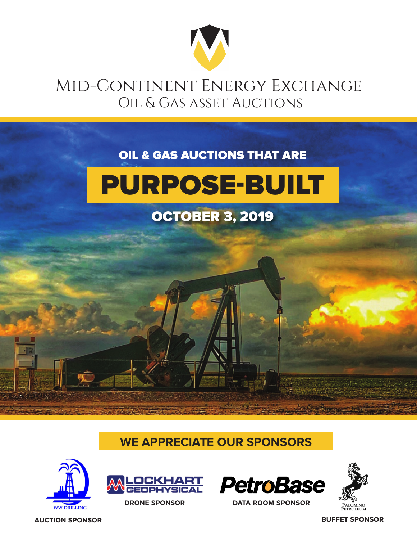

## Mid-Continent Energy Exchange Oil & Gas asset Auctions

#### OIL & GAS AUCTIONS THAT ARE



#### OCTOBER 3, 2019

#### **WE APPRECIATE OUR SPONSORS**





**drone sponsor data room sponsor**



**auction sponsor buffet sponsor**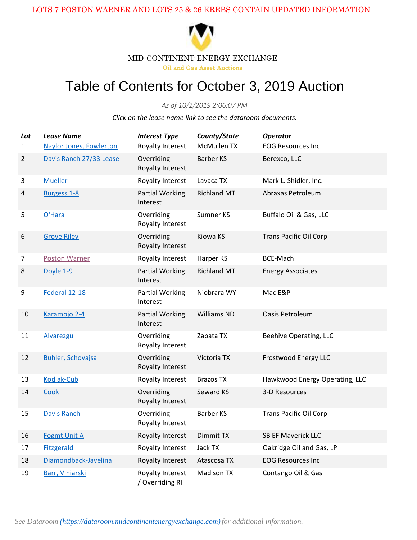

Oil and Gas Asset Auctions

#### Table of Contents for October 3, 2019 Auction

*As of 10/2/2019 2:06:07 PM*

*Click on the lease name link to see the dataroom documents.*

| Lot<br>$\mathbf{1}$ | <b>Lease Name</b><br><b>Naylor Jones, Fowlerton</b> | <b>Interest Type</b><br>Royalty Interest | County/State<br>McMullen TX | <b>Operator</b><br><b>EOG Resources Inc</b> |
|---------------------|-----------------------------------------------------|------------------------------------------|-----------------------------|---------------------------------------------|
| $\overline{2}$      | Davis Ranch 27/33 Lease                             | Overriding<br>Royalty Interest           | <b>Barber KS</b>            | Berexco, LLC                                |
| 3                   | <b>Mueller</b>                                      | Royalty Interest                         | Lavaca TX                   | Mark L. Shidler, Inc.                       |
| 4                   | Burgess 1-8                                         | <b>Partial Working</b><br>Interest       | <b>Richland MT</b>          | Abraxas Petroleum                           |
| 5                   | O'Hara                                              | Overriding<br>Royalty Interest           | Sumner KS                   | Buffalo Oil & Gas, LLC                      |
| 6                   | <b>Grove Riley</b>                                  | Overriding<br>Royalty Interest           | Kiowa KS                    | <b>Trans Pacific Oil Corp</b>               |
| $\overline{7}$      | <b>Poston Warner</b>                                | Royalty Interest                         | Harper KS                   | <b>BCE-Mach</b>                             |
| 8                   | Doyle 1-9                                           | <b>Partial Working</b><br>Interest       | <b>Richland MT</b>          | <b>Energy Associates</b>                    |
| 9                   | Federal 12-18                                       | <b>Partial Working</b><br>Interest       | Niobrara WY                 | Mac E&P                                     |
| 10                  | Karamojo 2-4                                        | <b>Partial Working</b><br>Interest       | <b>Williams ND</b>          | Oasis Petroleum                             |
| 11                  | Alvarezgu                                           | Overriding<br>Royalty Interest           | Zapata TX                   | Beehive Operating, LLC                      |
| 12                  | <b>Buhler, Schovajsa</b>                            | Overriding<br>Royalty Interest           | Victoria TX                 | <b>Frostwood Energy LLC</b>                 |
| 13                  | Kodiak-Cub                                          | Royalty Interest                         | <b>Brazos TX</b>            | Hawkwood Energy Operating, LLC              |
| 14                  | Cook                                                | Overriding<br>Royalty Interest           | Seward KS                   | 3-D Resources                               |
| 15                  | <b>Davis Ranch</b>                                  | Overriding<br>Royalty Interest           | Barber KS                   | <b>Trans Pacific Oil Corp</b>               |
| 16                  | <b>Fogmt Unit A</b>                                 | Royalty Interest                         | Dimmit TX                   | <b>SB EF Maverick LLC</b>                   |
| 17                  | <b>Fitzgerald</b>                                   | Royalty Interest                         | Jack TX                     | Oakridge Oil and Gas, LP                    |
| 18                  | Diamondback-Javelina                                | Royalty Interest                         | Atascosa TX                 | <b>EOG Resources Inc</b>                    |
| 19                  | Barr, Viniarski                                     | Royalty Interest<br>/ Overriding RI      | <b>Madison TX</b>           | Contango Oil & Gas                          |

*See Dataroom [\(https://dataroom.midcontinentenergyexchange.com\)](https://dataroom.midcontinentenergyexchange.com)for additional information.*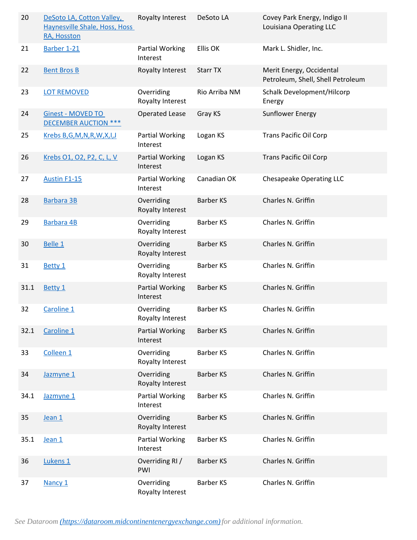| 20   | DeSoto LA, Cotton Valley,<br>Haynesville Shale, Hoss, Hoss<br>RA, Hosston | Royalty Interest                   | DeSoto LA        | Covey Park Energy, Indigo II<br>Louisiana Operating LLC       |
|------|---------------------------------------------------------------------------|------------------------------------|------------------|---------------------------------------------------------------|
| 21   | Barber 1-21                                                               | <b>Partial Working</b><br>Interest | Ellis OK         | Mark L. Shidler, Inc.                                         |
| 22   | <b>Bent Bros B</b>                                                        | Royalty Interest                   | <b>Starr TX</b>  | Merit Energy, Occidental<br>Petroleum, Shell, Shell Petroleum |
| 23   | <b>LOT REMOVED</b>                                                        | Overriding<br>Royalty Interest     | Rio Arriba NM    | Schalk Development/Hilcorp<br>Energy                          |
| 24   | <b>Ginest - MOVED TO</b><br><b>DECEMBER AUCTION ***</b>                   | <b>Operated Lease</b>              | Gray KS          | Sunflower Energy                                              |
| 25   | Krebs B,G,M,N,R,W,X,I,J                                                   | <b>Partial Working</b><br>Interest | Logan KS         | <b>Trans Pacific Oil Corp</b>                                 |
| 26   | Krebs O1, O2, P2, C, L, V                                                 | <b>Partial Working</b><br>Interest | Logan KS         | <b>Trans Pacific Oil Corp</b>                                 |
| 27   | <b>Austin F1-15</b>                                                       | <b>Partial Working</b><br>Interest | Canadian OK      | Chesapeake Operating LLC                                      |
| 28   | Barbara 3B                                                                | Overriding<br>Royalty Interest     | <b>Barber KS</b> | Charles N. Griffin                                            |
| 29   | Barbara 4B                                                                | Overriding<br>Royalty Interest     | <b>Barber KS</b> | Charles N. Griffin                                            |
| 30   | Belle 1                                                                   | Overriding<br>Royalty Interest     | <b>Barber KS</b> | Charles N. Griffin                                            |
| 31   | Betty 1                                                                   | Overriding<br>Royalty Interest     | <b>Barber KS</b> | Charles N. Griffin                                            |
| 31.1 | Betty 1                                                                   | <b>Partial Working</b><br>Interest | <b>Barber KS</b> | Charles N. Griffin                                            |
| 32   | Caroline 1                                                                | Overriding<br>Royalty Interest     | <b>Barber KS</b> | Charles N. Griffin                                            |
| 32.1 | Caroline 1                                                                | <b>Partial Working</b><br>Interest | <b>Barber KS</b> | Charles N. Griffin                                            |
| 33   | Colleen <sub>1</sub>                                                      | Overriding<br>Royalty Interest     | <b>Barber KS</b> | Charles N. Griffin                                            |
| 34   | Jazmyne 1                                                                 | Overriding<br>Royalty Interest     | <b>Barber KS</b> | Charles N. Griffin                                            |
| 34.1 | Jazmyne 1                                                                 | <b>Partial Working</b><br>Interest | <b>Barber KS</b> | Charles N. Griffin                                            |
| 35   | Jean 1                                                                    | Overriding<br>Royalty Interest     | <b>Barber KS</b> | Charles N. Griffin                                            |
| 35.1 | Jean 1                                                                    | <b>Partial Working</b><br>Interest | <b>Barber KS</b> | Charles N. Griffin                                            |
| 36   | Lukens 1                                                                  | Overriding RI /<br>PWI             | <b>Barber KS</b> | Charles N. Griffin                                            |
| 37   | Nancy 1                                                                   | Overriding<br>Royalty Interest     | <b>Barber KS</b> | Charles N. Griffin                                            |

*See Dataroom [\(https://dataroom.midcontinentenergyexchange.com\)](https://dataroom.midcontinentenergyexchange.com)for additional information.*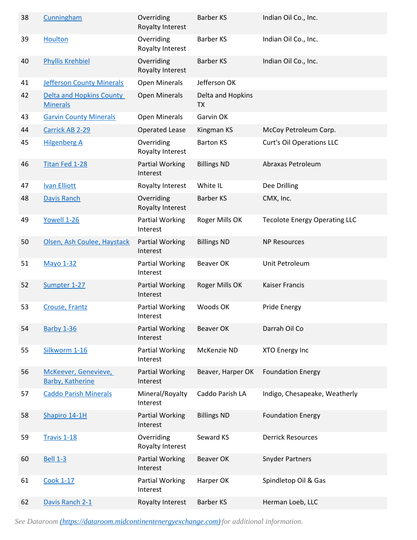| 38 | Cunningham                                      | Overriding<br>Royalty Interest     | <b>Barber KS</b>               | Indian Oil Co., Inc.                 |
|----|-------------------------------------------------|------------------------------------|--------------------------------|--------------------------------------|
| 39 | <b>Houlton</b>                                  | Overriding<br>Royalty Interest     | <b>Barber KS</b>               | Indian Oil Co., Inc.                 |
| 40 | <b>Phyllis Krehbiel</b>                         | Overriding<br>Royalty Interest     | <b>Barber KS</b>               | Indian Oil Co., Inc.                 |
| 41 | <b>Jefferson County Minerals</b>                | Open Minerals                      | Jefferson OK                   |                                      |
| 42 | Delta and Hopkins County<br><b>Minerals</b>     | <b>Open Minerals</b>               | Delta and Hopkins<br><b>TX</b> |                                      |
| 43 | <b>Garvin County Minerals</b>                   | <b>Open Minerals</b>               | Garvin OK                      |                                      |
| 44 | Carrick AB 2-29                                 | <b>Operated Lease</b>              | Kingman KS                     | McCoy Petroleum Corp.                |
| 45 | <b>Hilgenberg A</b>                             | Overriding<br>Royalty Interest     | <b>Barton KS</b>               | <b>Curt's Oil Operations LLC</b>     |
| 46 | <b>Titan Fed 1-28</b>                           | <b>Partial Working</b><br>Interest | <b>Billings ND</b>             | Abraxas Petroleum                    |
| 47 | <b>Ivan Elliott</b>                             | Royalty Interest                   | White IL                       | Dee Drilling                         |
| 48 | <b>Davis Ranch</b>                              | Overriding<br>Royalty Interest     | <b>Barber KS</b>               | CMX, Inc.                            |
| 49 | Yowell 1-26                                     | Partial Working<br>Interest        | Roger Mills OK                 | <b>Tecolote Energy Operating LLC</b> |
| 50 | Olsen, Ash Coulee, Haystack                     | <b>Partial Working</b><br>Interest | <b>Billings ND</b>             | <b>NP Resources</b>                  |
| 51 | <b>Mayo 1-32</b>                                | <b>Partial Working</b><br>Interest | Beaver OK                      | Unit Petroleum                       |
| 52 | Sumpter 1-27                                    | <b>Partial Working</b><br>Interest | Roger Mills OK                 | <b>Kaiser Francis</b>                |
| 53 | <b>Crouse, Frantz</b>                           | <b>Partial Working</b><br>Interest | Woods OK                       | <b>Pride Energy</b>                  |
| 54 | <b>Barby 1-36</b>                               | <b>Partial Working</b><br>Interest | <b>Beaver OK</b>               | Darrah Oil Co                        |
| 55 | Silkworm 1-16                                   | <b>Partial Working</b><br>Interest | McKenzie ND                    | XTO Energy Inc                       |
| 56 | McKeever, Genevieve,<br><b>Barby, Katherine</b> | <b>Partial Working</b><br>Interest | Beaver, Harper OK              | <b>Foundation Energy</b>             |
| 57 | <b>Caddo Parish Minerals</b>                    | Mineral/Royalty<br>Interest        | Caddo Parish LA                | Indigo, Chesapeake, Weatherly        |
| 58 | Shapiro 14-1H                                   | <b>Partial Working</b><br>Interest | <b>Billings ND</b>             | <b>Foundation Energy</b>             |
| 59 | <b>Travis 1-18</b>                              | Overriding<br>Royalty Interest     | Seward KS                      | <b>Derrick Resources</b>             |
| 60 | <b>Bell 1-3</b>                                 | <b>Partial Working</b><br>Interest | <b>Beaver OK</b>               | <b>Snyder Partners</b>               |
| 61 | <b>Cook 1-17</b>                                | <b>Partial Working</b><br>Interest | Harper OK                      | Spindletop Oil & Gas                 |
| 62 | Davis Ranch 2-1                                 | Royalty Interest                   | <b>Barber KS</b>               | Herman Loeb, LLC                     |

*See Dataroom [\(https://dataroom.midcontinentenergyexchange.com\)](https://dataroom.midcontinentenergyexchange.com)for additional information.*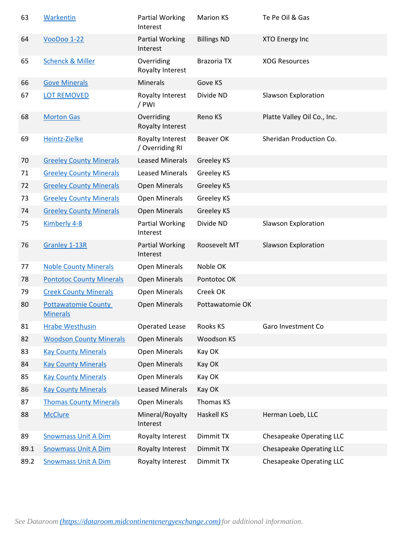| 63   | <b>Warkentin</b>                              | <b>Partial Working</b><br>Interest  | <b>Marion KS</b>   | Te Pe Oil & Gas                 |
|------|-----------------------------------------------|-------------------------------------|--------------------|---------------------------------|
| 64   | <b>VooDoo 1-22</b>                            | <b>Partial Working</b><br>Interest  | <b>Billings ND</b> | XTO Energy Inc                  |
| 65   | <b>Schenck &amp; Miller</b>                   | Overriding<br>Royalty Interest      | <b>Brazoria TX</b> | <b>XOG Resources</b>            |
| 66   | <b>Gove Minerals</b>                          | Minerals                            | Gove KS            |                                 |
| 67   | <b>LOT REMOVED</b>                            | Royalty Interest<br>/ PWI           | Divide ND          | Slawson Exploration             |
| 68   | <b>Morton Gas</b>                             | Overriding<br>Royalty Interest      | Reno KS            | Platte Valley Oil Co., Inc.     |
| 69   | Heintz-Zielke                                 | Royalty Interest<br>/ Overriding RI | <b>Beaver OK</b>   | Sheridan Production Co.         |
| 70   | <b>Greeley County Minerals</b>                | <b>Leased Minerals</b>              | Greeley KS         |                                 |
| 71   | <b>Greeley County Minerals</b>                | <b>Leased Minerals</b>              | Greeley KS         |                                 |
| 72   | <b>Greeley County Minerals</b>                | <b>Open Minerals</b>                | Greeley KS         |                                 |
| 73   | <b>Greeley County Minerals</b>                | <b>Open Minerals</b>                | Greeley KS         |                                 |
| 74   | <b>Greeley County Minerals</b>                | <b>Open Minerals</b>                | <b>Greeley KS</b>  |                                 |
| 75   | Kimberly 4-8                                  | <b>Partial Working</b><br>Interest  | Divide ND          | <b>Slawson Exploration</b>      |
| 76   | <b>Granley 1-13R</b>                          | <b>Partial Working</b><br>Interest  | Roosevelt MT       | <b>Slawson Exploration</b>      |
| 77   | <b>Noble County Minerals</b>                  | Open Minerals                       | Noble OK           |                                 |
| 78   | <b>Pontotoc County Minerals</b>               | <b>Open Minerals</b>                | Pontotoc OK        |                                 |
| 79   | <b>Creek County Minerals</b>                  | <b>Open Minerals</b>                | Creek OK           |                                 |
| 80   | <b>Pottawatomie County</b><br><b>Minerals</b> | <b>Open Minerals</b>                | Pottawatomie OK    |                                 |
| 81   | <b>Hrabe Westhusin</b>                        | <b>Operated Lease</b>               | Rooks KS           | Garo Investment Co              |
| 82   | <b>Woodson County Minerals</b>                | <b>Open Minerals</b>                | Woodson KS         |                                 |
| 83   | <b>Kay County Minerals</b>                    | <b>Open Minerals</b>                | Kay OK             |                                 |
| 84   | <b>Kay County Minerals</b>                    | <b>Open Minerals</b>                | Kay OK             |                                 |
| 85   | <b>Kay County Minerals</b>                    | Open Minerals                       | Kay OK             |                                 |
| 86   | <b>Kay County Minerals</b>                    | <b>Leased Minerals</b>              | Kay OK             |                                 |
| 87   | <b>Thomas County Minerals</b>                 | <b>Open Minerals</b>                | Thomas KS          |                                 |
| 88   | <b>McClure</b>                                | Mineral/Royalty<br>Interest         | Haskell KS         | Herman Loeb, LLC                |
| 89   |                                               | Royalty Interest                    | Dimmit TX          | Chesapeake Operating LLC        |
|      | <b>Snowmass Unit A Dim</b>                    |                                     |                    |                                 |
| 89.1 | <b>Snowmass Unit A Dim</b>                    | Royalty Interest                    | Dimmit TX          | <b>Chesapeake Operating LLC</b> |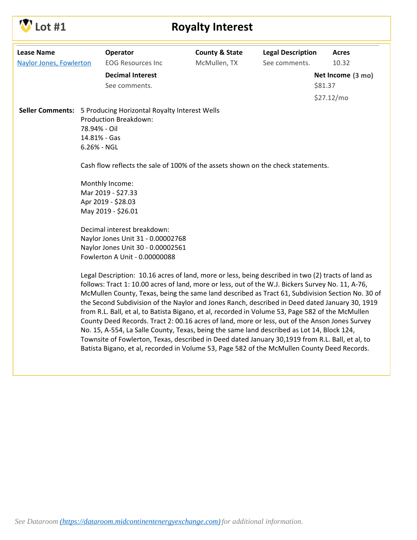

## **Lot #1 Royalty Interest**

| <b>Lease Name</b>              |                                             | Operator                                                                                                                                                                                                                                                                                                                                                                                                                                                                                                                                                                                                                                                                                                                                                                                                             | <b>County &amp; State</b> | <b>Legal Description</b> | <b>Acres</b>      |
|--------------------------------|---------------------------------------------|----------------------------------------------------------------------------------------------------------------------------------------------------------------------------------------------------------------------------------------------------------------------------------------------------------------------------------------------------------------------------------------------------------------------------------------------------------------------------------------------------------------------------------------------------------------------------------------------------------------------------------------------------------------------------------------------------------------------------------------------------------------------------------------------------------------------|---------------------------|--------------------------|-------------------|
| <b>Naylor Jones, Fowlerton</b> |                                             | <b>EOG Resources Inc</b>                                                                                                                                                                                                                                                                                                                                                                                                                                                                                                                                                                                                                                                                                                                                                                                             | McMullen, TX              | See comments.            | 10.32             |
|                                |                                             | <b>Decimal Interest</b>                                                                                                                                                                                                                                                                                                                                                                                                                                                                                                                                                                                                                                                                                                                                                                                              |                           |                          | Net Income (3 mo) |
|                                |                                             | See comments.                                                                                                                                                                                                                                                                                                                                                                                                                                                                                                                                                                                                                                                                                                                                                                                                        |                           |                          | \$81.37           |
|                                |                                             |                                                                                                                                                                                                                                                                                                                                                                                                                                                                                                                                                                                                                                                                                                                                                                                                                      |                           |                          | \$27.12/mo        |
| <b>Seller Comments:</b>        | 78.94% - Oil<br>14.81% - Gas<br>6.26% - NGL | 5 Producing Horizontal Royalty Interest Wells<br>Production Breakdown:                                                                                                                                                                                                                                                                                                                                                                                                                                                                                                                                                                                                                                                                                                                                               |                           |                          |                   |
|                                |                                             | Cash flow reflects the sale of 100% of the assets shown on the check statements.                                                                                                                                                                                                                                                                                                                                                                                                                                                                                                                                                                                                                                                                                                                                     |                           |                          |                   |
|                                |                                             | Monthly Income:<br>Mar 2019 - \$27.33<br>Apr 2019 - \$28.03<br>May 2019 - \$26.01                                                                                                                                                                                                                                                                                                                                                                                                                                                                                                                                                                                                                                                                                                                                    |                           |                          |                   |
|                                |                                             | Decimal interest breakdown:<br>Naylor Jones Unit 31 - 0.00002768<br>Naylor Jones Unit 30 - 0.00002561<br>Fowlerton A Unit - 0.00000088                                                                                                                                                                                                                                                                                                                                                                                                                                                                                                                                                                                                                                                                               |                           |                          |                   |
|                                |                                             | Legal Description: 10.16 acres of land, more or less, being described in two (2) tracts of land as<br>follows: Tract 1: 10.00 acres of land, more or less, out of the W.J. Bickers Survey No. 11, A-76,<br>McMullen County, Texas, being the same land described as Tract 61, Subdivision Section No. 30 of<br>the Second Subdivision of the Naylor and Jones Ranch, described in Deed dated January 30, 1919<br>from R.L. Ball, et al, to Batista Bigano, et al, recorded in Volume 53, Page 582 of the McMullen<br>County Deed Records. Tract 2: 00.16 acres of land, more or less, out of the Anson Jones Survey<br>No. 15, A-554, La Salle County, Texas, being the same land described as Lot 14, Block 124,<br>Townsite of Fowlerton, Texas, described in Deed dated January 30,1919 from R.L. Ball, et al, to |                           |                          |                   |

Batista Bigano, et al, recorded in Volume 53, Page 582 of the McMullen County Deed Records.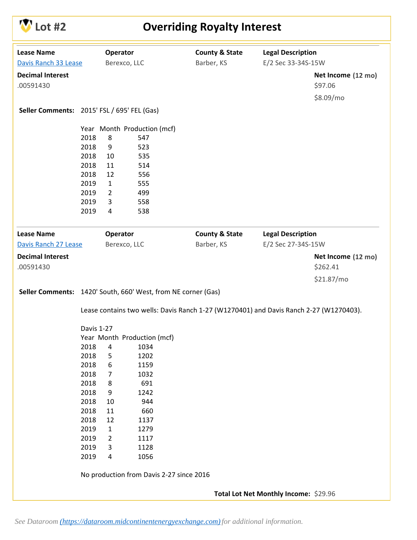

# **COVERTIGERY COVERTIGERY INTEREST**

| <b>Lease Name</b>                           |            | Operator       |                                                               | <b>County &amp; State</b>                                                              | <b>Legal Description</b>              |                    |
|---------------------------------------------|------------|----------------|---------------------------------------------------------------|----------------------------------------------------------------------------------------|---------------------------------------|--------------------|
| Davis Ranch 33 Lease                        |            |                | Berexco, LLC                                                  | Barber, KS                                                                             | E/2 Sec 33-34S-15W                    |                    |
| <b>Decimal Interest</b>                     |            |                |                                                               |                                                                                        |                                       | Net Income (12 mo) |
| .00591430                                   |            |                |                                                               |                                                                                        |                                       | \$97.06            |
|                                             |            |                |                                                               |                                                                                        |                                       | \$8.09/mo          |
|                                             |            |                |                                                               |                                                                                        |                                       |                    |
| Seller Comments: 2015' FSL / 695' FEL (Gas) |            |                |                                                               |                                                                                        |                                       |                    |
|                                             |            |                | Year Month Production (mcf)                                   |                                                                                        |                                       |                    |
|                                             | 2018       | 8              | 547                                                           |                                                                                        |                                       |                    |
|                                             | 2018       | 9              | 523                                                           |                                                                                        |                                       |                    |
|                                             | 2018       | 10             | 535                                                           |                                                                                        |                                       |                    |
|                                             | 2018       | 11             | 514                                                           |                                                                                        |                                       |                    |
|                                             | 2018       | 12             | 556                                                           |                                                                                        |                                       |                    |
|                                             | 2019       | $\mathbf{1}$   | 555                                                           |                                                                                        |                                       |                    |
|                                             | 2019       | $\overline{2}$ | 499                                                           |                                                                                        |                                       |                    |
|                                             | 2019       | 3              | 558                                                           |                                                                                        |                                       |                    |
|                                             | 2019       | 4              | 538                                                           |                                                                                        |                                       |                    |
| <b>Lease Name</b>                           |            | Operator       |                                                               | <b>County &amp; State</b>                                                              | <b>Legal Description</b>              |                    |
| Davis Ranch 27 Lease                        |            |                | Berexco, LLC                                                  | Barber, KS                                                                             | E/2 Sec 27-34S-15W                    |                    |
| <b>Decimal Interest</b>                     |            |                |                                                               |                                                                                        |                                       | Net Income (12 mo) |
| .00591430                                   |            |                |                                                               |                                                                                        |                                       | \$262.41           |
|                                             |            |                |                                                               |                                                                                        |                                       |                    |
|                                             |            |                |                                                               |                                                                                        |                                       | \$21.87/mo         |
|                                             |            |                | Seller Comments: 1420' South, 660' West, from NE corner (Gas) |                                                                                        |                                       |                    |
|                                             |            |                |                                                               | Lease contains two wells: Davis Ranch 1-27 (W1270401) and Davis Ranch 2-27 (W1270403). |                                       |                    |
|                                             |            |                |                                                               |                                                                                        |                                       |                    |
|                                             | Davis 1-27 |                |                                                               |                                                                                        |                                       |                    |
|                                             |            |                | Year Month Production (mcf)                                   |                                                                                        |                                       |                    |
|                                             | 2018       | 4              | 1034                                                          |                                                                                        |                                       |                    |
|                                             | 2018       | 5              | 1202                                                          |                                                                                        |                                       |                    |
|                                             | 2018       | 6              | 1159                                                          |                                                                                        |                                       |                    |
|                                             | 2018       | 7              | 1032                                                          |                                                                                        |                                       |                    |
|                                             | 2018       | 8              | 691                                                           |                                                                                        |                                       |                    |
|                                             | 2018       | 9              | 1242                                                          |                                                                                        |                                       |                    |
|                                             | 2018       | 10             | 944                                                           |                                                                                        |                                       |                    |
|                                             | 2018       | 11             | 660                                                           |                                                                                        |                                       |                    |
|                                             | 2018       | 12             | 1137                                                          |                                                                                        |                                       |                    |
|                                             | 2019       | $\mathbf{1}$   | 1279                                                          |                                                                                        |                                       |                    |
|                                             | 2019       | 2              | 1117                                                          |                                                                                        |                                       |                    |
|                                             | 2019       | 3              | 1128                                                          |                                                                                        |                                       |                    |
|                                             | 2019       | 4              | 1056                                                          |                                                                                        |                                       |                    |
|                                             |            |                | No production from Davis 2-27 since 2016                      |                                                                                        |                                       |                    |
|                                             |            |                |                                                               |                                                                                        | Total Lot Net Monthly Income: \$29.96 |                    |
|                                             |            |                |                                                               |                                                                                        |                                       |                    |
|                                             |            |                |                                                               |                                                                                        |                                       |                    |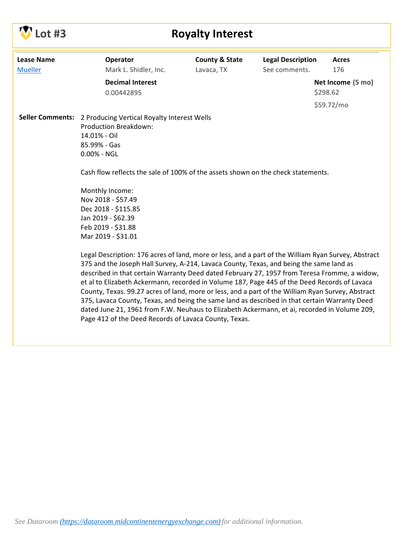# **Lot #3 Royalty Interest**

| <b>Lease Name</b><br><b>Mueller</b> | Operator<br>Mark L. Shidler, Inc.                                                                   | <b>County &amp; State</b><br>Lavaca, TX | <b>Legal Description</b><br>See comments. | <b>Acres</b><br>176 |  |  |  |  |  |  |  |
|-------------------------------------|-----------------------------------------------------------------------------------------------------|-----------------------------------------|-------------------------------------------|---------------------|--|--|--|--|--|--|--|
|                                     |                                                                                                     |                                         |                                           |                     |  |  |  |  |  |  |  |
|                                     | <b>Decimal Interest</b>                                                                             |                                         |                                           | Net Income (5 mo)   |  |  |  |  |  |  |  |
|                                     | 0.00442895                                                                                          |                                         |                                           | \$298.62            |  |  |  |  |  |  |  |
|                                     |                                                                                                     |                                         |                                           | \$59.72/mo          |  |  |  |  |  |  |  |
|                                     | <b>Seller Comments:</b> 2 Producing Vertical Royalty Interest Wells                                 |                                         |                                           |                     |  |  |  |  |  |  |  |
|                                     | <b>Production Breakdown:</b>                                                                        |                                         |                                           |                     |  |  |  |  |  |  |  |
|                                     | 14.01% - Oil                                                                                        |                                         |                                           |                     |  |  |  |  |  |  |  |
|                                     | 85.99% - Gas                                                                                        |                                         |                                           |                     |  |  |  |  |  |  |  |
|                                     | $0.00\%$ - NGL                                                                                      |                                         |                                           |                     |  |  |  |  |  |  |  |
|                                     | Cash flow reflects the sale of 100% of the assets shown on the check statements.                    |                                         |                                           |                     |  |  |  |  |  |  |  |
|                                     | Monthly Income:                                                                                     |                                         |                                           |                     |  |  |  |  |  |  |  |
|                                     | Nov 2018 - \$57.49                                                                                  |                                         |                                           |                     |  |  |  |  |  |  |  |
|                                     | Dec 2018 - \$115.85                                                                                 |                                         |                                           |                     |  |  |  |  |  |  |  |
|                                     | Jan 2019 - \$62.39                                                                                  |                                         |                                           |                     |  |  |  |  |  |  |  |
|                                     | Feb 2019 - \$31.88                                                                                  |                                         |                                           |                     |  |  |  |  |  |  |  |
|                                     | Mar 2019 - \$31.01                                                                                  |                                         |                                           |                     |  |  |  |  |  |  |  |
|                                     | Legal Description: 176 acres of land, more or less, and a part of the William Ryan Survey, Abstract |                                         |                                           |                     |  |  |  |  |  |  |  |
|                                     | 375 and the Joseph Hall Survey, A-214, Lavaca County, Texas, and being the same land as             |                                         |                                           |                     |  |  |  |  |  |  |  |
|                                     | described in that certain Warranty Deed dated February 27, 1957 from Teresa Fromme, a widow,        |                                         |                                           |                     |  |  |  |  |  |  |  |
|                                     | et al to Elizabeth Ackermann, recorded in Volume 187, Page 445 of the Deed Records of Lavaca        |                                         |                                           |                     |  |  |  |  |  |  |  |
|                                     | County, Texas. 99.27 acres of land, more or less, and a part of the William Ryan Survey, Abstract   |                                         |                                           |                     |  |  |  |  |  |  |  |
|                                     | 375, Lavaca County, Texas, and being the same land as described in that certain Warranty Deed       |                                         |                                           |                     |  |  |  |  |  |  |  |
|                                     | dated June 21, 1961 from F.W. Neuhaus to Elizabeth Ackermann, et ai, recorded in Volume 209,        |                                         |                                           |                     |  |  |  |  |  |  |  |
|                                     | Page 412 of the Deed Records of Lavaca County, Texas.                                               |                                         |                                           |                     |  |  |  |  |  |  |  |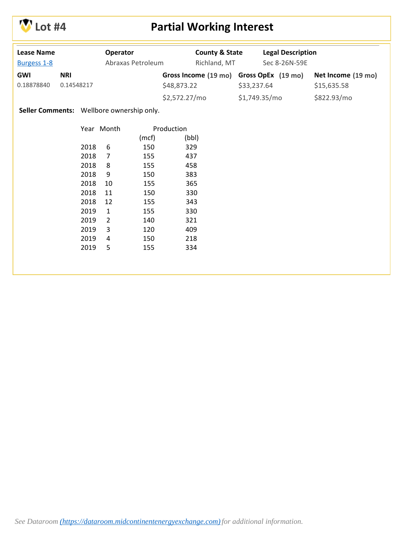

## **Lot #4 Partial Working Interest**

| <b>Lease Name</b><br>Burgess 1-8          |                          |      | Operator<br>Abraxas Petroleum |       |               | <b>County &amp; State</b><br>Richland, MT |             | <b>Legal Description</b><br>Sec 8-26N-59E |                    |
|-------------------------------------------|--------------------------|------|-------------------------------|-------|---------------|-------------------------------------------|-------------|-------------------------------------------|--------------------|
| <b>GWI</b><br>0.18878840                  | <b>NRI</b><br>0.14548217 |      |                               |       |               | Gross Income (19 mo)                      |             | Gross OpEx (19 mo)                        | Net Income (19 mo) |
|                                           |                          |      |                               |       | \$48,873.22   |                                           | \$33,237.64 |                                           | \$15,635.58        |
|                                           |                          |      |                               |       | \$2,572.27/mo |                                           |             | \$1,749.35/mo                             | \$822.93/mo        |
| Seller Comments: Wellbore ownership only. |                          |      |                               |       |               |                                           |             |                                           |                    |
|                                           |                          |      | Year Month                    |       | Production    |                                           |             |                                           |                    |
|                                           |                          |      |                               | (mcf) |               | (bbl)                                     |             |                                           |                    |
|                                           |                          | 2018 | 6                             | 150   |               | 329                                       |             |                                           |                    |
|                                           |                          | 2018 | $\overline{7}$                | 155   | 437           |                                           |             |                                           |                    |
|                                           |                          | 2018 | 8                             | 155   |               | 458                                       |             |                                           |                    |
|                                           |                          | 2018 | 9                             | 150   |               | 383                                       |             |                                           |                    |
|                                           |                          | 2018 | 10                            | 155   |               | 365                                       |             |                                           |                    |
|                                           |                          | 2018 | 11                            | 150   |               | 330                                       |             |                                           |                    |
|                                           |                          | 2018 | 12                            | 155   |               | 343                                       |             |                                           |                    |
|                                           |                          | 2019 | $\mathbf{1}$                  | 155   |               | 330                                       |             |                                           |                    |
|                                           |                          | 2019 | $\overline{2}$                | 140   |               | 321                                       |             |                                           |                    |
|                                           |                          | 2019 | 3                             | 120   |               | 409                                       |             |                                           |                    |
|                                           |                          | 2019 | 4                             | 150   |               | 218                                       |             |                                           |                    |
|                                           |                          | 2019 | 5                             | 155   |               | 334                                       |             |                                           |                    |
|                                           |                          |      |                               |       |               |                                           |             |                                           |                    |
|                                           |                          |      |                               |       |               |                                           |             |                                           |                    |
|                                           |                          |      |                               |       |               |                                           |             |                                           |                    |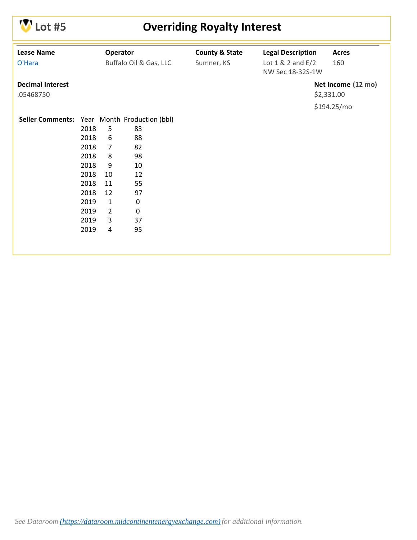

# **COVERTIGERY COVERTIGERY INTEREST**

| <b>Lease Name</b><br>Operator<br><b>County &amp; State</b><br><b>Legal Description</b><br><b>Acres</b><br>Buffalo Oil & Gas, LLC<br>O'Hara<br>Sumner, KS<br>Lot $1 & 2$ and $E/2$<br>160<br>NW Sec 18-32S-1W<br><b>Decimal Interest</b><br>\$2,331.00<br>.05468750<br>\$194.25/mo<br>Seller Comments: Year Month Production (bbl)<br>2018<br>5<br>83<br>2018<br>6<br>88<br>2018<br>$\overline{7}$<br>82<br>2018<br>8<br>98<br>2018<br>9<br>10<br>2018<br>10<br>12<br>2018<br>11<br>55<br>2018<br>12<br>97<br>$\pmb{0}$<br>2019<br>$\mathbf{1}$ |                    |
|------------------------------------------------------------------------------------------------------------------------------------------------------------------------------------------------------------------------------------------------------------------------------------------------------------------------------------------------------------------------------------------------------------------------------------------------------------------------------------------------------------------------------------------------|--------------------|
|                                                                                                                                                                                                                                                                                                                                                                                                                                                                                                                                                |                    |
|                                                                                                                                                                                                                                                                                                                                                                                                                                                                                                                                                |                    |
|                                                                                                                                                                                                                                                                                                                                                                                                                                                                                                                                                |                    |
|                                                                                                                                                                                                                                                                                                                                                                                                                                                                                                                                                | Net Income (12 mo) |
|                                                                                                                                                                                                                                                                                                                                                                                                                                                                                                                                                |                    |
|                                                                                                                                                                                                                                                                                                                                                                                                                                                                                                                                                |                    |
|                                                                                                                                                                                                                                                                                                                                                                                                                                                                                                                                                |                    |
|                                                                                                                                                                                                                                                                                                                                                                                                                                                                                                                                                |                    |
|                                                                                                                                                                                                                                                                                                                                                                                                                                                                                                                                                |                    |
|                                                                                                                                                                                                                                                                                                                                                                                                                                                                                                                                                |                    |
|                                                                                                                                                                                                                                                                                                                                                                                                                                                                                                                                                |                    |
|                                                                                                                                                                                                                                                                                                                                                                                                                                                                                                                                                |                    |
|                                                                                                                                                                                                                                                                                                                                                                                                                                                                                                                                                |                    |
|                                                                                                                                                                                                                                                                                                                                                                                                                                                                                                                                                |                    |
|                                                                                                                                                                                                                                                                                                                                                                                                                                                                                                                                                |                    |
|                                                                                                                                                                                                                                                                                                                                                                                                                                                                                                                                                |                    |
| $\overline{2}$<br>$\pmb{0}$<br>2019                                                                                                                                                                                                                                                                                                                                                                                                                                                                                                            |                    |
| 2019<br>3<br>37                                                                                                                                                                                                                                                                                                                                                                                                                                                                                                                                |                    |
| 95<br>2019<br>4                                                                                                                                                                                                                                                                                                                                                                                                                                                                                                                                |                    |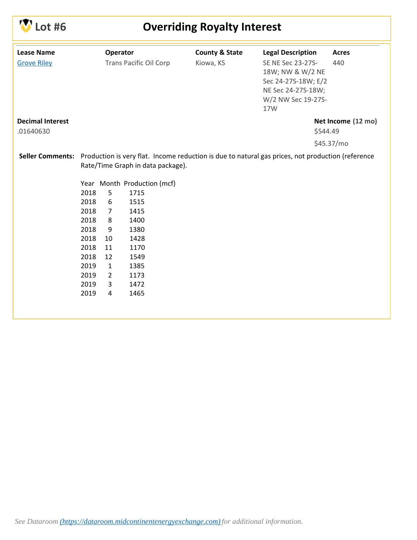# **Lot #6 Overriding Royalty Interest**

| <b>Lease Name</b>       |      | Operator       |                                   | <b>County &amp; State</b> | <b>Legal Description</b>                                                                          | <b>Acres</b>       |
|-------------------------|------|----------------|-----------------------------------|---------------------------|---------------------------------------------------------------------------------------------------|--------------------|
| <b>Grove Riley</b>      |      |                | <b>Trans Pacific Oil Corp</b>     | Kiowa, KS                 | SE NE Sec 23-27S-                                                                                 | 440                |
|                         |      |                |                                   |                           | 18W; NW & W/2 NE                                                                                  |                    |
|                         |      |                |                                   |                           | Sec 24-27S-18W; E/2                                                                               |                    |
|                         |      |                |                                   |                           | NE Sec 24-27S-18W;                                                                                |                    |
|                         |      |                |                                   |                           | W/2 NW Sec 19-27S-                                                                                |                    |
|                         |      |                |                                   |                           | 17W                                                                                               |                    |
| <b>Decimal Interest</b> |      |                |                                   |                           |                                                                                                   | Net Income (12 mo) |
| .01640630               |      |                |                                   |                           | \$544.49                                                                                          |                    |
|                         |      |                |                                   |                           |                                                                                                   | \$45.37/mo         |
| <b>Seller Comments:</b> |      |                |                                   |                           | Production is very flat. Income reduction is due to natural gas prices, not production (reference |                    |
|                         |      |                | Rate/Time Graph in data package). |                           |                                                                                                   |                    |
|                         |      |                | Year Month Production (mcf)       |                           |                                                                                                   |                    |
|                         | 2018 | 5              | 1715                              |                           |                                                                                                   |                    |
|                         | 2018 | 6              | 1515                              |                           |                                                                                                   |                    |
|                         | 2018 | $\overline{7}$ | 1415                              |                           |                                                                                                   |                    |
|                         | 2018 | 8              | 1400                              |                           |                                                                                                   |                    |
|                         | 2018 | 9              | 1380                              |                           |                                                                                                   |                    |
|                         | 2018 | 10             | 1428                              |                           |                                                                                                   |                    |
|                         | 2018 | 11             | 1170                              |                           |                                                                                                   |                    |
|                         | 2018 | 12             | 1549                              |                           |                                                                                                   |                    |
|                         | 2019 | $\mathbf{1}$   | 1385                              |                           |                                                                                                   |                    |
|                         | 2019 | $\overline{2}$ | 1173                              |                           |                                                                                                   |                    |
|                         | 2019 | 3              | 1472                              |                           |                                                                                                   |                    |
|                         | 2019 | 4              | 1465                              |                           |                                                                                                   |                    |
|                         |      |                |                                   |                           |                                                                                                   |                    |
|                         |      |                |                                   |                           |                                                                                                   |                    |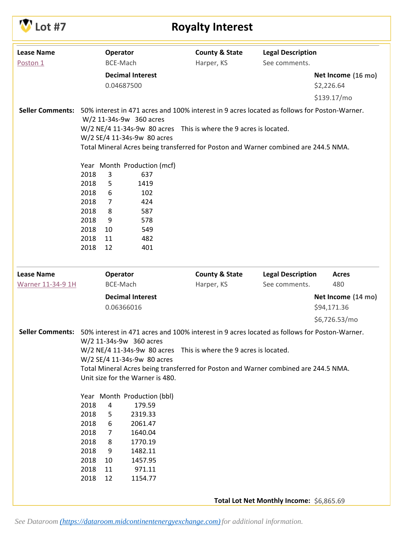| <b>Lease Name</b><br>Operator<br><b>County &amp; State</b><br><b>Legal Description</b><br>Harper, KS<br>BCE-Mach<br>See comments.<br>Poston 1<br><b>Decimal Interest</b><br>Net Income (16 mo)<br>0.04687500<br>\$2,226.64<br>\$139.17/mo<br><b>Seller Comments:</b><br>50% interest in 471 acres and 100% interest in 9 acres located as follows for Poston-Warner.<br>W/2 11-34s-9w 360 acres<br>W/2 NE/4 11-34s-9w 80 acres This is where the 9 acres is located.<br>W/2 SE/4 11-34s-9w 80 acres<br>Total Mineral Acres being transferred for Poston and Warner combined are 244.5 NMA.<br>Year Month Production (mcf)<br>2018<br>3<br>637<br>2018<br>5<br>1419<br>2018<br>6<br>102<br>424<br>2018<br>$\overline{7}$<br>2018<br>8<br>587<br>2018<br>9<br>578<br>2018<br>10<br>549<br>2018<br>11<br>482<br>2018<br>401<br>12<br><b>Lease Name</b><br><b>Legal Description</b><br>Operator<br><b>County &amp; State</b><br><b>Acres</b><br>480<br><b>Warner 11-34-9 1H</b><br>BCE-Mach<br>Harper, KS<br>See comments.<br><b>Decimal Interest</b><br>Net Income (14 mo)<br>0.06366016<br>\$94,171.36<br>\$6,726.53/mo<br>Seller Comments: 50% interest in 471 acres and 100% interest in 9 acres located as follows for Poston-Warner.<br>W/2 11-34s-9w 360 acres<br>W/2 NE/4 11-34s-9w 80 acres This is where the 9 acres is located.<br>W/2 SE/4 11-34s-9w 80 acres<br>Total Mineral Acres being transferred for Poston and Warner combined are 244.5 NMA.<br>Unit size for the Warner is 480.<br>Year Month Production (bbl)<br>2018<br>4<br>179.59<br>2018<br>2319.33<br>5<br>2018<br>2061.47<br>6<br>2018<br>1640.04<br>7<br>2018<br>8<br>1770.19<br>2018<br>1482.11<br>9<br>2018<br>1457.95<br>10<br>2018<br>11<br>971.11 | .ot #7 | <b>Royalty Interest</b> |  |  |  |  |  |  |  |  |  |
|---------------------------------------------------------------------------------------------------------------------------------------------------------------------------------------------------------------------------------------------------------------------------------------------------------------------------------------------------------------------------------------------------------------------------------------------------------------------------------------------------------------------------------------------------------------------------------------------------------------------------------------------------------------------------------------------------------------------------------------------------------------------------------------------------------------------------------------------------------------------------------------------------------------------------------------------------------------------------------------------------------------------------------------------------------------------------------------------------------------------------------------------------------------------------------------------------------------------------------------------------------------------------------------------------------------------------------------------------------------------------------------------------------------------------------------------------------------------------------------------------------------------------------------------------------------------------------------------------------------------------------------------------------------------------------------------------------------------------------|--------|-------------------------|--|--|--|--|--|--|--|--|--|
|                                                                                                                                                                                                                                                                                                                                                                                                                                                                                                                                                                                                                                                                                                                                                                                                                                                                                                                                                                                                                                                                                                                                                                                                                                                                                                                                                                                                                                                                                                                                                                                                                                                                                                                                 |        |                         |  |  |  |  |  |  |  |  |  |
|                                                                                                                                                                                                                                                                                                                                                                                                                                                                                                                                                                                                                                                                                                                                                                                                                                                                                                                                                                                                                                                                                                                                                                                                                                                                                                                                                                                                                                                                                                                                                                                                                                                                                                                                 |        |                         |  |  |  |  |  |  |  |  |  |
|                                                                                                                                                                                                                                                                                                                                                                                                                                                                                                                                                                                                                                                                                                                                                                                                                                                                                                                                                                                                                                                                                                                                                                                                                                                                                                                                                                                                                                                                                                                                                                                                                                                                                                                                 |        |                         |  |  |  |  |  |  |  |  |  |
|                                                                                                                                                                                                                                                                                                                                                                                                                                                                                                                                                                                                                                                                                                                                                                                                                                                                                                                                                                                                                                                                                                                                                                                                                                                                                                                                                                                                                                                                                                                                                                                                                                                                                                                                 |        |                         |  |  |  |  |  |  |  |  |  |
|                                                                                                                                                                                                                                                                                                                                                                                                                                                                                                                                                                                                                                                                                                                                                                                                                                                                                                                                                                                                                                                                                                                                                                                                                                                                                                                                                                                                                                                                                                                                                                                                                                                                                                                                 |        |                         |  |  |  |  |  |  |  |  |  |
|                                                                                                                                                                                                                                                                                                                                                                                                                                                                                                                                                                                                                                                                                                                                                                                                                                                                                                                                                                                                                                                                                                                                                                                                                                                                                                                                                                                                                                                                                                                                                                                                                                                                                                                                 |        |                         |  |  |  |  |  |  |  |  |  |
|                                                                                                                                                                                                                                                                                                                                                                                                                                                                                                                                                                                                                                                                                                                                                                                                                                                                                                                                                                                                                                                                                                                                                                                                                                                                                                                                                                                                                                                                                                                                                                                                                                                                                                                                 |        |                         |  |  |  |  |  |  |  |  |  |
|                                                                                                                                                                                                                                                                                                                                                                                                                                                                                                                                                                                                                                                                                                                                                                                                                                                                                                                                                                                                                                                                                                                                                                                                                                                                                                                                                                                                                                                                                                                                                                                                                                                                                                                                 |        |                         |  |  |  |  |  |  |  |  |  |
|                                                                                                                                                                                                                                                                                                                                                                                                                                                                                                                                                                                                                                                                                                                                                                                                                                                                                                                                                                                                                                                                                                                                                                                                                                                                                                                                                                                                                                                                                                                                                                                                                                                                                                                                 |        |                         |  |  |  |  |  |  |  |  |  |
|                                                                                                                                                                                                                                                                                                                                                                                                                                                                                                                                                                                                                                                                                                                                                                                                                                                                                                                                                                                                                                                                                                                                                                                                                                                                                                                                                                                                                                                                                                                                                                                                                                                                                                                                 |        |                         |  |  |  |  |  |  |  |  |  |
|                                                                                                                                                                                                                                                                                                                                                                                                                                                                                                                                                                                                                                                                                                                                                                                                                                                                                                                                                                                                                                                                                                                                                                                                                                                                                                                                                                                                                                                                                                                                                                                                                                                                                                                                 |        |                         |  |  |  |  |  |  |  |  |  |
|                                                                                                                                                                                                                                                                                                                                                                                                                                                                                                                                                                                                                                                                                                                                                                                                                                                                                                                                                                                                                                                                                                                                                                                                                                                                                                                                                                                                                                                                                                                                                                                                                                                                                                                                 |        |                         |  |  |  |  |  |  |  |  |  |
|                                                                                                                                                                                                                                                                                                                                                                                                                                                                                                                                                                                                                                                                                                                                                                                                                                                                                                                                                                                                                                                                                                                                                                                                                                                                                                                                                                                                                                                                                                                                                                                                                                                                                                                                 |        |                         |  |  |  |  |  |  |  |  |  |
|                                                                                                                                                                                                                                                                                                                                                                                                                                                                                                                                                                                                                                                                                                                                                                                                                                                                                                                                                                                                                                                                                                                                                                                                                                                                                                                                                                                                                                                                                                                                                                                                                                                                                                                                 |        |                         |  |  |  |  |  |  |  |  |  |
|                                                                                                                                                                                                                                                                                                                                                                                                                                                                                                                                                                                                                                                                                                                                                                                                                                                                                                                                                                                                                                                                                                                                                                                                                                                                                                                                                                                                                                                                                                                                                                                                                                                                                                                                 |        |                         |  |  |  |  |  |  |  |  |  |
|                                                                                                                                                                                                                                                                                                                                                                                                                                                                                                                                                                                                                                                                                                                                                                                                                                                                                                                                                                                                                                                                                                                                                                                                                                                                                                                                                                                                                                                                                                                                                                                                                                                                                                                                 |        |                         |  |  |  |  |  |  |  |  |  |
|                                                                                                                                                                                                                                                                                                                                                                                                                                                                                                                                                                                                                                                                                                                                                                                                                                                                                                                                                                                                                                                                                                                                                                                                                                                                                                                                                                                                                                                                                                                                                                                                                                                                                                                                 |        |                         |  |  |  |  |  |  |  |  |  |
|                                                                                                                                                                                                                                                                                                                                                                                                                                                                                                                                                                                                                                                                                                                                                                                                                                                                                                                                                                                                                                                                                                                                                                                                                                                                                                                                                                                                                                                                                                                                                                                                                                                                                                                                 |        |                         |  |  |  |  |  |  |  |  |  |
|                                                                                                                                                                                                                                                                                                                                                                                                                                                                                                                                                                                                                                                                                                                                                                                                                                                                                                                                                                                                                                                                                                                                                                                                                                                                                                                                                                                                                                                                                                                                                                                                                                                                                                                                 |        |                         |  |  |  |  |  |  |  |  |  |
|                                                                                                                                                                                                                                                                                                                                                                                                                                                                                                                                                                                                                                                                                                                                                                                                                                                                                                                                                                                                                                                                                                                                                                                                                                                                                                                                                                                                                                                                                                                                                                                                                                                                                                                                 |        |                         |  |  |  |  |  |  |  |  |  |
|                                                                                                                                                                                                                                                                                                                                                                                                                                                                                                                                                                                                                                                                                                                                                                                                                                                                                                                                                                                                                                                                                                                                                                                                                                                                                                                                                                                                                                                                                                                                                                                                                                                                                                                                 |        |                         |  |  |  |  |  |  |  |  |  |
|                                                                                                                                                                                                                                                                                                                                                                                                                                                                                                                                                                                                                                                                                                                                                                                                                                                                                                                                                                                                                                                                                                                                                                                                                                                                                                                                                                                                                                                                                                                                                                                                                                                                                                                                 |        |                         |  |  |  |  |  |  |  |  |  |
|                                                                                                                                                                                                                                                                                                                                                                                                                                                                                                                                                                                                                                                                                                                                                                                                                                                                                                                                                                                                                                                                                                                                                                                                                                                                                                                                                                                                                                                                                                                                                                                                                                                                                                                                 |        |                         |  |  |  |  |  |  |  |  |  |
|                                                                                                                                                                                                                                                                                                                                                                                                                                                                                                                                                                                                                                                                                                                                                                                                                                                                                                                                                                                                                                                                                                                                                                                                                                                                                                                                                                                                                                                                                                                                                                                                                                                                                                                                 |        |                         |  |  |  |  |  |  |  |  |  |
|                                                                                                                                                                                                                                                                                                                                                                                                                                                                                                                                                                                                                                                                                                                                                                                                                                                                                                                                                                                                                                                                                                                                                                                                                                                                                                                                                                                                                                                                                                                                                                                                                                                                                                                                 |        |                         |  |  |  |  |  |  |  |  |  |
|                                                                                                                                                                                                                                                                                                                                                                                                                                                                                                                                                                                                                                                                                                                                                                                                                                                                                                                                                                                                                                                                                                                                                                                                                                                                                                                                                                                                                                                                                                                                                                                                                                                                                                                                 |        |                         |  |  |  |  |  |  |  |  |  |
|                                                                                                                                                                                                                                                                                                                                                                                                                                                                                                                                                                                                                                                                                                                                                                                                                                                                                                                                                                                                                                                                                                                                                                                                                                                                                                                                                                                                                                                                                                                                                                                                                                                                                                                                 |        |                         |  |  |  |  |  |  |  |  |  |
|                                                                                                                                                                                                                                                                                                                                                                                                                                                                                                                                                                                                                                                                                                                                                                                                                                                                                                                                                                                                                                                                                                                                                                                                                                                                                                                                                                                                                                                                                                                                                                                                                                                                                                                                 |        |                         |  |  |  |  |  |  |  |  |  |
|                                                                                                                                                                                                                                                                                                                                                                                                                                                                                                                                                                                                                                                                                                                                                                                                                                                                                                                                                                                                                                                                                                                                                                                                                                                                                                                                                                                                                                                                                                                                                                                                                                                                                                                                 |        |                         |  |  |  |  |  |  |  |  |  |
|                                                                                                                                                                                                                                                                                                                                                                                                                                                                                                                                                                                                                                                                                                                                                                                                                                                                                                                                                                                                                                                                                                                                                                                                                                                                                                                                                                                                                                                                                                                                                                                                                                                                                                                                 |        |                         |  |  |  |  |  |  |  |  |  |
|                                                                                                                                                                                                                                                                                                                                                                                                                                                                                                                                                                                                                                                                                                                                                                                                                                                                                                                                                                                                                                                                                                                                                                                                                                                                                                                                                                                                                                                                                                                                                                                                                                                                                                                                 |        |                         |  |  |  |  |  |  |  |  |  |
|                                                                                                                                                                                                                                                                                                                                                                                                                                                                                                                                                                                                                                                                                                                                                                                                                                                                                                                                                                                                                                                                                                                                                                                                                                                                                                                                                                                                                                                                                                                                                                                                                                                                                                                                 |        |                         |  |  |  |  |  |  |  |  |  |
|                                                                                                                                                                                                                                                                                                                                                                                                                                                                                                                                                                                                                                                                                                                                                                                                                                                                                                                                                                                                                                                                                                                                                                                                                                                                                                                                                                                                                                                                                                                                                                                                                                                                                                                                 |        |                         |  |  |  |  |  |  |  |  |  |
|                                                                                                                                                                                                                                                                                                                                                                                                                                                                                                                                                                                                                                                                                                                                                                                                                                                                                                                                                                                                                                                                                                                                                                                                                                                                                                                                                                                                                                                                                                                                                                                                                                                                                                                                 |        |                         |  |  |  |  |  |  |  |  |  |
|                                                                                                                                                                                                                                                                                                                                                                                                                                                                                                                                                                                                                                                                                                                                                                                                                                                                                                                                                                                                                                                                                                                                                                                                                                                                                                                                                                                                                                                                                                                                                                                                                                                                                                                                 |        |                         |  |  |  |  |  |  |  |  |  |
|                                                                                                                                                                                                                                                                                                                                                                                                                                                                                                                                                                                                                                                                                                                                                                                                                                                                                                                                                                                                                                                                                                                                                                                                                                                                                                                                                                                                                                                                                                                                                                                                                                                                                                                                 |        |                         |  |  |  |  |  |  |  |  |  |
|                                                                                                                                                                                                                                                                                                                                                                                                                                                                                                                                                                                                                                                                                                                                                                                                                                                                                                                                                                                                                                                                                                                                                                                                                                                                                                                                                                                                                                                                                                                                                                                                                                                                                                                                 |        |                         |  |  |  |  |  |  |  |  |  |
|                                                                                                                                                                                                                                                                                                                                                                                                                                                                                                                                                                                                                                                                                                                                                                                                                                                                                                                                                                                                                                                                                                                                                                                                                                                                                                                                                                                                                                                                                                                                                                                                                                                                                                                                 |        |                         |  |  |  |  |  |  |  |  |  |
|                                                                                                                                                                                                                                                                                                                                                                                                                                                                                                                                                                                                                                                                                                                                                                                                                                                                                                                                                                                                                                                                                                                                                                                                                                                                                                                                                                                                                                                                                                                                                                                                                                                                                                                                 |        |                         |  |  |  |  |  |  |  |  |  |
| 2018<br>12<br>1154.77                                                                                                                                                                                                                                                                                                                                                                                                                                                                                                                                                                                                                                                                                                                                                                                                                                                                                                                                                                                                                                                                                                                                                                                                                                                                                                                                                                                                                                                                                                                                                                                                                                                                                                           |        |                         |  |  |  |  |  |  |  |  |  |
| Total Lot Net Monthly Income: \$6,865.69                                                                                                                                                                                                                                                                                                                                                                                                                                                                                                                                                                                                                                                                                                                                                                                                                                                                                                                                                                                                                                                                                                                                                                                                                                                                                                                                                                                                                                                                                                                                                                                                                                                                                        |        |                         |  |  |  |  |  |  |  |  |  |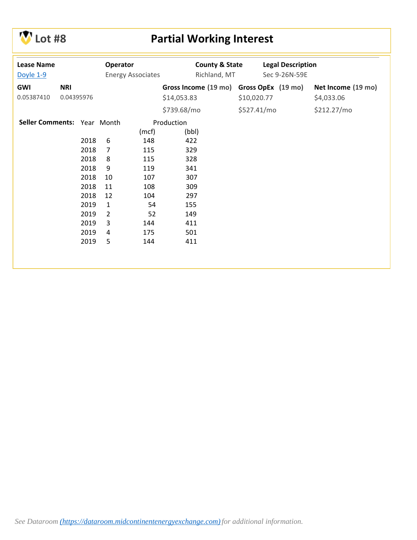

# **Lot #8 Partial Working Interest**

| <b>Lease Name</b><br>Doyle 1-9 |            |      | Operator       | <b>Energy Associates</b> | <b>County &amp; State</b><br>Richland, MT | <b>Legal Description</b><br>Sec 9-26N-59E |                    |
|--------------------------------|------------|------|----------------|--------------------------|-------------------------------------------|-------------------------------------------|--------------------|
| <b>GWI</b>                     | <b>NRI</b> |      |                |                          | Gross Income (19 mo) Gross OpEx (19 mo)   |                                           | Net Income (19 mo) |
| 0.05387410                     | 0.04395976 |      |                |                          | \$14,053.83                               | \$10,020.77                               | \$4,033.06         |
|                                |            |      |                |                          | \$739.68/mo                               | \$527.41/mo                               | \$212.27/mo        |
| Seller Comments: Year Month    |            |      |                |                          | Production                                |                                           |                    |
|                                |            |      |                | (mcf)                    | (bbl)                                     |                                           |                    |
|                                |            | 2018 | 6              | 148                      | 422                                       |                                           |                    |
|                                |            | 2018 | $\overline{7}$ | 115                      | 329                                       |                                           |                    |
|                                |            | 2018 | 8              | 115                      | 328                                       |                                           |                    |
|                                |            | 2018 | 9              | 119                      | 341                                       |                                           |                    |
|                                |            | 2018 | 10             | 107                      | 307                                       |                                           |                    |
|                                |            | 2018 | 11             | 108                      | 309                                       |                                           |                    |
|                                |            | 2018 | 12             | 104                      | 297                                       |                                           |                    |
|                                |            | 2019 | $\mathbf{1}$   | 54                       | 155                                       |                                           |                    |
|                                |            | 2019 | $\overline{2}$ | 52                       | 149                                       |                                           |                    |
|                                |            | 2019 | 3              | 144                      | 411                                       |                                           |                    |
|                                |            | 2019 | 4              | 175                      | 501                                       |                                           |                    |
|                                |            | 2019 | 5              | 144                      | 411                                       |                                           |                    |
|                                |            |      |                |                          |                                           |                                           |                    |
|                                |            |      |                |                          |                                           |                                           |                    |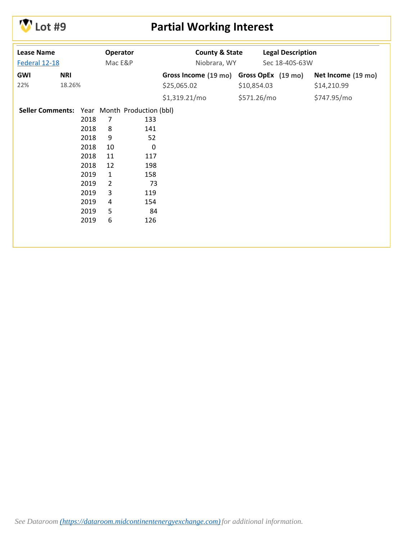

## **Lot #9 Partial Working Interest**

| <b>Lease Name</b><br>Federal 12-18           |            |      | Operator<br>Mac E&P |           | <b>County &amp; State</b><br>Niobrara, WY |             | <b>Legal Description</b><br>Sec 18-40S-63W |                    |
|----------------------------------------------|------------|------|---------------------|-----------|-------------------------------------------|-------------|--------------------------------------------|--------------------|
|                                              |            |      |                     |           |                                           |             |                                            |                    |
| GWI                                          | <b>NRI</b> |      |                     |           | Gross Income (19 mo) Gross OpEx (19 mo)   |             |                                            | Net Income (19 mo) |
| 22%                                          | 18.26%     |      |                     |           | \$25,065.02                               | \$10,854.03 |                                            | \$14,210.99        |
|                                              |            |      |                     |           | \$1,319.21/mo                             | \$571.26/mo |                                            | \$747.95/mo        |
| Seller Comments: Year Month Production (bbl) |            |      |                     |           |                                           |             |                                            |                    |
|                                              |            | 2018 | 7                   | 133       |                                           |             |                                            |                    |
|                                              |            | 2018 | 8                   | 141       |                                           |             |                                            |                    |
|                                              |            | 2018 | 9                   | 52        |                                           |             |                                            |                    |
|                                              |            | 2018 | 10                  | $\pmb{0}$ |                                           |             |                                            |                    |
|                                              |            | 2018 | 11                  | 117       |                                           |             |                                            |                    |
|                                              |            | 2018 | 12                  | 198       |                                           |             |                                            |                    |
|                                              |            | 2019 | $\mathbf{1}$        | 158       |                                           |             |                                            |                    |
|                                              |            | 2019 | $\overline{2}$      | 73        |                                           |             |                                            |                    |
|                                              |            | 2019 | 3                   | 119       |                                           |             |                                            |                    |
|                                              |            | 2019 | 4                   | 154       |                                           |             |                                            |                    |
|                                              |            | 2019 | 5                   | 84        |                                           |             |                                            |                    |
|                                              |            | 2019 | 6                   | 126       |                                           |             |                                            |                    |
|                                              |            |      |                     |           |                                           |             |                                            |                    |
|                                              |            |      |                     |           |                                           |             |                                            |                    |
|                                              |            |      |                     |           |                                           |             |                                            |                    |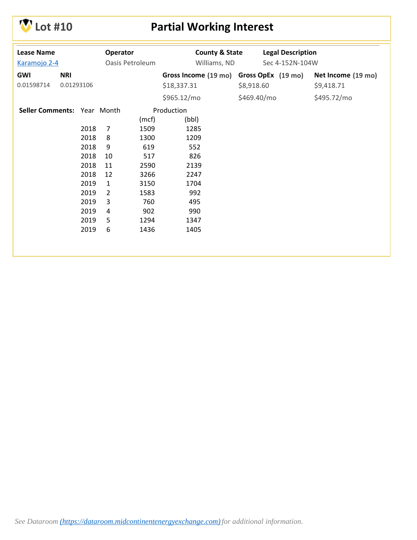

# **Lot #10 Partial Working Interest**

| <b>Lease Name</b><br>Karamojo 2-4 |                          |      | Operator<br>Oasis Petroleum |       | <b>County &amp; State</b><br>Williams, ND              |             | <b>Legal Description</b><br>Sec 4-152N-104W |                                  |
|-----------------------------------|--------------------------|------|-----------------------------|-------|--------------------------------------------------------|-------------|---------------------------------------------|----------------------------------|
| GWI<br>0.01598714                 | <b>NRI</b><br>0.01293106 |      |                             |       | Gross Income (19 mo) Gross OpEx (19 mo)<br>\$18,337.31 | \$8,918.60  |                                             | Net Income (19 mo)<br>\$9,418.71 |
|                                   |                          |      |                             |       | \$965.12/mo                                            | \$469.40/mo |                                             | \$495.72/mo                      |
| Seller Comments: Year Month       |                          |      |                             |       | Production                                             |             |                                             |                                  |
|                                   |                          |      |                             | (mcf) | (bbl)                                                  |             |                                             |                                  |
|                                   |                          | 2018 | 7                           | 1509  | 1285                                                   |             |                                             |                                  |
|                                   |                          | 2018 | 8                           | 1300  | 1209                                                   |             |                                             |                                  |
|                                   |                          | 2018 | 9                           | 619   | 552                                                    |             |                                             |                                  |
|                                   |                          | 2018 | 10                          | 517   | 826                                                    |             |                                             |                                  |
|                                   |                          | 2018 | 11                          | 2590  | 2139                                                   |             |                                             |                                  |
|                                   |                          | 2018 | 12                          | 3266  | 2247                                                   |             |                                             |                                  |
|                                   |                          | 2019 | $\mathbf{1}$                | 3150  | 1704                                                   |             |                                             |                                  |
|                                   |                          | 2019 | $\overline{2}$              | 1583  | 992                                                    |             |                                             |                                  |
|                                   |                          | 2019 | 3                           | 760   | 495                                                    |             |                                             |                                  |
|                                   |                          | 2019 | 4                           | 902   | 990                                                    |             |                                             |                                  |
|                                   |                          | 2019 | 5                           | 1294  | 1347                                                   |             |                                             |                                  |
|                                   |                          | 2019 | 6                           | 1436  | 1405                                                   |             |                                             |                                  |
|                                   |                          |      |                             |       |                                                        |             |                                             |                                  |
|                                   |                          |      |                             |       |                                                        |             |                                             |                                  |
|                                   |                          |      |                             |       |                                                        |             |                                             |                                  |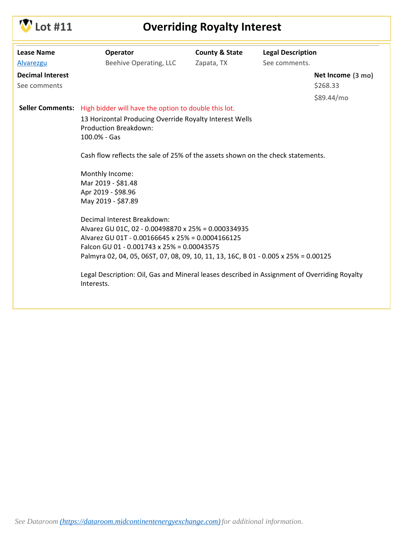

# **Lot #11 Overriding Royalty Interest**

| <b>Lease Name</b>       | <b>Operator</b>                                                                                                                                                                                                                                                                                                                                                                           | <b>County &amp; State</b> | <b>Legal Description</b> |                   |
|-------------------------|-------------------------------------------------------------------------------------------------------------------------------------------------------------------------------------------------------------------------------------------------------------------------------------------------------------------------------------------------------------------------------------------|---------------------------|--------------------------|-------------------|
| <b>Alvarezgu</b>        | Beehive Operating, LLC                                                                                                                                                                                                                                                                                                                                                                    | Zapata, TX                | See comments.            |                   |
| <b>Decimal Interest</b> |                                                                                                                                                                                                                                                                                                                                                                                           |                           |                          | Net Income (3 mo) |
| See comments            |                                                                                                                                                                                                                                                                                                                                                                                           |                           |                          | \$268.33          |
|                         |                                                                                                                                                                                                                                                                                                                                                                                           |                           |                          | \$89.44/mo        |
|                         | Seller Comments: High bidder will have the option to double this lot.                                                                                                                                                                                                                                                                                                                     |                           |                          |                   |
|                         | 13 Horizontal Producing Override Royalty Interest Wells<br><b>Production Breakdown:</b><br>100.0% - Gas                                                                                                                                                                                                                                                                                   |                           |                          |                   |
|                         | Cash flow reflects the sale of 25% of the assets shown on the check statements.                                                                                                                                                                                                                                                                                                           |                           |                          |                   |
|                         | Monthly Income:                                                                                                                                                                                                                                                                                                                                                                           |                           |                          |                   |
|                         | Mar 2019 - \$81.48                                                                                                                                                                                                                                                                                                                                                                        |                           |                          |                   |
|                         | Apr 2019 - \$98.96                                                                                                                                                                                                                                                                                                                                                                        |                           |                          |                   |
|                         | May 2019 - \$87.89                                                                                                                                                                                                                                                                                                                                                                        |                           |                          |                   |
|                         | Decimal Interest Breakdown:<br>Alvarez GU 01C, 02 - 0.00498870 x 25% = 0.000334935<br>Alvarez GU 01T - 0.00166645 x 25% = 0.0004166125<br>Falcon GU 01 - 0.001743 x 25% = 0.00043575<br>Palmyra 02, 04, 05, 06ST, 07, 08, 09, 10, 11, 13, 16C, B 01 - 0.005 x 25% = 0.00125<br>Legal Description: Oil, Gas and Mineral leases described in Assignment of Overriding Royalty<br>Interests. |                           |                          |                   |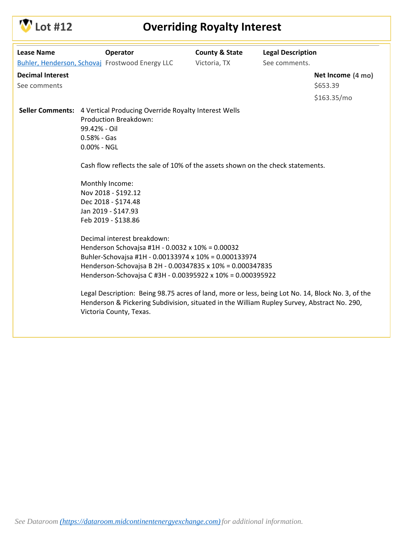

# **Lot #12 Overriding Royalty Interest**

| <b>Lease Name</b>                       | Operator                                                                                                                                                                                                                                                                                                                                                                                                                                                                                           | <b>County &amp; State</b> | <b>Legal Description</b> |                               |
|-----------------------------------------|----------------------------------------------------------------------------------------------------------------------------------------------------------------------------------------------------------------------------------------------------------------------------------------------------------------------------------------------------------------------------------------------------------------------------------------------------------------------------------------------------|---------------------------|--------------------------|-------------------------------|
|                                         | Buhler, Henderson, Schovaj Frostwood Energy LLC                                                                                                                                                                                                                                                                                                                                                                                                                                                    | Victoria, TX              | See comments.            |                               |
| <b>Decimal Interest</b><br>See comments |                                                                                                                                                                                                                                                                                                                                                                                                                                                                                                    |                           |                          | Net Income (4 mo)<br>\$653.39 |
|                                         |                                                                                                                                                                                                                                                                                                                                                                                                                                                                                                    |                           |                          | \$163.35/mol                  |
|                                         | Seller Comments: 4 Vertical Producing Override Royalty Interest Wells<br>Production Breakdown:<br>99.42% - Oil<br>$0.58% - Gas$<br>$0.00% - NGL$<br>Cash flow reflects the sale of 10% of the assets shown on the check statements.<br>Monthly Income:<br>Nov 2018 - \$192.12<br>Dec 2018 - \$174.48<br>Jan 2019 - \$147.93<br>Feb 2019 - \$138.86                                                                                                                                                 |                           |                          |                               |
|                                         | Decimal interest breakdown:<br>Henderson Schovajsa #1H - 0.0032 x 10% = 0.00032<br>Buhler-Schovajsa #1H - 0.00133974 x 10% = 0.000133974<br>Henderson-Schovajsa B 2H - 0.00347835 x 10% = 0.000347835<br>Henderson-Schovajsa C #3H - 0.00395922 x 10% = 0.000395922<br>Legal Description: Being 98.75 acres of land, more or less, being Lot No. 14, Block No. 3, of the<br>Henderson & Pickering Subdivision, situated in the William Rupley Survey, Abstract No. 290,<br>Victoria County, Texas. |                           |                          |                               |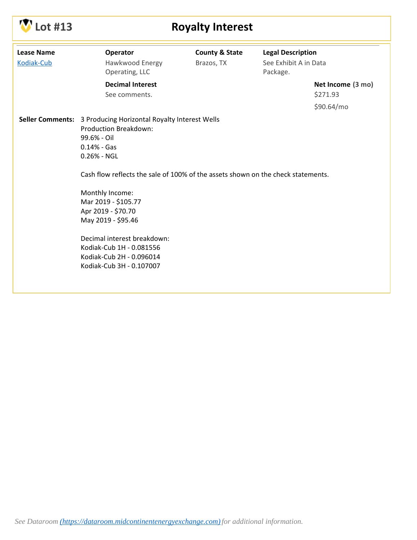

# **CONFIDENTIAL Royalty Interest**

| <b>Lease Name</b><br>Kodiak-Cub | Operator<br>Hawkwood Energy<br>Operating, LLC                                                                                                                                                                                                                                                                                                                                                                                         | <b>County &amp; State</b><br>Brazos, TX | <b>Legal Description</b><br>See Exhibit A in Data<br>Package. |  |
|---------------------------------|---------------------------------------------------------------------------------------------------------------------------------------------------------------------------------------------------------------------------------------------------------------------------------------------------------------------------------------------------------------------------------------------------------------------------------------|-----------------------------------------|---------------------------------------------------------------|--|
|                                 | <b>Decimal Interest</b><br>See comments.                                                                                                                                                                                                                                                                                                                                                                                              |                                         | Net Income (3 mo)<br>\$271.93                                 |  |
|                                 |                                                                                                                                                                                                                                                                                                                                                                                                                                       |                                         | \$90.64/mo                                                    |  |
|                                 | Seller Comments: 3 Producing Horizontal Royalty Interest Wells<br>Production Breakdown:<br>99.6% - Oil<br>$0.14%$ - Gas<br>$0.26% - NGL$<br>Cash flow reflects the sale of 100% of the assets shown on the check statements.<br>Monthly Income:<br>Mar 2019 - \$105.77<br>Apr 2019 - \$70.70<br>May 2019 - \$95.46<br>Decimal interest breakdown:<br>Kodiak-Cub 1H - 0.081556<br>Kodiak-Cub 2H - 0.096014<br>Kodiak-Cub 3H - 0.107007 |                                         |                                                               |  |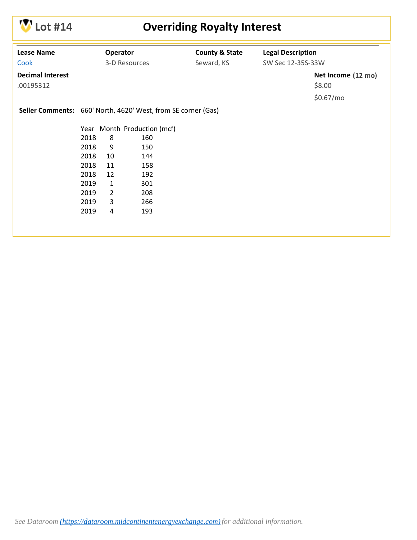

## **Lot #14 Overriding Royalty Interest**

| <b>Lease Name</b><br>Cook            |      | Operator     | 3-D Resources                                                 | <b>County &amp; State</b><br>Seward, KS | <b>Legal Description</b><br>SW Sec 12-35S-33W |                              |
|--------------------------------------|------|--------------|---------------------------------------------------------------|-----------------------------------------|-----------------------------------------------|------------------------------|
| <b>Decimal Interest</b><br>.00195312 |      |              |                                                               |                                         |                                               | Net Income (12 mo)<br>\$8.00 |
|                                      |      |              |                                                               |                                         |                                               | \$0.67/mo                    |
|                                      |      |              | Seller Comments: 660' North, 4620' West, from SE corner (Gas) |                                         |                                               |                              |
|                                      |      |              | Year Month Production (mcf)                                   |                                         |                                               |                              |
|                                      | 2018 | 8            | 160                                                           |                                         |                                               |                              |
|                                      | 2018 | 9            | 150                                                           |                                         |                                               |                              |
|                                      | 2018 | 10           | 144                                                           |                                         |                                               |                              |
|                                      | 2018 | 11           | 158                                                           |                                         |                                               |                              |
|                                      | 2018 | 12           | 192                                                           |                                         |                                               |                              |
|                                      | 2019 | $\mathbf{1}$ | 301                                                           |                                         |                                               |                              |
|                                      | 2019 | 2            | 208                                                           |                                         |                                               |                              |
|                                      | 2019 | 3            | 266                                                           |                                         |                                               |                              |
|                                      | 2019 | 4            | 193                                                           |                                         |                                               |                              |
|                                      |      |              |                                                               |                                         |                                               |                              |
|                                      |      |              |                                                               |                                         |                                               |                              |
|                                      |      |              |                                                               |                                         |                                               |                              |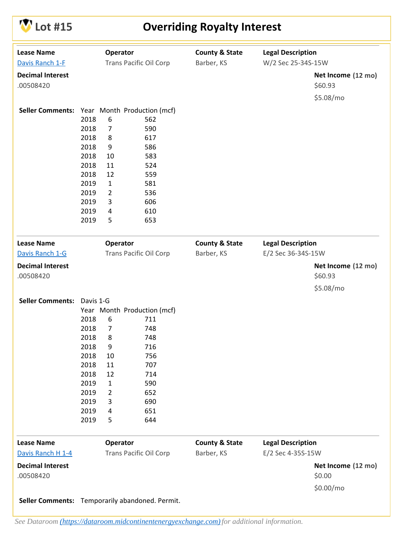

## **Lot #15 Overriding Royalty Interest**

| <b>Lease Name</b>                               |           | Operator       |                               | <b>County &amp; State</b> | <b>Legal Description</b> |                               |
|-------------------------------------------------|-----------|----------------|-------------------------------|---------------------------|--------------------------|-------------------------------|
| Davis Ranch 1-F                                 |           |                | <b>Trans Pacific Oil Corp</b> | Barber, KS                | W/2 Sec 25-34S-15W       |                               |
| <b>Decimal Interest</b>                         |           |                |                               |                           |                          | Net Income (12 mo)            |
| .00508420                                       |           |                |                               |                           |                          | \$60.93                       |
|                                                 |           |                |                               |                           |                          | \$5.08/mo                     |
| Seller Comments: Year Month Production (mcf)    |           |                |                               |                           |                          |                               |
|                                                 | 2018      | 6              | 562                           |                           |                          |                               |
|                                                 | 2018      | $\overline{7}$ | 590                           |                           |                          |                               |
|                                                 | 2018      | 8              | 617                           |                           |                          |                               |
|                                                 | 2018      | 9              | 586                           |                           |                          |                               |
|                                                 | 2018      | 10             | 583                           |                           |                          |                               |
|                                                 | 2018      | 11             | 524                           |                           |                          |                               |
|                                                 | 2018      | 12             | 559                           |                           |                          |                               |
|                                                 | 2019      | $\mathbf{1}$   | 581                           |                           |                          |                               |
|                                                 | 2019      | $\overline{2}$ | 536                           |                           |                          |                               |
|                                                 | 2019      | 3              | 606                           |                           |                          |                               |
|                                                 | 2019      | 4              | 610                           |                           |                          |                               |
|                                                 | 2019      | 5              | 653                           |                           |                          |                               |
| <b>Lease Name</b>                               |           | Operator       |                               | <b>County &amp; State</b> | <b>Legal Description</b> |                               |
| Davis Ranch 1-G                                 |           |                | <b>Trans Pacific Oil Corp</b> | Barber, KS                | E/2 Sec 36-34S-15W       |                               |
|                                                 |           |                |                               |                           |                          |                               |
| <b>Decimal Interest</b><br>.00508420            |           |                |                               |                           |                          | Net Income (12 mo)<br>\$60.93 |
|                                                 |           |                |                               |                           |                          | \$5.08/mo                     |
| <b>Seller Comments:</b>                         | Davis 1-G |                |                               |                           |                          |                               |
|                                                 |           |                | Year Month Production (mcf)   |                           |                          |                               |
|                                                 | 2018      | 6              | 711                           |                           |                          |                               |
|                                                 | 2018      | 7              | 748                           |                           |                          |                               |
|                                                 | 2018      | 8              | 748                           |                           |                          |                               |
|                                                 | 2018      | 9              | 716                           |                           |                          |                               |
|                                                 | 2018      | 10             | 756                           |                           |                          |                               |
|                                                 | 2018      | 11             | 707                           |                           |                          |                               |
|                                                 | 2018      | 12             | 714                           |                           |                          |                               |
|                                                 | 2019      | $\mathbf{1}$   | 590                           |                           |                          |                               |
|                                                 | 2019      | 2              | 652                           |                           |                          |                               |
|                                                 | 2019      | 3              | 690                           |                           |                          |                               |
|                                                 | 2019      | 4              | 651                           |                           |                          |                               |
|                                                 | 2019      | 5              | 644                           |                           |                          |                               |
| <b>Lease Name</b>                               |           | Operator       |                               | <b>County &amp; State</b> | <b>Legal Description</b> |                               |
| Davis Ranch H 1-4                               |           |                | <b>Trans Pacific Oil Corp</b> | Barber, KS                | E/2 Sec 4-35S-15W        |                               |
| <b>Decimal Interest</b><br>.00508420            |           |                |                               |                           |                          | Net Income (12 mo)<br>\$0.00  |
|                                                 |           |                |                               |                           |                          | \$0.00/mo                     |
| Seller Comments: Temporarily abandoned. Permit. |           |                |                               |                           |                          |                               |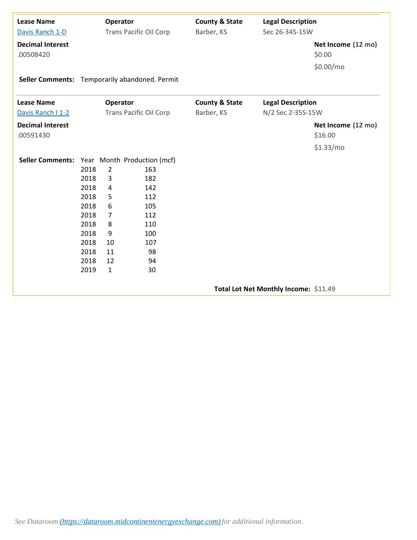| <b>Lease Name</b><br>Davis Ranch 1-D           |      | Operator       | <b>Trans Pacific Oil Corp</b> | <b>County &amp; State</b><br>Barber, KS | <b>Legal Description</b><br>Sec 26-34S-15W |                               |
|------------------------------------------------|------|----------------|-------------------------------|-----------------------------------------|--------------------------------------------|-------------------------------|
| <b>Decimal Interest</b><br>.00508420           |      |                |                               |                                         |                                            | Net Income (12 mo)<br>\$0.00  |
|                                                |      |                |                               |                                         |                                            | \$0.00/mo                     |
| Seller Comments: Temporarily abandoned. Permit |      |                |                               |                                         |                                            |                               |
| <b>Lease Name</b>                              |      | Operator       |                               | <b>County &amp; State</b>               | <b>Legal Description</b>                   |                               |
| Davis Ranch I 1-2                              |      |                | <b>Trans Pacific Oil Corp</b> | Barber, KS                              | N/2 Sec 2-35S-15W                          |                               |
| <b>Decimal Interest</b><br>.00591430           |      |                |                               |                                         |                                            | Net Income (12 mo)<br>\$16.00 |
|                                                |      |                |                               |                                         |                                            | \$1.33/mo                     |
| Seller Comments: Year Month Production (mcf)   |      |                |                               |                                         |                                            |                               |
|                                                | 2018 | $\overline{2}$ | 163                           |                                         |                                            |                               |
|                                                | 2018 | 3              | 182                           |                                         |                                            |                               |
|                                                | 2018 | 4              | 142                           |                                         |                                            |                               |
|                                                | 2018 | 5              | 112                           |                                         |                                            |                               |
|                                                | 2018 | 6              | 105                           |                                         |                                            |                               |
|                                                | 2018 | $\overline{7}$ | 112                           |                                         |                                            |                               |
|                                                | 2018 | 8              | 110                           |                                         |                                            |                               |
|                                                | 2018 | 9              | 100                           |                                         |                                            |                               |
|                                                | 2018 | 10             | 107                           |                                         |                                            |                               |
|                                                | 2018 | 11             | 98                            |                                         |                                            |                               |
|                                                | 2018 | 12             | 94                            |                                         |                                            |                               |
|                                                | 2019 | $\mathbf{1}$   | 30                            |                                         |                                            |                               |
|                                                |      |                |                               |                                         | Total Lot Net Monthly Income: \$11.49      |                               |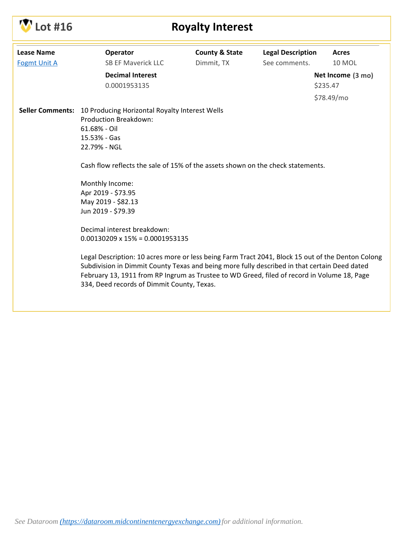| .ot #16             |                                                                                                                                                                                                                                                                                                                                                | <b>Royalty Interest</b>                 |                                           |                                             |
|---------------------|------------------------------------------------------------------------------------------------------------------------------------------------------------------------------------------------------------------------------------------------------------------------------------------------------------------------------------------------|-----------------------------------------|-------------------------------------------|---------------------------------------------|
| <b>Lease Name</b>   | Operator<br><b>SB EF Maverick LLC</b>                                                                                                                                                                                                                                                                                                          | <b>County &amp; State</b><br>Dimmit, TX | <b>Legal Description</b><br>See comments. | Acres<br><b>10 MOL</b>                      |
| <b>Fogmt Unit A</b> | <b>Decimal Interest</b><br>0.0001953135                                                                                                                                                                                                                                                                                                        |                                         |                                           | Net Income (3 mo)<br>\$235.47<br>\$78.49/mo |
|                     | Seller Comments: 10 Producing Horizontal Royalty Interest Wells<br><b>Production Breakdown:</b><br>61.68% - Oil<br>15.53% - Gas<br>22.79% - NGL<br>Cash flow reflects the sale of 15% of the assets shown on the check statements.                                                                                                             |                                         |                                           |                                             |
|                     | Monthly Income:<br>Apr 2019 - \$73.95<br>May 2019 - \$82.13<br>Jun 2019 - \$79.39                                                                                                                                                                                                                                                              |                                         |                                           |                                             |
|                     | Decimal interest breakdown:<br>$0.00130209 \times 15\% = 0.0001953135$                                                                                                                                                                                                                                                                         |                                         |                                           |                                             |
|                     | Legal Description: 10 acres more or less being Farm Tract 2041, Block 15 out of the Denton Colong<br>Subdivision in Dimmit County Texas and being more fully described in that certain Deed dated<br>February 13, 1911 from RP Ingrum as Trustee to WD Greed, filed of record in Volume 18, Page<br>334, Deed records of Dimmit County, Texas. |                                         |                                           |                                             |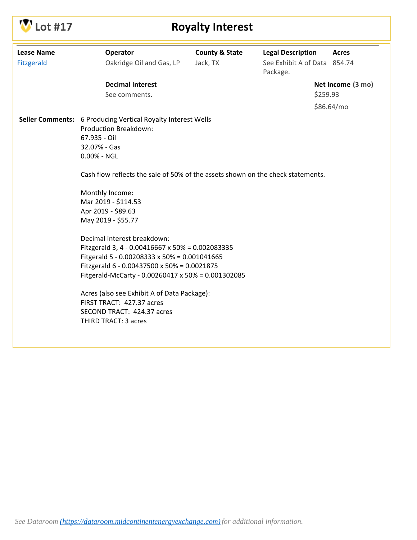

# **CONFIGURITY ROYALTY Interest**

| <b>Lease Name</b> | Operator                                                                                                                                                                                                                                                                                                                                                                                                                                                                                                                                                                                                                                                                                       | <b>County &amp; State</b> | <b>Legal Description</b>                 | <b>Acres</b>      |
|-------------------|------------------------------------------------------------------------------------------------------------------------------------------------------------------------------------------------------------------------------------------------------------------------------------------------------------------------------------------------------------------------------------------------------------------------------------------------------------------------------------------------------------------------------------------------------------------------------------------------------------------------------------------------------------------------------------------------|---------------------------|------------------------------------------|-------------------|
| <b>Fitzgerald</b> | Oakridge Oil and Gas, LP                                                                                                                                                                                                                                                                                                                                                                                                                                                                                                                                                                                                                                                                       | Jack, TX                  | See Exhibit A of Data 854.74<br>Package. |                   |
|                   | <b>Decimal Interest</b>                                                                                                                                                                                                                                                                                                                                                                                                                                                                                                                                                                                                                                                                        |                           |                                          | Net Income (3 mo) |
|                   | See comments.                                                                                                                                                                                                                                                                                                                                                                                                                                                                                                                                                                                                                                                                                  |                           | \$259.93                                 |                   |
|                   |                                                                                                                                                                                                                                                                                                                                                                                                                                                                                                                                                                                                                                                                                                |                           |                                          | \$86.64/mo        |
|                   | Seller Comments: 6 Producing Vertical Royalty Interest Wells<br>Production Breakdown:<br>67.935 - Oil<br>32.07% - Gas<br>0.00% - NGL<br>Cash flow reflects the sale of 50% of the assets shown on the check statements.<br>Monthly Income:<br>Mar 2019 - \$114.53<br>Apr 2019 - \$89.63<br>May 2019 - \$55.77<br>Decimal interest breakdown:<br>Fitzgerald 3, 4 - 0.00416667 x 50% = 0.002083335<br>Fitgerald 5 - 0.00208333 x 50% = 0.001041665<br>Fitzgerald 6 - 0.00437500 x 50% = 0.0021875<br>Fitgerald-McCarty - 0.00260417 x 50% = 0.001302085<br>Acres (also see Exhibit A of Data Package):<br>FIRST TRACT: 427.37 acres<br>SECOND TRACT: 424.37 acres<br><b>THIRD TRACT: 3 acres</b> |                           |                                          |                   |
|                   |                                                                                                                                                                                                                                                                                                                                                                                                                                                                                                                                                                                                                                                                                                |                           |                                          |                   |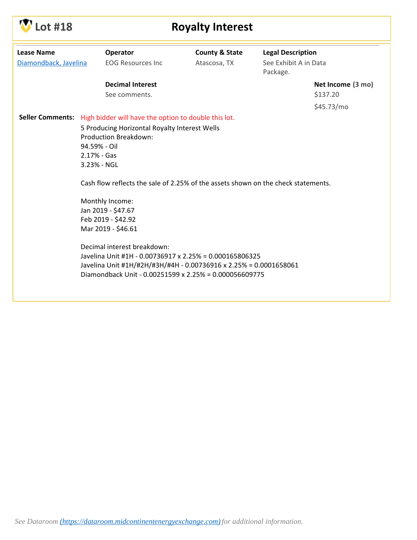

# **Lot #18 Royalty Interest**

| <b>Lease Name</b><br>Diamondback, Javelina |                                                                                   | Operator<br><b>EOG Resources Inc.</b>                                                  | <b>County &amp; State</b><br>Atascosa, TX | <b>Legal Description</b><br>See Exhibit A in Data<br>Package. |                   |  |  |  |
|--------------------------------------------|-----------------------------------------------------------------------------------|----------------------------------------------------------------------------------------|-------------------------------------------|---------------------------------------------------------------|-------------------|--|--|--|
|                                            |                                                                                   | <b>Decimal Interest</b>                                                                |                                           |                                                               | Net Income (3 mo) |  |  |  |
|                                            |                                                                                   | See comments.                                                                          |                                           |                                                               | \$137.20          |  |  |  |
|                                            |                                                                                   |                                                                                        |                                           |                                                               | \$45.73/mo        |  |  |  |
|                                            |                                                                                   | Seller Comments: High bidder will have the option to double this lot.                  |                                           |                                                               |                   |  |  |  |
|                                            |                                                                                   | 5 Producing Horizontal Royalty Interest Wells                                          |                                           |                                                               |                   |  |  |  |
|                                            |                                                                                   | <b>Production Breakdown:</b>                                                           |                                           |                                                               |                   |  |  |  |
|                                            | 94.59% - Oil                                                                      |                                                                                        |                                           |                                                               |                   |  |  |  |
|                                            | $2.17% - Gas$                                                                     |                                                                                        |                                           |                                                               |                   |  |  |  |
|                                            | 3.23% - NGL                                                                       |                                                                                        |                                           |                                                               |                   |  |  |  |
|                                            | Cash flow reflects the sale of 2.25% of the assets shown on the check statements. |                                                                                        |                                           |                                                               |                   |  |  |  |
|                                            |                                                                                   | Monthly Income:                                                                        |                                           |                                                               |                   |  |  |  |
|                                            |                                                                                   | Jan 2019 - \$47.67                                                                     |                                           |                                                               |                   |  |  |  |
|                                            |                                                                                   | Feb 2019 - \$42.92                                                                     |                                           |                                                               |                   |  |  |  |
|                                            |                                                                                   | Mar 2019 - \$46.61                                                                     |                                           |                                                               |                   |  |  |  |
|                                            |                                                                                   |                                                                                        |                                           |                                                               |                   |  |  |  |
|                                            |                                                                                   | Decimal interest breakdown:<br>Javelina Unit #1H - 0.00736917 x 2.25% = 0.000165806325 |                                           |                                                               |                   |  |  |  |
|                                            |                                                                                   | Javelina Unit #1H/#2H/#3H/#4H - 0.00736916 x 2.25% = 0.0001658061                      |                                           |                                                               |                   |  |  |  |
|                                            |                                                                                   | Diamondback Unit - 0.00251599 x 2.25% = 0.000056609775                                 |                                           |                                                               |                   |  |  |  |
|                                            |                                                                                   |                                                                                        |                                           |                                                               |                   |  |  |  |
|                                            |                                                                                   |                                                                                        |                                           |                                                               |                   |  |  |  |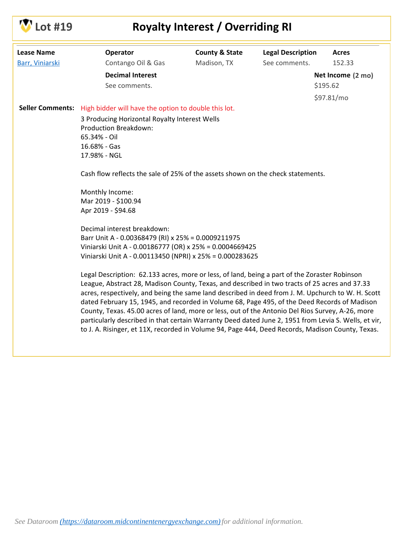

## **Lot #19 Royalty Interest / Overriding RI**

| <b>Lease Name</b>       | Operator                                                                                                                                                                                                                                                                                                                                                                                                                                                                                                                                                                                                                                                                                                            | <b>County &amp; State</b> | <b>Legal Description</b> | <b>Acres</b>                  |
|-------------------------|---------------------------------------------------------------------------------------------------------------------------------------------------------------------------------------------------------------------------------------------------------------------------------------------------------------------------------------------------------------------------------------------------------------------------------------------------------------------------------------------------------------------------------------------------------------------------------------------------------------------------------------------------------------------------------------------------------------------|---------------------------|--------------------------|-------------------------------|
| Barr, Viniarski         | Contango Oil & Gas                                                                                                                                                                                                                                                                                                                                                                                                                                                                                                                                                                                                                                                                                                  | Madison, TX               | See comments.            | 152.33                        |
|                         | <b>Decimal Interest</b><br>See comments.                                                                                                                                                                                                                                                                                                                                                                                                                                                                                                                                                                                                                                                                            |                           |                          | Net Income (2 mo)<br>\$195.62 |
|                         |                                                                                                                                                                                                                                                                                                                                                                                                                                                                                                                                                                                                                                                                                                                     |                           |                          |                               |
|                         |                                                                                                                                                                                                                                                                                                                                                                                                                                                                                                                                                                                                                                                                                                                     |                           |                          | \$97.81/mo                    |
| <b>Seller Comments:</b> | High bidder will have the option to double this lot.                                                                                                                                                                                                                                                                                                                                                                                                                                                                                                                                                                                                                                                                |                           |                          |                               |
|                         | 3 Producing Horizontal Royalty Interest Wells<br><b>Production Breakdown:</b><br>65.34% - Oil<br>16.68% - Gas<br>17.98% - NGL                                                                                                                                                                                                                                                                                                                                                                                                                                                                                                                                                                                       |                           |                          |                               |
|                         | Cash flow reflects the sale of 25% of the assets shown on the check statements.                                                                                                                                                                                                                                                                                                                                                                                                                                                                                                                                                                                                                                     |                           |                          |                               |
|                         | Monthly Income:<br>Mar 2019 - \$100.94<br>Apr 2019 - \$94.68                                                                                                                                                                                                                                                                                                                                                                                                                                                                                                                                                                                                                                                        |                           |                          |                               |
|                         | Decimal interest breakdown:<br>Barr Unit A - 0.00368479 (RI) x 25% = 0.0009211975<br>Viniarski Unit A - 0.00186777 (OR) x 25% = 0.0004669425<br>Viniarski Unit A - 0.00113450 (NPRI) x 25% = 0.000283625                                                                                                                                                                                                                                                                                                                                                                                                                                                                                                            |                           |                          |                               |
|                         | Legal Description: 62.133 acres, more or less, of land, being a part of the Zoraster Robinson<br>League, Abstract 28, Madison County, Texas, and described in two tracts of 25 acres and 37.33<br>acres, respectively, and being the same land described in deed from J. M. Upchurch to W. H. Scott<br>dated February 15, 1945, and recorded in Volume 68, Page 495, of the Deed Records of Madison<br>County, Texas. 45.00 acres of land, more or less, out of the Antonio Del Rios Survey, A-26, more<br>particularly described in that certain Warranty Deed dated June 2, 1951 from Levia S. Wells, et vir,<br>to J. A. Risinger, et 11X, recorded in Volume 94, Page 444, Deed Records, Madison County, Texas. |                           |                          |                               |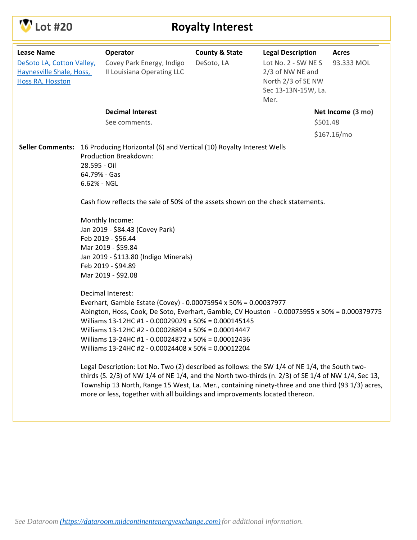

## **Lot #20 Royalty Interest**

| <b>Lease Name</b><br>DeSoto LA, Cotton Valley,<br>Haynesville Shale, Hoss,<br>Hoss RA, Hosston |                                             | Operator<br>Covey Park Energy, Indigo<br>Il Louisiana Operating LLC                                                                                                                                                                                                                                                                                                                                                                                                                                                | <b>County &amp; State</b><br>DeSoto, LA | <b>Legal Description</b><br>Lot No. 2 - SW NES<br>2/3 of NW NE and<br>North 2/3 of SE NW<br>Sec 13-13N-15W, La.<br>Mer. |          | <b>Acres</b><br>93.333 MOL |
|------------------------------------------------------------------------------------------------|---------------------------------------------|--------------------------------------------------------------------------------------------------------------------------------------------------------------------------------------------------------------------------------------------------------------------------------------------------------------------------------------------------------------------------------------------------------------------------------------------------------------------------------------------------------------------|-----------------------------------------|-------------------------------------------------------------------------------------------------------------------------|----------|----------------------------|
|                                                                                                |                                             | <b>Decimal Interest</b>                                                                                                                                                                                                                                                                                                                                                                                                                                                                                            |                                         |                                                                                                                         |          | Net Income (3 mo)          |
|                                                                                                |                                             | See comments.                                                                                                                                                                                                                                                                                                                                                                                                                                                                                                      |                                         |                                                                                                                         | \$501.48 |                            |
|                                                                                                |                                             |                                                                                                                                                                                                                                                                                                                                                                                                                                                                                                                    |                                         |                                                                                                                         |          | \$167.16/mo                |
|                                                                                                | 28.595 - Oil<br>64.79% - Gas<br>6.62% - NGL | <b>Production Breakdown:</b><br>Cash flow reflects the sale of 50% of the assets shown on the check statements.<br>Monthly Income:<br>Jan 2019 - \$84.43 (Covey Park)<br>Feb 2019 - \$56.44<br>Mar 2019 - \$59.84<br>Jan 2019 - \$113.80 (Indigo Minerals)<br>Feb 2019 - \$94.89<br>Mar 2019 - \$92.08                                                                                                                                                                                                             |                                         |                                                                                                                         |          |                            |
|                                                                                                |                                             | Decimal Interest:<br>Everhart, Gamble Estate (Covey) - 0.00075954 x 50% = 0.00037977<br>Abington, Hoss, Cook, De Soto, Everhart, Gamble, CV Houston - 0.00075955 x 50% = 0.000379775<br>Williams 13-12HC #1 - 0.00029029 x 50% = 0.000145145<br>Williams 13-12HC #2 - 0.00028894 x 50% = 0.00014447<br>Williams 13-24HC #1 - 0.00024872 x 50% = 0.00012436<br>Williams 13-24HC #2 - 0.00024408 x 50% = 0.00012204<br>Legal Description: Lot No. Two (2) described as follows: the SW 1/4 of NE 1/4, the South two- |                                         |                                                                                                                         |          |                            |
|                                                                                                |                                             | thirds (S. 2/3) of NW 1/4 of NE 1/4, and the North two-thirds (n. 2/3) of SE 1/4 of NW 1/4, Sec 13,<br>Township 13 North, Range 15 West, La. Mer., containing ninety-three and one third (93 1/3) acres,<br>more or less, together with all buildings and improvements located thereon.                                                                                                                                                                                                                            |                                         |                                                                                                                         |          |                            |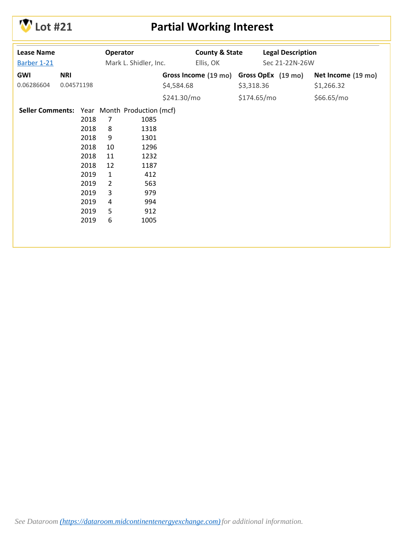

# **Lot #21 Partial Working Interest**

| <b>Lease Name</b> |            |      | Operator       |                                              |             | <b>County &amp; State</b> |             | <b>Legal Description</b> |                    |
|-------------------|------------|------|----------------|----------------------------------------------|-------------|---------------------------|-------------|--------------------------|--------------------|
| Barber 1-21       |            |      |                | Mark L. Shidler, Inc.                        |             | Ellis, OK                 |             | Sec 21-22N-26W           |                    |
| <b>GWI</b>        | <b>NRI</b> |      |                |                                              |             | Gross Income (19 mo)      |             | Gross OpEx (19 mo)       | Net Income (19 mo) |
| 0.06286604        | 0.04571198 |      |                |                                              | \$4,584.68  |                           | \$3,318.36  |                          | \$1,266.32         |
|                   |            |      |                |                                              | \$241.30/mo |                           | \$174.65/mo |                          | \$66.65/mo         |
|                   |            |      |                | Seller Comments: Year Month Production (mcf) |             |                           |             |                          |                    |
|                   |            | 2018 | 7              | 1085                                         |             |                           |             |                          |                    |
|                   |            | 2018 | 8              | 1318                                         |             |                           |             |                          |                    |
|                   |            | 2018 | 9              | 1301                                         |             |                           |             |                          |                    |
|                   |            | 2018 | 10             | 1296                                         |             |                           |             |                          |                    |
|                   |            | 2018 | 11             | 1232                                         |             |                           |             |                          |                    |
|                   |            | 2018 | 12             | 1187                                         |             |                           |             |                          |                    |
|                   |            | 2019 | $\mathbf{1}$   | 412                                          |             |                           |             |                          |                    |
|                   |            | 2019 | $\overline{2}$ | 563                                          |             |                           |             |                          |                    |
|                   |            | 2019 | 3              | 979                                          |             |                           |             |                          |                    |
|                   |            | 2019 | 4              | 994                                          |             |                           |             |                          |                    |
|                   |            | 2019 | 5              | 912                                          |             |                           |             |                          |                    |
|                   |            | 2019 | 6              | 1005                                         |             |                           |             |                          |                    |
|                   |            |      |                |                                              |             |                           |             |                          |                    |
|                   |            |      |                |                                              |             |                           |             |                          |                    |
|                   |            |      |                |                                              |             |                           |             |                          |                    |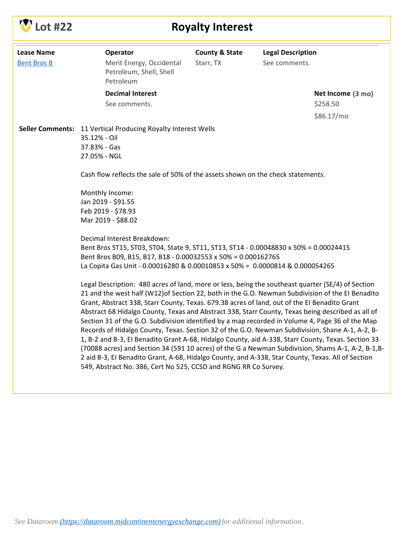

# **CONTROVERY INTERVALUATE:** Royalty Interest

| <b>Lease Name</b><br><b>Bent Bros B</b> | Operator<br>Merit Energy, Occidental<br>Petroleum, Shell, Shell<br>Petroleum                                                                                                                                                                                                                                                                                                                                                                                                                                                                                                                                                                                                                                                                                                                                                                                                                                                                                                                         | <b>County &amp; State</b><br>Starr, TX | <b>Legal Description</b><br>See comments. |                               |
|-----------------------------------------|------------------------------------------------------------------------------------------------------------------------------------------------------------------------------------------------------------------------------------------------------------------------------------------------------------------------------------------------------------------------------------------------------------------------------------------------------------------------------------------------------------------------------------------------------------------------------------------------------------------------------------------------------------------------------------------------------------------------------------------------------------------------------------------------------------------------------------------------------------------------------------------------------------------------------------------------------------------------------------------------------|----------------------------------------|-------------------------------------------|-------------------------------|
|                                         | <b>Decimal Interest</b><br>See comments.                                                                                                                                                                                                                                                                                                                                                                                                                                                                                                                                                                                                                                                                                                                                                                                                                                                                                                                                                             |                                        |                                           | Net Income (3 mo)<br>\$258.50 |
|                                         | Seller Comments: 11 Vertical Producing Royalty Interest Wells<br>35.12% - Oil<br>37.83% - Gas<br>27.05% - NGL                                                                                                                                                                                                                                                                                                                                                                                                                                                                                                                                                                                                                                                                                                                                                                                                                                                                                        |                                        |                                           | \$86.17/mo                    |
|                                         | Cash flow reflects the sale of 50% of the assets shown on the check statements.                                                                                                                                                                                                                                                                                                                                                                                                                                                                                                                                                                                                                                                                                                                                                                                                                                                                                                                      |                                        |                                           |                               |
|                                         | Monthly Income:<br>Jan 2019 - \$91.55<br>Feb 2019 - \$78.93<br>Mar 2019 - \$88.02                                                                                                                                                                                                                                                                                                                                                                                                                                                                                                                                                                                                                                                                                                                                                                                                                                                                                                                    |                                        |                                           |                               |
|                                         | Decimal Interest Breakdown:<br>Bent Bros ST15, ST03, ST04, State 9, ST11, ST13, ST14 - 0.00048830 x 50% = 0.00024415<br>Bent Bros B09, B15, B17, B18 - 0.00032553 x 50% = 0.000162765<br>La Copita Gas Unit - 0.00016280 & 0.00010853 x 50% = 0.0000814 & 0.000054265                                                                                                                                                                                                                                                                                                                                                                                                                                                                                                                                                                                                                                                                                                                                |                                        |                                           |                               |
|                                         | Legal Description: 480 acres of land, more or less, being the southeast quarter (SE/4) of Section<br>21 and the west half (W12) of Section 22, both in the G.O. Newman Subdivision of the EI Benadito<br>Grant, Abstract 338, Starr County, Texas. 679.38 acres of land, out of the El Benadito Grant<br>Abstract 68 Hidalgo County, Texas and Abstract 338, Starr County, Texas being described as all of<br>Section 31 of the G.O. Subdivision identified by a map recorded in Volume 4, Page 36 of the Map<br>Records of Hidalgo County, Texas. Section 32 of the G.O. Newman Subdivision, Shane A-1, A-2, B-<br>1, B-2 and B-3, El Benadito Grant A-68, Hidalgo County, aid A-338, Starr County, Texas. Section 33<br>(70088 acres) and Section 34 (591 10 acres) of the G a Newman Subdivision, Shams A-1, A-2, B-1, B-<br>2 aid B-3, El Benadito Grant, A-68, Hidalgo County, and A-338, Star County, Texas. All of Section<br>549, Abstract No. 386, Cert No 525, CCSD and RGNG RR Co Survey. |                                        |                                           |                               |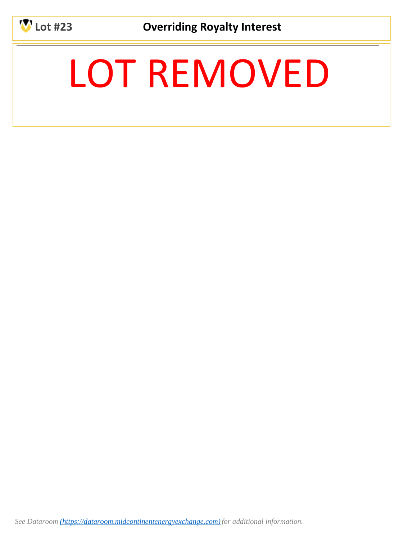

**Lot #23 Overriding Royalty Interest**

# LOT REMOVED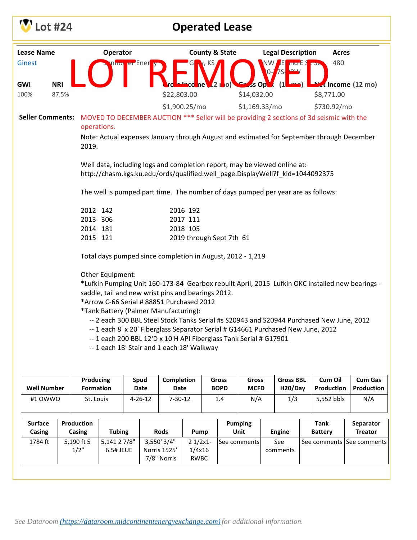|                   | Lot #24            |       |                               |                                                                                                                                                            |                            |  |                     |                      |  | <b>Operated Lease</b>     |                      |                                          |                                                                                                           |                              |  |
|-------------------|--------------------|-------|-------------------------------|------------------------------------------------------------------------------------------------------------------------------------------------------------|----------------------------|--|---------------------|----------------------|--|---------------------------|----------------------|------------------------------------------|-----------------------------------------------------------------------------------------------------------|------------------------------|--|
| <b>Lease Name</b> |                    |       |                               | Operator                                                                                                                                                   |                            |  |                     |                      |  | <b>County &amp; State</b> |                      | <b>Legal Description</b>                 | <b>Acres</b>                                                                                              |                              |  |
| Ginest            |                    |       |                               |                                                                                                                                                            | n <mark>nor er</mark> Ener |  |                     |                      |  |                           |                      | Æ<br>mu E S<br>$0 - 75$<br>$\Omega$      | 480                                                                                                       |                              |  |
| GWI               | <b>NRI</b>         |       |                               |                                                                                                                                                            |                            |  |                     | leco nel             |  | <b>O</b>                  | ss Opt               | (1)                                      | Max Income (12 mo)                                                                                        |                              |  |
| 100%              |                    | 87.5% |                               |                                                                                                                                                            |                            |  | \$22,803.00         |                      |  |                           | \$14,032.00          |                                          | \$8,771.00                                                                                                |                              |  |
|                   |                    |       |                               |                                                                                                                                                            |                            |  | \$1,900.25/mo       |                      |  |                           | \$1,169.33/mol       |                                          | \$730.92/mo                                                                                               |                              |  |
|                   |                    |       | operations.                   |                                                                                                                                                            |                            |  |                     |                      |  |                           |                      |                                          | Seller Comments: MOVED TO DECEMBER AUCTION *** Seller will be providing 2 sections of 3d seismic with the |                              |  |
|                   |                    |       | 2019.                         |                                                                                                                                                            |                            |  |                     |                      |  |                           |                      |                                          | Note: Actual expenses January through August and estimated for September through December                 |                              |  |
|                   |                    |       |                               | Well data, including logs and completion report, may be viewed online at:<br>http://chasm.kgs.ku.edu/ords/qualified.well_page.DisplayWell?f_kid=1044092375 |                            |  |                     |                      |  |                           |                      |                                          |                                                                                                           |                              |  |
|                   |                    |       |                               | The well is pumped part time. The number of days pumped per year are as follows:                                                                           |                            |  |                     |                      |  |                           |                      |                                          |                                                                                                           |                              |  |
|                   |                    |       | 2012 142<br>2013 306          |                                                                                                                                                            |                            |  |                     | 2016 192<br>2017 111 |  |                           |                      |                                          |                                                                                                           |                              |  |
|                   |                    |       | 2014 181                      |                                                                                                                                                            |                            |  |                     | 2018 105             |  |                           |                      |                                          |                                                                                                           |                              |  |
|                   |                    |       | 2015 121                      |                                                                                                                                                            |                            |  |                     |                      |  | 2019 through Sept 7th 61  |                      |                                          |                                                                                                           |                              |  |
|                   |                    |       |                               | Total days pumped since completion in August, 2012 - 1,219                                                                                                 |                            |  |                     |                      |  |                           |                      |                                          |                                                                                                           |                              |  |
|                   |                    |       |                               | Other Equipment:                                                                                                                                           |                            |  |                     |                      |  |                           |                      |                                          |                                                                                                           |                              |  |
|                   |                    |       |                               | saddle, tail and new wrist pins and bearings 2012.                                                                                                         |                            |  |                     |                      |  |                           |                      |                                          | *Lufkin Pumping Unit 160-173-84 Gearbox rebuilt April, 2015 Lufkin OKC installed new bearings -           |                              |  |
|                   |                    |       |                               | *Arrow C-66 Serial # 88851 Purchased 2012                                                                                                                  |                            |  |                     |                      |  |                           |                      |                                          |                                                                                                           |                              |  |
|                   |                    |       |                               | *Tank Battery (Palmer Manufacturing):                                                                                                                      |                            |  |                     |                      |  |                           |                      |                                          |                                                                                                           |                              |  |
|                   |                    |       |                               | -- 1 each 8' x 20' Fiberglass Separator Serial # G14661 Purchased New June, 2012                                                                           |                            |  |                     |                      |  |                           |                      |                                          | -- 2 each 300 BBL Steel Stock Tanks Serial #s S20943 and S20944 Purchased New June, 2012                  |                              |  |
|                   |                    |       |                               | -- 1 each 200 BBL 12'D x 10'H API Fiberglass Tank Serial # G17901                                                                                          |                            |  |                     |                      |  |                           |                      |                                          |                                                                                                           |                              |  |
|                   |                    |       |                               | -- 1 each 18' Stair and 1 each 18' Walkway                                                                                                                 |                            |  |                     |                      |  |                           |                      |                                          |                                                                                                           |                              |  |
|                   |                    |       |                               |                                                                                                                                                            |                            |  |                     |                      |  |                           |                      |                                          |                                                                                                           |                              |  |
|                   | <b>Well Number</b> |       | Producing<br><b>Formation</b> |                                                                                                                                                            | Spud<br>Date               |  | Completion<br>Date  |                      |  | Gross<br><b>BOPD</b>      | Gross<br><b>MCFD</b> | <b>Gross BBL</b><br>H <sub>20</sub> /Day | Cum Oil<br>Production                                                                                     | <b>Cum Gas</b><br>Production |  |
|                   | #1 OWWO            |       | St. Louis                     |                                                                                                                                                            | $4 - 26 - 12$              |  | $7 - 30 - 12$       |                      |  | 1.4                       | N/A                  | 1/3                                      | 5,552 bbls                                                                                                | N/A                          |  |
|                   |                    |       |                               |                                                                                                                                                            |                            |  |                     |                      |  |                           |                      |                                          |                                                                                                           |                              |  |
| <b>Surface</b>    |                    |       | Production                    |                                                                                                                                                            |                            |  |                     |                      |  |                           | <b>Pumping</b>       |                                          | <b>Tank</b>                                                                                               | Separator                    |  |
| Casing<br>1784 ft |                    |       | Casing<br>5,190 ft 5          | <b>Tubing</b><br>5,141 2 7/8"                                                                                                                              |                            |  | Rods<br>3,550' 3/4" | Pump<br>$21/2x1$ -   |  |                           | Unit                 | <b>Engine</b><br>See                     | <b>Battery</b><br>See comments   See comments                                                             | <b>Treator</b>               |  |
|                   |                    |       | $1/2$ "                       | 6.5# JEUE                                                                                                                                                  |                            |  | Norris 1525'        | 1/4x16               |  |                           | See comments         | comments                                 |                                                                                                           |                              |  |
|                   |                    |       |                               |                                                                                                                                                            |                            |  | 7/8" Norris         | RWBC                 |  |                           |                      |                                          |                                                                                                           |                              |  |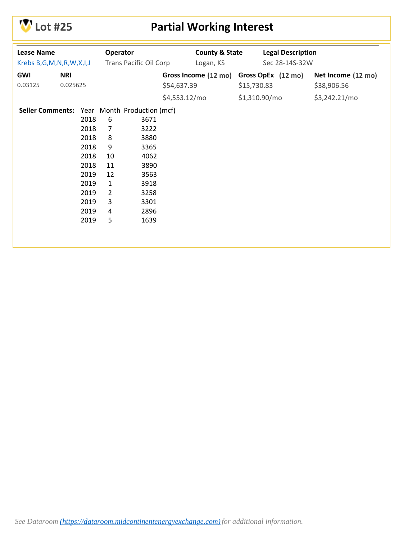

# **Lot #25 Partial Working Interest**

| <b>Lease Name</b><br>Krebs B,G,M,N,R,W,X,I,J |            |      | Operator       | <b>Trans Pacific Oil Corp</b> |               | <b>County &amp; State</b><br>Logan, KS |             | <b>Legal Description</b><br>Sec 28-14S-32W |                    |
|----------------------------------------------|------------|------|----------------|-------------------------------|---------------|----------------------------------------|-------------|--------------------------------------------|--------------------|
| GWI                                          | <b>NRI</b> |      |                |                               |               | Gross Income (12 mo)                   |             | Gross OpEx (12 mo)                         | Net Income (12 mo) |
| 0.03125                                      | 0.025625   |      |                |                               | \$54,637.39   |                                        | \$15,730.83 |                                            | \$38,906.56        |
|                                              |            |      |                |                               | \$4,553.12/mo |                                        |             | \$1,310.90/mo                              | \$3,242.21/mo      |
| <b>Seller Comments:</b>                      |            |      |                | Year Month Production (mcf)   |               |                                        |             |                                            |                    |
|                                              |            | 2018 | 6              | 3671                          |               |                                        |             |                                            |                    |
|                                              |            | 2018 | $\overline{7}$ | 3222                          |               |                                        |             |                                            |                    |
|                                              |            | 2018 | 8              | 3880                          |               |                                        |             |                                            |                    |
|                                              |            | 2018 | 9              | 3365                          |               |                                        |             |                                            |                    |
|                                              |            | 2018 | 10             | 4062                          |               |                                        |             |                                            |                    |
|                                              |            | 2018 | 11             | 3890                          |               |                                        |             |                                            |                    |
|                                              |            | 2019 | 12             | 3563                          |               |                                        |             |                                            |                    |
|                                              |            | 2019 | $\mathbf{1}$   | 3918                          |               |                                        |             |                                            |                    |
|                                              |            | 2019 | $\overline{2}$ | 3258                          |               |                                        |             |                                            |                    |
|                                              |            | 2019 | 3              | 3301                          |               |                                        |             |                                            |                    |
|                                              |            | 2019 | 4              | 2896                          |               |                                        |             |                                            |                    |
|                                              |            | 2019 | 5              | 1639                          |               |                                        |             |                                            |                    |
|                                              |            |      |                |                               |               |                                        |             |                                            |                    |
|                                              |            |      |                |                               |               |                                        |             |                                            |                    |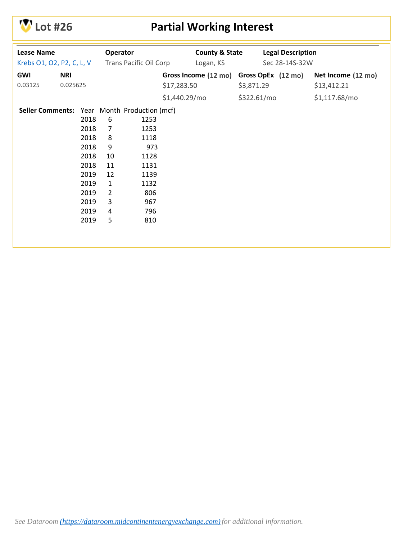

# **Lot #26 Partial Working Interest**

| <b>Lease Name</b><br>Krebs 01, 02, P2, C, L, V<br><b>GWI</b><br>0.03125 | <b>NRI</b><br>0.025625 |                                                                                              | Operator                                                                            | <b>Trans Pacific Oil Corp</b>                                                                                          | \$17,283.50   | <b>County &amp; State</b><br>Logan, KS<br>Gross Income (12 mo) | \$3,871.29  | <b>Legal Description</b><br>Sec 28-14S-32W<br>Gross OpEx (12 mo) | Net Income (12 mo)<br>\$13,412.21 |
|-------------------------------------------------------------------------|------------------------|----------------------------------------------------------------------------------------------|-------------------------------------------------------------------------------------|------------------------------------------------------------------------------------------------------------------------|---------------|----------------------------------------------------------------|-------------|------------------------------------------------------------------|-----------------------------------|
|                                                                         |                        |                                                                                              |                                                                                     |                                                                                                                        | \$1,440.29/mo |                                                                | \$322.61/mo |                                                                  | \$1,117.68/mo                     |
| <b>Seller Comments:</b>                                                 |                        | 2018<br>2018<br>2018<br>2018<br>2018<br>2018<br>2019<br>2019<br>2019<br>2019<br>2019<br>2019 | 6<br>7<br>8<br>9<br>10<br>11<br>12<br>$\mathbf{1}$<br>$\overline{2}$<br>3<br>4<br>5 | Year Month Production (mcf)<br>1253<br>1253<br>1118<br>973<br>1128<br>1131<br>1139<br>1132<br>806<br>967<br>796<br>810 |               |                                                                |             |                                                                  |                                   |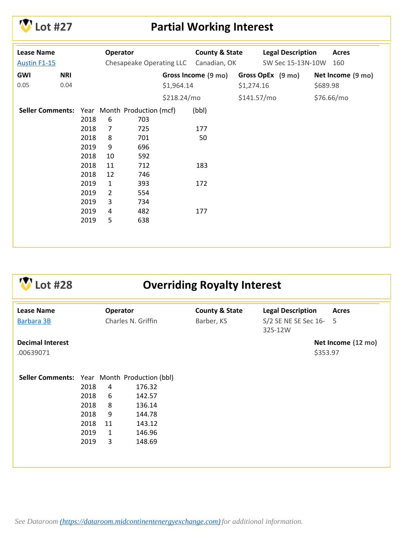

#### **Lot #27 Partial Working Interest**

| <b>Lease Name</b><br><b>Austin F1-15</b> |            |      | Operator       | Chesapeake Operating LLC                     |             | <b>County &amp; State</b><br>Canadian, OK |              | <b>Legal Description</b><br>SW Sec 15-13N-10W | <b>Acres</b><br>160 |
|------------------------------------------|------------|------|----------------|----------------------------------------------|-------------|-------------------------------------------|--------------|-----------------------------------------------|---------------------|
| <b>GWI</b>                               | <b>NRI</b> |      |                |                                              |             | Gross Income (9 mo)                       |              | Gross OpEx (9 mo)                             | Net Income (9 mo)   |
| 0.05                                     | 0.04       |      |                |                                              | \$1,964.14  |                                           | \$1,274.16   |                                               | \$689.98            |
|                                          |            |      |                |                                              | \$218.24/mo |                                           | \$141.57/mol |                                               | \$76.66/mo          |
|                                          |            |      |                | Seller Comments: Year Month Production (mcf) |             | (bbl)                                     |              |                                               |                     |
|                                          |            | 2018 | 6              | 703                                          |             |                                           |              |                                               |                     |
|                                          |            | 2018 | $\overline{7}$ | 725                                          |             | 177                                       |              |                                               |                     |
|                                          |            | 2018 | 8              | 701                                          |             | 50                                        |              |                                               |                     |
|                                          |            | 2019 | 9              | 696                                          |             |                                           |              |                                               |                     |
|                                          |            | 2018 | 10             | 592                                          |             |                                           |              |                                               |                     |
|                                          |            | 2018 | 11             | 712                                          |             | 183                                       |              |                                               |                     |
|                                          |            | 2018 | 12             | 746                                          |             |                                           |              |                                               |                     |
|                                          |            | 2019 | $\mathbf{1}$   | 393                                          |             | 172                                       |              |                                               |                     |
|                                          |            | 2019 | $\overline{2}$ | 554                                          |             |                                           |              |                                               |                     |
|                                          |            | 2019 | 3              | 734                                          |             |                                           |              |                                               |                     |
|                                          |            | 2019 | 4              | 482                                          |             | 177                                       |              |                                               |                     |
|                                          |            | 2019 | 5              | 638                                          |             |                                           |              |                                               |                     |
|                                          |            |      |                |                                              |             |                                           |              |                                               |                     |
|                                          |            |      |                |                                              |             |                                           |              |                                               |                     |

## **Lot #28 Overriding Royalty Interest**

| <b>Lease Name</b><br>Barbara 3B              |      | Operator<br>Charles N. Griffin |        | <b>County &amp; State</b><br>Barber, KS | <b>Legal Description</b><br>S/2 SE NE SE Sec 16-<br>32S-12W |          | <b>Acres</b><br>5  |
|----------------------------------------------|------|--------------------------------|--------|-----------------------------------------|-------------------------------------------------------------|----------|--------------------|
| <b>Decimal Interest</b><br>.00639071         |      |                                |        |                                         |                                                             | \$353.97 | Net Income (12 mo) |
|                                              |      |                                |        |                                         |                                                             |          |                    |
| Seller Comments: Year Month Production (bbl) |      |                                |        |                                         |                                                             |          |                    |
|                                              | 2018 | 4                              | 176.32 |                                         |                                                             |          |                    |
|                                              | 2018 | 6                              | 142.57 |                                         |                                                             |          |                    |
|                                              | 2018 | 8                              | 136.14 |                                         |                                                             |          |                    |
|                                              | 2018 | 9                              | 144.78 |                                         |                                                             |          |                    |
|                                              | 2018 | 11                             | 143.12 |                                         |                                                             |          |                    |
|                                              | 2019 | $\mathbf{1}$                   | 146.96 |                                         |                                                             |          |                    |
|                                              | 2019 | 3                              | 148.69 |                                         |                                                             |          |                    |
|                                              |      |                                |        |                                         |                                                             |          |                    |
|                                              |      |                                |        |                                         |                                                             |          |                    |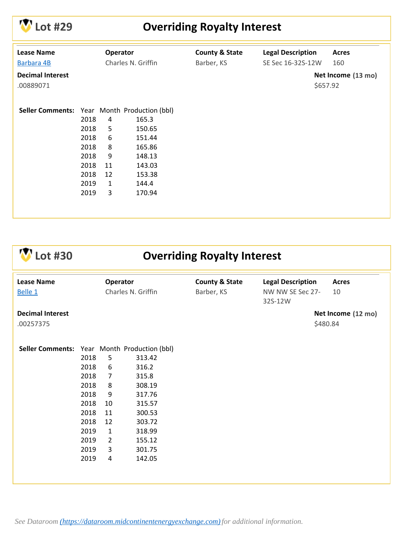

# **Lot #29 Overriding Royalty Interest**

| <b>Lease Name</b><br>Barbara 4B      |      | Operator | Charles N. Griffin          | <b>County &amp; State</b><br>Barber, KS | <b>Legal Description</b><br>SE Sec 16-32S-12W | <b>Acres</b><br>160            |
|--------------------------------------|------|----------|-----------------------------|-----------------------------------------|-----------------------------------------------|--------------------------------|
| <b>Decimal Interest</b><br>.00889071 |      |          |                             |                                         |                                               | Net Income (13 mo)<br>\$657.92 |
| <b>Seller Comments:</b>              |      |          | Year Month Production (bbl) |                                         |                                               |                                |
|                                      | 2018 | 4        | 165.3                       |                                         |                                               |                                |
|                                      | 2018 | 5        | 150.65                      |                                         |                                               |                                |
|                                      | 2018 | 6        | 151.44                      |                                         |                                               |                                |
|                                      | 2018 | 8        | 165.86                      |                                         |                                               |                                |
|                                      | 2018 | 9        | 148.13                      |                                         |                                               |                                |
|                                      | 2018 | 11       | 143.03                      |                                         |                                               |                                |
|                                      | 2018 | 12       | 153.38                      |                                         |                                               |                                |
|                                      | 2019 | 1        | 144.4                       |                                         |                                               |                                |
|                                      | 2019 | 3        | 170.94                      |                                         |                                               |                                |
|                                      |      |          |                             |                                         |                                               |                                |
|                                      |      |          |                             |                                         |                                               |                                |

| ot #30                                       |      |                |                    | <b>Overriding Royalty Interest</b> |                             |                    |
|----------------------------------------------|------|----------------|--------------------|------------------------------------|-----------------------------|--------------------|
| <b>Lease Name</b>                            |      | Operator       |                    | <b>County &amp; State</b>          | <b>Legal Description</b>    | <b>Acres</b>       |
| Belle 1                                      |      |                | Charles N. Griffin | Barber, KS                         | NW NW SE Sec 27-<br>32S-12W | 10                 |
| <b>Decimal Interest</b>                      |      |                |                    |                                    |                             | Net Income (12 mo) |
| .00257375                                    |      |                |                    |                                    |                             | \$480.84           |
|                                              |      |                |                    |                                    |                             |                    |
| Seller Comments: Year Month Production (bbl) |      |                |                    |                                    |                             |                    |
|                                              | 2018 | 5              | 313.42             |                                    |                             |                    |
|                                              | 2018 | 6              | 316.2              |                                    |                             |                    |
|                                              | 2018 | $\overline{7}$ | 315.8              |                                    |                             |                    |
|                                              | 2018 | 8              | 308.19             |                                    |                             |                    |
|                                              | 2018 | 9              | 317.76             |                                    |                             |                    |
|                                              | 2018 | 10             | 315.57             |                                    |                             |                    |
|                                              | 2018 | 11             | 300.53             |                                    |                             |                    |
|                                              | 2018 | 12             | 303.72             |                                    |                             |                    |
|                                              | 2019 | $\mathbf{1}$   | 318.99             |                                    |                             |                    |
|                                              | 2019 | $\overline{2}$ | 155.12             |                                    |                             |                    |
|                                              | 2019 | 3              | 301.75             |                                    |                             |                    |
|                                              | 2019 | 4              | 142.05             |                                    |                             |                    |
|                                              |      |                |                    |                                    |                             |                    |
|                                              |      |                |                    |                                    |                             |                    |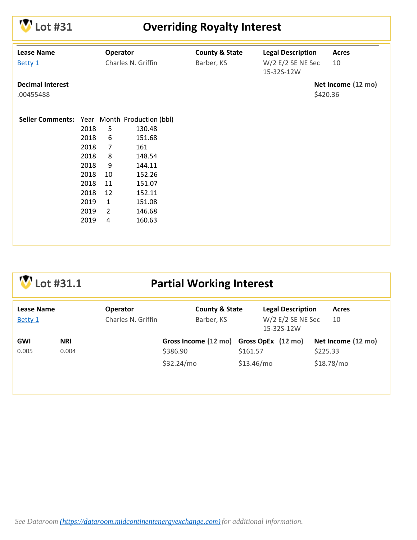|  |  | $\mathbf{\mathbf{\mathcal{N}}}$ Lot #31 |
|--|--|-----------------------------------------|
|--|--|-----------------------------------------|

#### **Lot #31 Overriding Royalty Interest**

| <b>Lease Name</b>                            |      | Operator           |        | <b>County &amp; State</b> | <b>Legal Description</b> | <b>Acres</b>       |
|----------------------------------------------|------|--------------------|--------|---------------------------|--------------------------|--------------------|
| Betty 1                                      |      | Charles N. Griffin |        | Barber, KS                | $W/2$ E/2 SE NE Sec      | 10                 |
|                                              |      |                    |        |                           | 15-32S-12W               |                    |
| <b>Decimal Interest</b>                      |      |                    |        |                           |                          | Net Income (12 mo) |
|                                              |      |                    |        |                           |                          |                    |
| .00455488                                    |      |                    |        |                           |                          | \$420.36           |
|                                              |      |                    |        |                           |                          |                    |
| Seller Comments: Year Month Production (bbl) |      |                    |        |                           |                          |                    |
|                                              | 2018 | 5                  | 130.48 |                           |                          |                    |
|                                              | 2018 | 6                  | 151.68 |                           |                          |                    |
|                                              | 2018 | $\overline{7}$     | 161    |                           |                          |                    |
|                                              | 2018 | 8                  | 148.54 |                           |                          |                    |
|                                              | 2018 | 9                  | 144.11 |                           |                          |                    |
|                                              | 2018 | 10                 | 152.26 |                           |                          |                    |
|                                              | 2018 | 11                 | 151.07 |                           |                          |                    |
|                                              | 2018 | 12                 | 152.11 |                           |                          |                    |
|                                              | 2019 | $\mathbf{1}$       | 151.08 |                           |                          |                    |
|                                              | 2019 | $\overline{2}$     | 146.68 |                           |                          |                    |
|                                              | 2019 | 4                  | 160.63 |                           |                          |                    |
|                                              |      |                    |        |                           |                          |                    |
|                                              |      |                    |        |                           |                          |                    |
|                                              |      |                    |        |                           |                          |                    |

## **Lot #31.1 Partial Working Interest**

| <b>Lease Name</b> |            | <b>Operator</b>    | <b>County &amp; State</b>               | <b>Legal Description</b>          | <b>Acres</b>       |
|-------------------|------------|--------------------|-----------------------------------------|-----------------------------------|--------------------|
| Betty 1           |            | Charles N. Griffin | Barber, KS                              | $W/2$ E/2 SE NE Sec<br>15-32S-12W | 10                 |
| <b>GWI</b>        | <b>NRI</b> |                    | Gross Income (12 mo) Gross OpEx (12 mo) |                                   | Net Income (12 mo) |
| 0.005             | 0.004      |                    | \$386.90                                | \$161.57                          | \$225.33           |
|                   |            |                    | \$32.24/mo                              | \$13.46/mo                        | \$18.78/mo         |
|                   |            |                    |                                         |                                   |                    |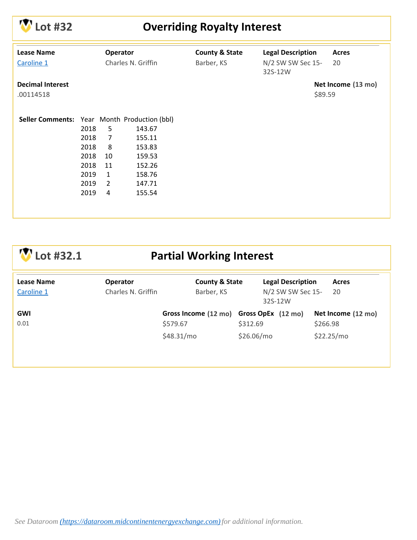

## **Lot #32 Overriding Royalty Interest**

| <b>Lease Name</b>                            |      | Operator       |                              | <b>County &amp; State</b> | <b>Legal Description</b> | <b>Acres</b>       |
|----------------------------------------------|------|----------------|------------------------------|---------------------------|--------------------------|--------------------|
| Charles N. Griffin<br>Caroline 1             |      | Barber, KS     | N/2 SW SW Sec 15-<br>32S-12W | 20                        |                          |                    |
| <b>Decimal Interest</b>                      |      |                |                              |                           |                          | Net Income (13 mo) |
| .00114518                                    |      |                |                              |                           |                          | \$89.59            |
|                                              |      |                |                              |                           |                          |                    |
| Seller Comments: Year Month Production (bbl) |      |                |                              |                           |                          |                    |
|                                              | 2018 | 5              | 143.67                       |                           |                          |                    |
|                                              | 2018 | $\overline{7}$ | 155.11                       |                           |                          |                    |
|                                              | 2018 | 8              | 153.83                       |                           |                          |                    |
|                                              | 2018 | 10             | 159.53                       |                           |                          |                    |
|                                              | 2018 | 11             | 152.26                       |                           |                          |                    |
|                                              | 2019 | $\mathbf{1}$   | 158.76                       |                           |                          |                    |
|                                              | 2019 | $\overline{2}$ | 147.71                       |                           |                          |                    |
|                                              | 2019 | 4              | 155.54                       |                           |                          |                    |
|                                              |      |                |                              |                           |                          |                    |
|                                              |      |                |                              |                           |                          |                    |

| Lot #32.1                | <b>Partial Working Interest</b>       |                                         |                                               |                    |  |  |
|--------------------------|---------------------------------------|-----------------------------------------|-----------------------------------------------|--------------------|--|--|
| Lease Name<br>Caroline 1 | <b>Operator</b><br>Charles N. Griffin | <b>County &amp; State</b><br>Barber, KS | <b>Legal Description</b><br>N/2 SW SW Sec 15- | <b>Acres</b><br>20 |  |  |
|                          |                                       |                                         | 32S-12W                                       |                    |  |  |
| <b>GWI</b>               |                                       | Gross Income (12 mo) Gross OpEx (12 mo) |                                               | Net Income (12 mo) |  |  |
| 0.01                     |                                       | \$579.67                                | \$312.69                                      | \$266.98           |  |  |
|                          |                                       | \$48.31/mo                              | \$26.06/mo                                    | \$22.25/mo         |  |  |
|                          |                                       |                                         |                                               |                    |  |  |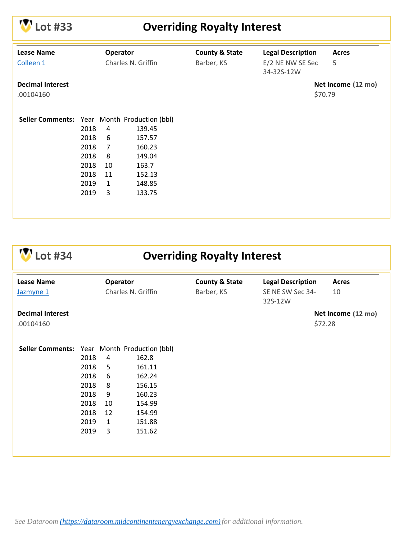

# **Lot #33 Overriding Royalty Interest**

| <b>Lease Name</b><br>Colleen 1               |                                                              | <b>Operator</b>                                                | Charles N. Griffin                                                          | <b>County &amp; State</b><br>Barber, KS | <b>Legal Description</b><br>E/2 NE NW SE Sec<br>34-32S-12W |         | <b>Acres</b><br>5  |
|----------------------------------------------|--------------------------------------------------------------|----------------------------------------------------------------|-----------------------------------------------------------------------------|-----------------------------------------|------------------------------------------------------------|---------|--------------------|
| <b>Decimal Interest</b><br>.00104160         |                                                              |                                                                |                                                                             |                                         |                                                            | \$70.79 | Net Income (12 mo) |
| Seller Comments: Year Month Production (bbl) | 2018<br>2018<br>2018<br>2018<br>2018<br>2018<br>2019<br>2019 | 4<br>6<br>$\overline{7}$<br>8<br>10<br>11<br>$\mathbf{1}$<br>3 | 139.45<br>157.57<br>160.23<br>149.04<br>163.7<br>152.13<br>148.85<br>133.75 |                                         |                                                            |         |                    |

**Lot #34 Overriding Royalty Interest**

| <b>Lease Name</b><br>Jazmyne 1               | Operator<br>Charles N. Griffin |              |        | <b>County &amp; State</b><br>Barber, KS | <b>Legal Description</b><br>SE NE SW Sec 34-<br>32S-12W | <b>Acres</b><br>10 |
|----------------------------------------------|--------------------------------|--------------|--------|-----------------------------------------|---------------------------------------------------------|--------------------|
| <b>Decimal Interest</b>                      |                                |              |        |                                         |                                                         | Net Income (12 mo) |
| .00104160                                    |                                |              |        |                                         |                                                         | \$72.28            |
|                                              |                                |              |        |                                         |                                                         |                    |
| Seller Comments: Year Month Production (bbl) |                                |              |        |                                         |                                                         |                    |
|                                              | 2018                           | 4            | 162.8  |                                         |                                                         |                    |
|                                              | 2018                           | 5            | 161.11 |                                         |                                                         |                    |
|                                              | 2018                           | 6            | 162.24 |                                         |                                                         |                    |
|                                              | 2018                           | 8            | 156.15 |                                         |                                                         |                    |
|                                              | 2018                           | 9            | 160.23 |                                         |                                                         |                    |
|                                              | 2018                           | 10           | 154.99 |                                         |                                                         |                    |
|                                              | 2018                           | 12           | 154.99 |                                         |                                                         |                    |
|                                              | 2019                           | $\mathbf{1}$ | 151.88 |                                         |                                                         |                    |
|                                              | 2019                           | 3            | 151.62 |                                         |                                                         |                    |
|                                              |                                |              |        |                                         |                                                         |                    |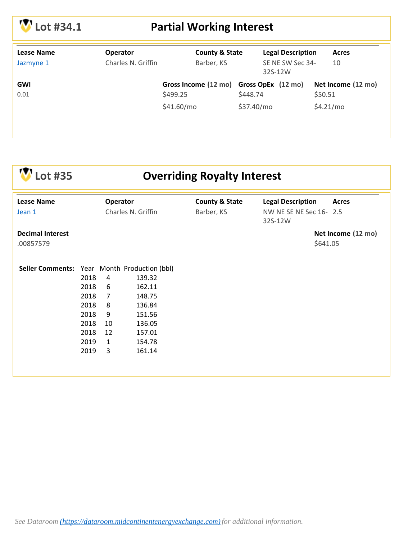# **Lot #34.1 Partial Working Interest**

| <b>Lease Name</b> | <b>Operator</b>    | <b>County &amp; State</b>               |            | <b>Legal Description</b>    | Acres              |
|-------------------|--------------------|-----------------------------------------|------------|-----------------------------|--------------------|
| Jazmyne 1         | Charles N. Griffin | Barber, KS                              |            | SE NE SW Sec 34-<br>32S-12W | 10                 |
| <b>GWI</b>        |                    | Gross Income (12 mo) Gross OpEx (12 mo) |            |                             | Net Income (12 mo) |
| 0.01              |                    | \$499.25                                | \$448.74   |                             | \$50.51            |
|                   |                    | \$41.60/mo                              | \$37.40/mo |                             | \$4.21/mo          |
|                   |                    |                                         |            |                             |                    |

| .ot #35                                      | <b>Overriding Royalty Interest</b>    |                |                          |              |                                   |                    |
|----------------------------------------------|---------------------------------------|----------------|--------------------------|--------------|-----------------------------------|--------------------|
| <b>Lease Name</b>                            | Operator<br><b>County &amp; State</b> |                | <b>Legal Description</b> | <b>Acres</b> |                                   |                    |
| Jean 1                                       |                                       |                | Charles N. Griffin       | Barber, KS   | NW NE SE NE Sec 16-2.5<br>32S-12W |                    |
| <b>Decimal Interest</b><br>.00857579         |                                       |                |                          |              | \$641.05                          | Net Income (12 mo) |
| Seller Comments: Year Month Production (bbl) |                                       |                |                          |              |                                   |                    |
|                                              | 2018                                  | 4              | 139.32                   |              |                                   |                    |
|                                              | 2018                                  | 6              | 162.11                   |              |                                   |                    |
|                                              | 2018                                  | $\overline{7}$ | 148.75                   |              |                                   |                    |
|                                              | 2018                                  | 8              | 136.84                   |              |                                   |                    |
|                                              | 2018                                  | 9              | 151.56                   |              |                                   |                    |
|                                              | 2018                                  | 10             | 136.05                   |              |                                   |                    |
|                                              | 2018                                  | 12             | 157.01                   |              |                                   |                    |
|                                              | 2019                                  | $\mathbf{1}$   | 154.78                   |              |                                   |                    |
|                                              | 2019                                  | 3              | 161.14                   |              |                                   |                    |
|                                              |                                       |                |                          |              |                                   |                    |
|                                              |                                       |                |                          |              |                                   |                    |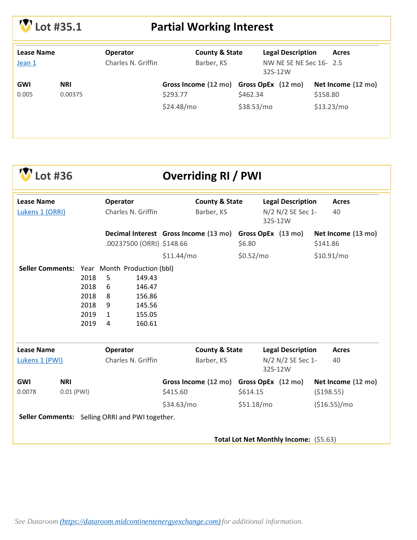# **Lot #35.1 Partial Working Interest**

| Lease Name<br>Jean 1 |                       | <b>Operator</b><br>Charles N. Griffin | <b>County &amp; State</b><br>Barber, KS             |            | <b>Legal Description</b><br>Acres<br>NW NE SE NE Sec 16-2.5<br>32S-12W |                                |
|----------------------|-----------------------|---------------------------------------|-----------------------------------------------------|------------|------------------------------------------------------------------------|--------------------------------|
| <b>GWI</b><br>0.005  | <b>NRI</b><br>0.00375 |                                       | Gross Income (12 mo) Gross OpEx (12 mo)<br>\$293.77 | \$462.34   |                                                                        | Net Income (12 mo)<br>\$158.80 |
|                      |                       |                                       | \$24.48/mo                                          | \$38.53/mo |                                                                        | \$13.23/mol                    |

| .ot #36                                         |                                              | <b>Overriding RI / PWI</b>                                                                        |                                         |                                        |                                |  |  |  |  |  |
|-------------------------------------------------|----------------------------------------------|---------------------------------------------------------------------------------------------------|-----------------------------------------|----------------------------------------|--------------------------------|--|--|--|--|--|
| <b>Lease Name</b>                               |                                              | Operator                                                                                          | <b>County &amp; State</b>               | <b>Legal Description</b>               | <b>Acres</b>                   |  |  |  |  |  |
| Lukens 1 (ORRI)                                 | Charles N. Griffin                           |                                                                                                   | Barber, KS                              | N/2 N/2 SE Sec 1-<br>32S-12W           | 40                             |  |  |  |  |  |
|                                                 |                                              | .00237500 (ORRI) \$148.66                                                                         | Decimal Interest Gross Income (13 mo)   | Gross OpEx (13 mo)<br>\$6.80           | Net Income (13 mo)<br>\$141.86 |  |  |  |  |  |
|                                                 |                                              |                                                                                                   | \$11.44/mo                              | \$0.52/mo                              | \$10.91/mo                     |  |  |  |  |  |
| Seller Comments: Year Month Production (bbl)    | 2018<br>2018<br>2018<br>2018<br>2019<br>2019 | 5<br>149.43<br>6<br>146.47<br>8<br>156.86<br>9<br>145.56<br>155.05<br>$\mathbf{1}$<br>160.61<br>4 |                                         |                                        |                                |  |  |  |  |  |
| <b>Lease Name</b>                               |                                              | Operator                                                                                          | <b>County &amp; State</b>               | <b>Legal Description</b>               | <b>Acres</b>                   |  |  |  |  |  |
| Lukens 1 (PWI)                                  |                                              | Charles N. Griffin                                                                                | Barber, KS                              | N/2 N/2 SE Sec 1-<br>32S-12W           | 40                             |  |  |  |  |  |
| <b>GWI</b><br><b>NRI</b>                        |                                              |                                                                                                   | Gross Income (12 mo) Gross OpEx (12 mo) |                                        | Net Income (12 mo)             |  |  |  |  |  |
| 0.0078<br>$0.01$ (PWI)                          |                                              |                                                                                                   | \$415.60                                | \$614.15                               | ( \$198.55)                    |  |  |  |  |  |
|                                                 |                                              |                                                                                                   | \$34.63/mol                             | \$51.18/mo                             | (\$16.55)/mo                   |  |  |  |  |  |
| Seller Comments: Selling ORRI and PWI together. |                                              |                                                                                                   |                                         |                                        |                                |  |  |  |  |  |
|                                                 |                                              |                                                                                                   |                                         | Total Lot Net Monthly Income: (\$5.63) |                                |  |  |  |  |  |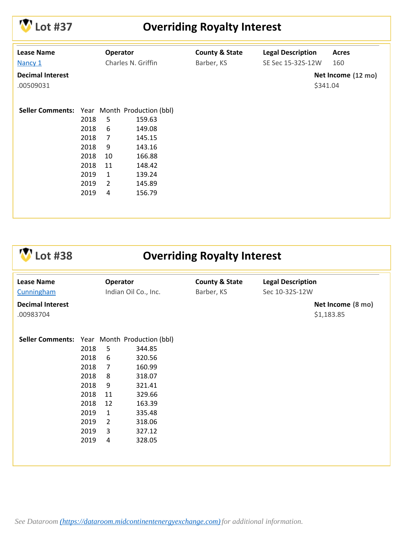

# **Lot #37 Overriding Royalty Interest**

| <b>Lease Name</b><br>Nancy 1                        | Operator<br>Charles N. Griffin |                |        | <b>County &amp; State</b><br>Barber, KS | <b>Legal Description</b><br>SE Sec 15-32S-12W | <b>Acres</b><br>160            |
|-----------------------------------------------------|--------------------------------|----------------|--------|-----------------------------------------|-----------------------------------------------|--------------------------------|
| <b>Decimal Interest</b><br>.00509031                |                                |                |        |                                         |                                               | Net Income (12 mo)<br>\$341.04 |
| <b>Seller Comments:</b> Year Month Production (bbl) |                                |                |        |                                         |                                               |                                |
|                                                     | 2018                           | 5              | 159.63 |                                         |                                               |                                |
|                                                     | 2018                           | 6              | 149.08 |                                         |                                               |                                |
|                                                     | 2018                           | $\overline{7}$ | 145.15 |                                         |                                               |                                |
|                                                     | 2018                           | 9              | 143.16 |                                         |                                               |                                |
|                                                     | 2018                           | 10             | 166.88 |                                         |                                               |                                |
|                                                     | 2018                           | 11             | 148.42 |                                         |                                               |                                |
|                                                     | 2019                           | $\mathbf{1}$   | 139.24 |                                         |                                               |                                |
|                                                     | 2019                           | $\overline{2}$ | 145.89 |                                         |                                               |                                |
|                                                     | 2019                           | 4              | 156.79 |                                         |                                               |                                |
|                                                     |                                |                |        |                                         |                                               |                                |
|                                                     |                                |                |        |                                         |                                               |                                |

**Lot #38 Overriding Royalty Interest**

| <b>Lease Name</b><br>Cunningham              | Operator<br>Indian Oil Co., Inc.                                                     |                                                                               | <b>County &amp; State</b><br>Barber, KS                                                                    |  |  |                                 | <b>Legal Description</b><br>Sec 10-32S-12W |  |
|----------------------------------------------|--------------------------------------------------------------------------------------|-------------------------------------------------------------------------------|------------------------------------------------------------------------------------------------------------|--|--|---------------------------------|--------------------------------------------|--|
| <b>Decimal Interest</b><br>.00983704         |                                                                                      |                                                                               |                                                                                                            |  |  | Net Income (8 mo)<br>\$1,183.85 |                                            |  |
| Seller Comments: Year Month Production (bbl) | 2018<br>2018<br>2018<br>2018<br>2018<br>2018<br>2018<br>2019<br>2019<br>2019<br>2019 | 5<br>6<br>7<br>8<br>9<br>11<br>12<br>$\mathbf{1}$<br>$\overline{2}$<br>3<br>4 | 344.85<br>320.56<br>160.99<br>318.07<br>321.41<br>329.66<br>163.39<br>335.48<br>318.06<br>327.12<br>328.05 |  |  |                                 |                                            |  |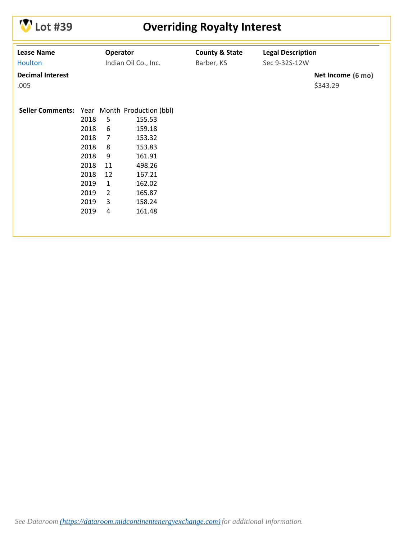

# **Lot #39 Overriding Royalty Interest**

| <b>Lease Name</b>                            |      | Operator       |                      | <b>County &amp; State</b> | <b>Legal Description</b> |                   |
|----------------------------------------------|------|----------------|----------------------|---------------------------|--------------------------|-------------------|
| <b>Houlton</b>                               |      |                | Indian Oil Co., Inc. | Barber, KS                | Sec 9-32S-12W            |                   |
| <b>Decimal Interest</b>                      |      |                |                      |                           |                          | Net Income (6 mo) |
| .005                                         |      |                |                      |                           |                          | \$343.29          |
|                                              |      |                |                      |                           |                          |                   |
|                                              |      |                |                      |                           |                          |                   |
| Seller Comments: Year Month Production (bbl) |      |                |                      |                           |                          |                   |
|                                              | 2018 | 5              | 155.53               |                           |                          |                   |
|                                              | 2018 | 6              | 159.18               |                           |                          |                   |
|                                              | 2018 | $\overline{7}$ | 153.32               |                           |                          |                   |
|                                              | 2018 | 8              | 153.83               |                           |                          |                   |
|                                              | 2018 | 9              | 161.91               |                           |                          |                   |
|                                              | 2018 | 11             | 498.26               |                           |                          |                   |
|                                              | 2018 | 12             | 167.21               |                           |                          |                   |
|                                              | 2019 | $\mathbf{1}$   | 162.02               |                           |                          |                   |
|                                              | 2019 | $\overline{2}$ | 165.87               |                           |                          |                   |
|                                              | 2019 | 3              | 158.24               |                           |                          |                   |
|                                              | 2019 | 4              | 161.48               |                           |                          |                   |
|                                              |      |                |                      |                           |                          |                   |
|                                              |      |                |                      |                           |                          |                   |
|                                              |      |                |                      |                           |                          |                   |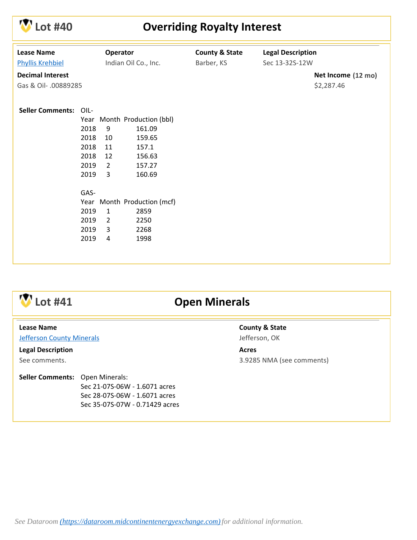

### **Lot #40 Overriding Royalty Interest**

| <b>Lease Name</b>               | Operator       |                             | <b>County &amp; State</b> | <b>Legal Description</b> |                    |
|---------------------------------|----------------|-----------------------------|---------------------------|--------------------------|--------------------|
| <b>Phyllis Krehbiel</b>         |                | Indian Oil Co., Inc.        | Barber, KS                | Sec 13-32S-12W           |                    |
| <b>Decimal Interest</b>         |                |                             |                           |                          | Net Income (12 mo) |
| Gas & Oil- .00889285            |                |                             |                           |                          | \$2,287.46         |
|                                 |                |                             |                           |                          |                    |
| <b>Seller Comments:</b><br>OIL- |                |                             |                           |                          |                    |
|                                 |                | Year Month Production (bbl) |                           |                          |                    |
| 2018                            | 9              | 161.09                      |                           |                          |                    |
| 2018                            | 10             | 159.65                      |                           |                          |                    |
| 2018                            | 11             | 157.1                       |                           |                          |                    |
| 2018                            | 12             | 156.63                      |                           |                          |                    |
| 2019                            | $\overline{2}$ | 157.27                      |                           |                          |                    |
| 2019                            | 3              | 160.69                      |                           |                          |                    |
|                                 |                |                             |                           |                          |                    |
| GAS-                            |                |                             |                           |                          |                    |
|                                 |                | Year Month Production (mcf) |                           |                          |                    |
| 2019                            | $\mathbf{1}$   | 2859                        |                           |                          |                    |
| 2019                            | $\overline{2}$ | 2250                        |                           |                          |                    |
| 2019                            | 3              | 2268                        |                           |                          |                    |
| 2019                            | 4              | 1998                        |                           |                          |                    |
|                                 |                |                             |                           |                          |                    |



### **Lot #41 Open Minerals**

#### **Lease Name**

**[Jefferson County Minerals](http://info.mceeauction.com.s3.amazonaws.com/Oct%202019/Jefferson%20County%20Minerals%20MCEE%20Data%20Packet.pdf)** 

**Legal Description**

See comments.

#### Seller Comments: Open Minerals:

Sec 21-07S-06W - 1.6071 acres Sec 28-07S-06W - 1.6071 acres Sec 35-07S-07W - 0.71429 acres **County & State** Jefferson, OK

**Acres** 3.9285 NMA (see comments)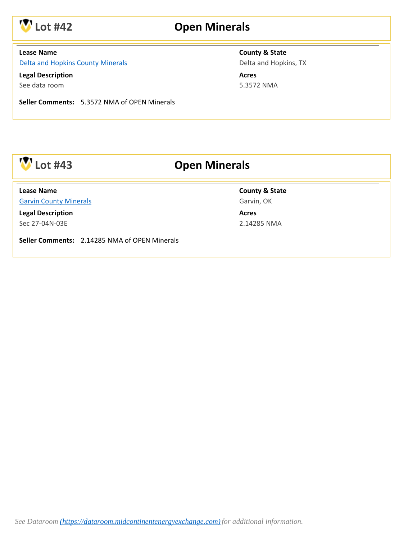

### **Lot #42 Open Minerals**

#### **Lease Name**

[Delta and Hopkins County Minerals](http://info.mceeauction.com.s3.amazonaws.com/Oct%202019/Delta%20and%20Hopkins%20Minerals%20MCEE%20Data%20Packet.pdf)

**Legal Description** See data room

**County & State**

Delta and Hopkins, TX

**Acres** 5.3572 NMA

**Seller Comments:** 5.3572 NMA of OPEN Minerals

## **Lot #43 Open Minerals**

[Garvin County Minerals](http://info.mceeauction.com.s3.amazonaws.com/Oct%202019/Garvin%20County%20Minerals%20MCEE%20Data%20Packet.pdf) **Lease Name**

**Legal Description** Sec 27-04N-03E

**County & State** Garvin, OK

**Acres** 2.14285 NMA

**Seller Comments:** 2.14285 NMA of OPEN Minerals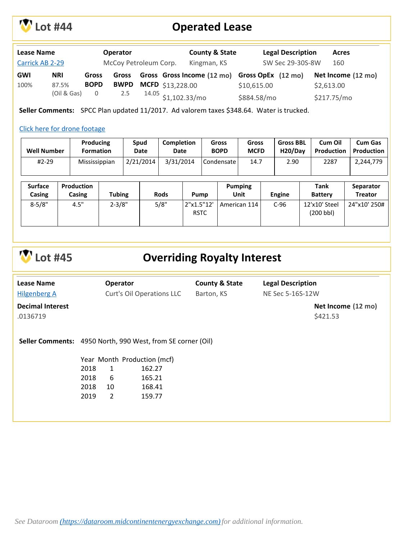

## **Lot #44 Operated Lease**

| <b>Lease Name</b> |             |                         | <b>Operator</b>       |                  | <b>County &amp; State</b>                     |             | <b>Legal Description</b> | <b>Acres</b>       |
|-------------------|-------------|-------------------------|-----------------------|------------------|-----------------------------------------------|-------------|--------------------------|--------------------|
| Carrick AB 2-29   |             |                         | McCoy Petroleum Corp. |                  | Kingman, KS                                   |             | SW Sec 29-30S-8W         | 160                |
| <b>GWI</b>        | <b>NRI</b>  | <b>Gross</b>            | Gross                 |                  | Gross Gross Income (12 mo) Gross OpEx (12 mo) |             |                          | Net Income (12 mo) |
| 100%              | 87.5%       | <b>BOPD</b>             | <b>BWPD</b>           | MCFD \$13,228.00 |                                               | \$10,615.00 |                          | \$2,613.00         |
|                   | (Oil & Gas) | $\overline{\mathbf{0}}$ | 2.5                   |                  | <sup>14.05</sup> \$1,102.33/mo                | \$884.58/mo |                          | \$217.75/mo        |

**Seller Comments:** SPCC Plan updated 11/2017. Ad valorem taxes \$348.64. Water is trucked.

#### [Click here for drone footage](https://vimeo.com/358388887)

| <b>Well Number</b> | <b>Producing</b> | Spud      | <b>Completion</b> | Gross       | Gross       | <b>Gross BBL</b>     | Cum Oil           | <b>Cum Gas</b>    |
|--------------------|------------------|-----------|-------------------|-------------|-------------|----------------------|-------------------|-------------------|
|                    | <b>Formation</b> | Date      | Date              | <b>BOPD</b> | <b>MCFD</b> | H <sub>20</sub> /Dav | <b>Production</b> | <b>Production</b> |
| #2-29              | Mississippian    | 2/21/2014 | 3/31/2014         | Condensate  | 14.7        | 2.90                 | 2287              | 2,244,779         |

| <b>Surface</b><br>Casing | Production<br>Casing | Tubing     | <b>Rods</b> | Pump                      | <b>Pumping</b><br>Unit | Engine | Tank<br><b>Battery</b>     | Separator<br><b>Treator</b> |
|--------------------------|----------------------|------------|-------------|---------------------------|------------------------|--------|----------------------------|-----------------------------|
| $8 - 5/8"$               | 4.5"                 | $2 - 3/8"$ | 5/8"        | 2"x1.5"12'<br><b>RSTC</b> | American 114           | $C-96$ | 12'x10' Steel<br>(200 bbl) | 24"x10' 250#                |

|  | $W$ Lot #45 |
|--|-------------|
|--|-------------|

#### **Lot #45 Overriding Royalty Interest**

| <b>Lease Name</b>       |      | <b>Operator</b> |                                                                    | <b>County &amp; State</b> | <b>Legal Description</b> |                    |
|-------------------------|------|-----------------|--------------------------------------------------------------------|---------------------------|--------------------------|--------------------|
| <b>Hilgenberg A</b>     |      |                 | Curt's Oil Operations LLC                                          | Barton, KS                | NE Sec 5-16S-12W         |                    |
| <b>Decimal Interest</b> |      |                 |                                                                    |                           |                          | Net Income (12 mo) |
| .0136719                |      |                 |                                                                    |                           |                          | \$421.53           |
|                         |      |                 | <b>Seller Comments:</b> 4950 North, 990 West, from SE corner (Oil) |                           |                          |                    |
|                         |      |                 | Year Month Production (mcf)                                        |                           |                          |                    |
|                         | 2018 | 1               | 162.27                                                             |                           |                          |                    |
|                         | 2018 | 6               | 165.21                                                             |                           |                          |                    |
|                         | 2018 | 10              | 168.41                                                             |                           |                          |                    |
|                         | 2019 | 2               | 159.77                                                             |                           |                          |                    |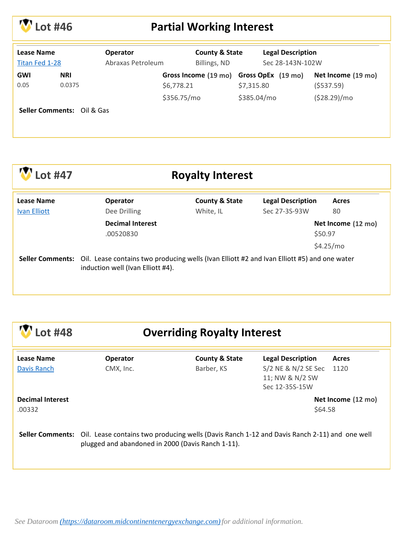

# **Lot #46 Partial Working Interest**

| <b>Lease Name</b><br>Titan Fed 1-28 |                                       | <b>Operator</b><br>Abraxas Petroleum | <b>County &amp; State</b><br>Billings, ND |  | <b>Legal Description</b><br>Sec 28-143N-102W |                                         |                                 |
|-------------------------------------|---------------------------------------|--------------------------------------|-------------------------------------------|--|----------------------------------------------|-----------------------------------------|---------------------------------|
| <b>GWI</b><br>0.05                  | <b>NRI</b><br>0.0375                  |                                      | \$6,778.21                                |  | \$7,315.80                                   | Gross Income (19 mo) Gross OpEx (19 mo) | Net Income (19 mo)<br>(5537.59) |
|                                     |                                       |                                      | \$356.75/mo                               |  | \$385.04/mo                                  |                                         | (\$28.29)/mo                    |
|                                     | <b>Seller Comments: Oil &amp; Gas</b> |                                      |                                           |  |                                              |                                         |                                 |

| .ot #47                                  | <b>Royalty Interest</b>                                                                                                          |                                        |                                           |                               |  |  |  |  |
|------------------------------------------|----------------------------------------------------------------------------------------------------------------------------------|----------------------------------------|-------------------------------------------|-------------------------------|--|--|--|--|
| <b>Lease Name</b><br><b>Ivan Elliott</b> | <b>Operator</b><br>Dee Drilling                                                                                                  | <b>County &amp; State</b><br>White, IL | <b>Legal Description</b><br>Sec 27-3S-93W | <b>Acres</b><br>80            |  |  |  |  |
|                                          | <b>Decimal Interest</b><br>.00520830                                                                                             |                                        |                                           | Net Income (12 mo)<br>\$50.97 |  |  |  |  |
|                                          |                                                                                                                                  |                                        |                                           | \$4.25/mo                     |  |  |  |  |
| <b>Seller Comments:</b>                  | Oil. Lease contains two producing wells (Ivan Elliott #2 and Ivan Elliott #5) and one water<br>induction well (Ivan Elliott #4). |                                        |                                           |                               |  |  |  |  |

| <b>V</b> Lot #48 |
|------------------|
|                  |

# **Lot #48 Overriding Royalty Interest**

| Lease Name<br>Davis Ranch         | <b>Operator</b><br>CMX, Inc.                                                                                                                                       | <b>County &amp; State</b><br>Barber, KS | <b>Legal Description</b><br>S/2 NE & N/2 SE Sec<br>11; NW & N/2 SW<br>Sec 12-35S-15W | Acres<br>1120      |
|-----------------------------------|--------------------------------------------------------------------------------------------------------------------------------------------------------------------|-----------------------------------------|--------------------------------------------------------------------------------------|--------------------|
| <b>Decimal Interest</b><br>.00332 |                                                                                                                                                                    |                                         | \$64.58                                                                              | Net Income (12 mo) |
|                                   | Seller Comments: Oil. Lease contains two producing wells (Davis Ranch 1-12 and Davis Ranch 2-11) and one well<br>plugged and abandoned in 2000 (Davis Ranch 1-11). |                                         |                                                                                      |                    |

*See Dataroom [\(https://dataroom.midcontinentenergyexchange.com\)](https://dataroom.midcontinentenergyexchange.com)for additional information.*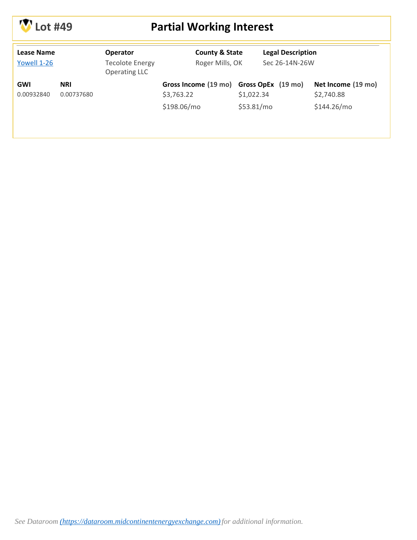

# **Lot #49 Partial Working Interest**

| Lease Name<br>Yowell 1-26 |                          | <b>Operator</b><br><b>Tecolote Energy</b><br><b>Operating LLC</b> |                                    | <b>County &amp; State</b><br>Roger Mills, OK |                    | <b>Legal Description</b><br>Sec 26-14N-26W |  |
|---------------------------|--------------------------|-------------------------------------------------------------------|------------------------------------|----------------------------------------------|--------------------|--------------------------------------------|--|
| <b>GWI</b><br>0.00932840  | <b>NRI</b><br>0.00737680 |                                                                   | Gross Income (19 mo)<br>\$3,763.22 | \$1,022.34                                   | Gross OpEx (19 mo) | Net Income (19 mo)<br>\$2,740.88           |  |
|                           |                          |                                                                   | \$198.06/mo                        | \$53.81/mo                                   |                    | \$144.26/mo                                |  |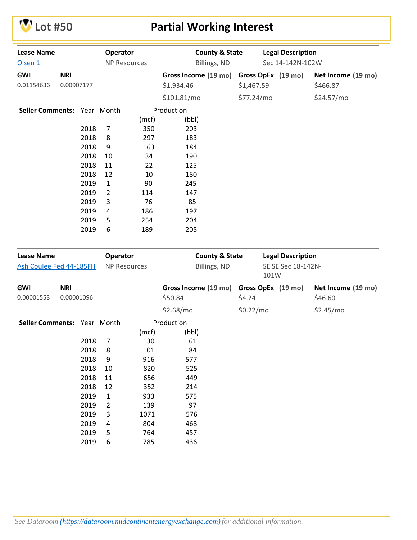

# **V** Lot #50 **Partial Working Interest**

| <b>Lease Name</b>           |            |      | Operator            |       | <b>County &amp; State</b> |            |                            | <b>Legal Description</b> |                    |
|-----------------------------|------------|------|---------------------|-------|---------------------------|------------|----------------------------|--------------------------|--------------------|
| Olsen 1                     |            |      | <b>NP Resources</b> |       | Billings, ND              |            |                            | Sec 14-142N-102W         |                    |
| GWI                         | <b>NRI</b> |      |                     |       | Gross Income (19 mo)      |            |                            | Gross OpEx (19 mo)       | Net Income (19 mo) |
| 0.01154636                  | 0.00907177 |      |                     |       | \$1,934.46                | \$1,467.59 |                            |                          | \$466.87           |
|                             |            |      |                     |       | \$101.81/mol              | \$77.24/mo |                            |                          | \$24.57/mo         |
| Seller Comments: Year Month |            |      |                     |       | Production                |            |                            |                          |                    |
|                             |            |      |                     | (mcf) | (bbl)                     |            |                            |                          |                    |
|                             |            | 2018 | 7                   | 350   | 203                       |            |                            |                          |                    |
|                             |            | 2018 | 8                   | 297   | 183                       |            |                            |                          |                    |
|                             |            | 2018 | 9                   | 163   | 184                       |            |                            |                          |                    |
|                             |            | 2018 | 10                  | 34    | 190                       |            |                            |                          |                    |
|                             |            | 2018 | 11                  | 22    | 125                       |            |                            |                          |                    |
|                             |            | 2018 | 12                  | 10    | 180                       |            |                            |                          |                    |
|                             |            | 2019 | $\mathbf{1}$        | 90    | 245                       |            |                            |                          |                    |
|                             |            | 2019 | $\overline{2}$      | 114   | 147                       |            |                            |                          |                    |
|                             |            | 2019 | 3                   | 76    | 85                        |            |                            |                          |                    |
|                             |            | 2019 | 4                   | 186   | 197                       |            |                            |                          |                    |
|                             |            | 2019 | 5                   | 254   | 204                       |            |                            |                          |                    |
|                             |            | 2019 | 6                   | 189   | 205                       |            |                            |                          |                    |
|                             |            |      |                     |       |                           |            |                            |                          |                    |
| <b>Lease Name</b>           |            |      | Operator            |       | <b>County &amp; State</b> |            |                            | <b>Legal Description</b> |                    |
| Ash Coulee Fed 44-185FH     |            |      | <b>NP Resources</b> |       | Billings, ND              |            | SE SE Sec 18-142N-<br>101W |                          |                    |
| GWI                         | <b>NRI</b> |      |                     |       | Gross Income (19 mo)      |            |                            | Gross OpEx (19 mo)       | Net Income (19 mo) |
| 0.00001553                  | 0.00001096 |      |                     |       | \$50.84                   | \$4.24     |                            |                          | \$46.60            |
|                             |            |      |                     |       | \$2.68/mo                 | \$0.22/mo  |                            |                          | \$2.45/mo          |
| Seller Comments: Year Month |            |      |                     |       | Production                |            |                            |                          |                    |
|                             |            |      |                     | (mcf) | (bbl)                     |            |                            |                          |                    |
|                             |            | 2018 | 7                   | 130   | 61                        |            |                            |                          |                    |
|                             |            | 2018 | 8                   | 101   | 84                        |            |                            |                          |                    |
|                             |            | 2018 | 9                   | 916   | 577                       |            |                            |                          |                    |
|                             |            | 2018 | 10                  | 820   | 525                       |            |                            |                          |                    |
|                             |            | 2018 | 11                  | 656   | 449                       |            |                            |                          |                    |
|                             |            | 2018 | 12                  | 352   | 214                       |            |                            |                          |                    |
|                             |            | 2019 | $\mathbf 1$         | 933   | 575                       |            |                            |                          |                    |
|                             |            | 2019 | 2                   | 139   | 97                        |            |                            |                          |                    |
|                             |            | 2019 | 3                   | 1071  | 576                       |            |                            |                          |                    |
|                             |            | 2019 | 4                   | 804   | 468                       |            |                            |                          |                    |
|                             |            | 2019 | 5                   | 764   | 457                       |            |                            |                          |                    |
|                             |            | 2019 | 6                   | 785   | 436                       |            |                            |                          |                    |
|                             |            |      |                     |       |                           |            |                            |                          |                    |
|                             |            |      |                     |       |                           |            |                            |                          |                    |
|                             |            |      |                     |       |                           |            |                            |                          |                    |
|                             |            |      |                     |       |                           |            |                            |                          |                    |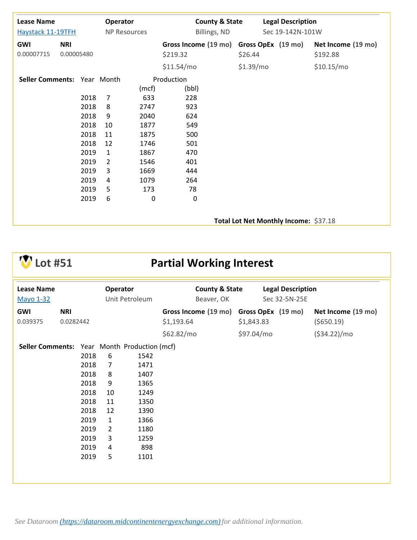| <b>Lease Name</b><br><b>Haystack 11-19TFH</b> |                          |                      | Operator<br><b>NP Resources</b> |                            | Billings, ND                                        | <b>County &amp; State</b> |                                       | <b>Legal Description</b><br>Sec 19-142N-101W |                                |
|-----------------------------------------------|--------------------------|----------------------|---------------------------------|----------------------------|-----------------------------------------------------|---------------------------|---------------------------------------|----------------------------------------------|--------------------------------|
| <b>GWI</b><br>0.00007715                      | <b>NRI</b><br>0.00005480 |                      |                                 |                            | Gross Income (19 mo) Gross OpEx (19 mo)<br>\$219.32 |                           | \$26.44                               |                                              | Net Income (19 mo)<br>\$192.88 |
| Seller Comments: Year Month                   |                          |                      |                                 | (mcf)                      | \$11.54/mol<br>Production<br>(bbl)                  |                           | \$1.39/mo                             |                                              | \$10.15/mol                    |
|                                               |                          | 2018<br>2018<br>2018 | $\overline{7}$<br>8<br>9        | 633<br>2747<br>2040        | 228<br>923<br>624                                   |                           |                                       |                                              |                                |
|                                               |                          | 2018<br>2018<br>2018 | 10<br>11<br>12                  | 1877<br>1875<br>1746       | 549<br>500<br>501                                   |                           |                                       |                                              |                                |
|                                               |                          | 2019<br>2019<br>2019 | 1<br>$\overline{2}$<br>3        | 1867<br>1546<br>1669       | 470<br>401<br>444                                   |                           |                                       |                                              |                                |
|                                               |                          | 2019<br>2019<br>2019 | 4<br>5<br>6                     | 1079<br>173<br>$\mathbf 0$ | 264<br>78<br>0                                      |                           |                                       |                                              |                                |
|                                               |                          |                      |                                 |                            |                                                     |                           | Total Lot Net Monthly Income: \$37.18 |                                              |                                |

# **V** Lot #51 **Partial Working Interest**

| <b>Lease Name</b><br><b>Mayo 1-32</b> |                         |                                                                                              | Operator                                                                            | Unit Petroleum                                                                                                             | <b>County &amp; State</b><br>Beaver, OK               |            | <b>Legal Description</b><br>Sec 32-5N-25E |                                   |
|---------------------------------------|-------------------------|----------------------------------------------------------------------------------------------|-------------------------------------------------------------------------------------|----------------------------------------------------------------------------------------------------------------------------|-------------------------------------------------------|------------|-------------------------------------------|-----------------------------------|
| GWI<br>0.039375                       | <b>NRI</b><br>0.0282442 |                                                                                              |                                                                                     |                                                                                                                            | Gross Income (19 mo) Gross OpEx (19 mo)<br>\$1,193.64 | \$1,843.83 |                                           | Net Income (19 mo)<br>( \$650.19) |
|                                       |                         |                                                                                              |                                                                                     |                                                                                                                            | \$62.82/mo                                            | \$97.04/mo |                                           | (534.22)/mo                       |
| <b>Seller Comments:</b>               |                         | 2018<br>2018<br>2018<br>2018<br>2018<br>2018<br>2018<br>2019<br>2019<br>2019<br>2019<br>2019 | 6<br>7<br>8<br>9<br>10<br>11<br>12<br>$\mathbf{1}$<br>$\overline{2}$<br>3<br>4<br>5 | Year Month Production (mcf)<br>1542<br>1471<br>1407<br>1365<br>1249<br>1350<br>1390<br>1366<br>1180<br>1259<br>898<br>1101 |                                                       |            |                                           |                                   |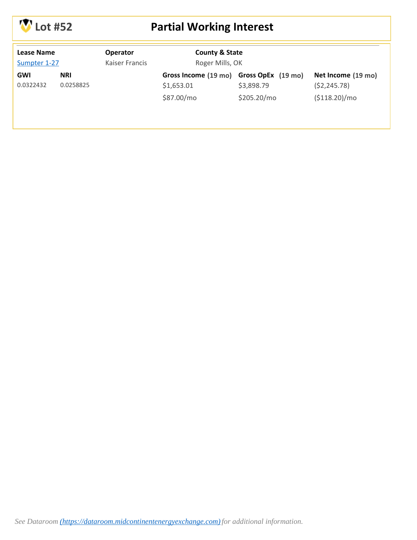

# **Lot #52 Partial Working Interest**

| Lease Name<br>Sumpter 1-27 |                         | <b>Operator</b><br>Kaiser Francis | <b>County &amp; State</b><br>Roger Mills, OK                        |                           |                                                     |
|----------------------------|-------------------------|-----------------------------------|---------------------------------------------------------------------|---------------------------|-----------------------------------------------------|
| GWI<br>0.0322432           | <b>NRI</b><br>0.0258825 |                                   | Gross Income (19 mo) Gross OpEx (19 mo)<br>\$1,653.01<br>\$87.00/mo | \$3,898.79<br>\$205.20/mo | Net Income (19 mo)<br>(52, 245.78)<br>(\$118.20)/mo |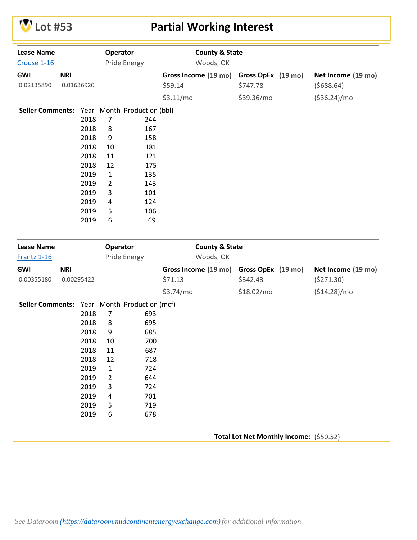# **Lot #53 Partial Working Interest**

| <b>Lease Name</b>                            |            |      | Operator       |                             | <b>County &amp; State</b> |                                         |                    |
|----------------------------------------------|------------|------|----------------|-----------------------------|---------------------------|-----------------------------------------|--------------------|
| Crouse 1-16                                  |            |      |                | Pride Energy                | Woods, OK                 |                                         |                    |
| GWI                                          | <b>NRI</b> |      |                |                             | Gross Income (19 mo)      | Gross OpEx (19 mo)                      | Net Income (19 mo) |
| 0.02135890                                   | 0.01636920 |      |                |                             | \$59.14                   | \$747.78                                | (5688.64)          |
|                                              |            |      |                |                             | \$3.11/mo                 | \$39.36/mo                              | ( \$36.24)/mo      |
| <b>Seller Comments:</b>                      |            |      |                | Year Month Production (bbl) |                           |                                         |                    |
|                                              |            | 2018 | $\overline{7}$ | 244                         |                           |                                         |                    |
|                                              |            | 2018 | 8              | 167                         |                           |                                         |                    |
|                                              |            | 2018 | 9              | 158                         |                           |                                         |                    |
|                                              |            | 2018 | 10             | 181                         |                           |                                         |                    |
|                                              |            | 2018 | 11             | 121                         |                           |                                         |                    |
|                                              |            | 2018 | 12             | 175                         |                           |                                         |                    |
|                                              |            | 2019 | $\mathbf{1}$   | 135                         |                           |                                         |                    |
|                                              |            | 2019 | $\overline{2}$ | 143                         |                           |                                         |                    |
|                                              |            | 2019 | 3              | 101                         |                           |                                         |                    |
|                                              |            | 2019 | 4              | 124                         |                           |                                         |                    |
|                                              |            | 2019 | 5              | 106                         |                           |                                         |                    |
|                                              |            | 2019 | 6              | 69                          |                           |                                         |                    |
|                                              |            |      |                |                             |                           |                                         |                    |
| <b>Lease Name</b>                            |            |      | Operator       |                             | <b>County &amp; State</b> |                                         |                    |
| <b>Frantz 1-16</b>                           |            |      |                | Pride Energy                | Woods, OK                 |                                         |                    |
| GWI                                          | <b>NRI</b> |      |                |                             | Gross Income (19 mo)      | Gross OpEx (19 mo)                      | Net Income (19 mo) |
| 0.00355180                                   | 0.00295422 |      |                |                             | \$71.13                   | \$342.43                                | (5271.30)          |
|                                              |            |      |                |                             | \$3.74/mo                 | \$18.02/mo                              | (\$14.28)/mo       |
| Seller Comments: Year Month Production (mcf) |            |      |                |                             |                           |                                         |                    |
|                                              |            | 2018 | $\overline{7}$ | 693                         |                           |                                         |                    |
|                                              |            | 2018 | 8              | 695                         |                           |                                         |                    |
|                                              |            | 2018 | 9              | 685                         |                           |                                         |                    |
|                                              |            | 2018 | 10             | 700                         |                           |                                         |                    |
|                                              |            | 2018 | 11             | 687                         |                           |                                         |                    |
|                                              |            | 2018 | 12             | 718                         |                           |                                         |                    |
|                                              |            | 2019 | 1              | 724                         |                           |                                         |                    |
|                                              |            | 2019 | $\overline{2}$ | 644                         |                           |                                         |                    |
|                                              |            | 2019 | 3              | 724                         |                           |                                         |                    |
|                                              |            | 2019 | 4              | 701                         |                           |                                         |                    |
|                                              |            | 2019 | 5              | 719                         |                           |                                         |                    |
|                                              |            | 2019 | 6              | 678                         |                           |                                         |                    |
|                                              |            |      |                |                             |                           |                                         |                    |
|                                              |            |      |                |                             |                           | Total Lot Net Monthly Income: (\$50.52) |                    |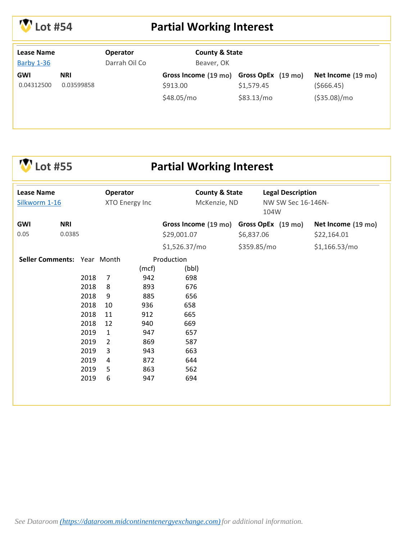

# **Lot #54 Partial Working Interest**

| <b>Lease Name</b><br>Barby 1-36 |                          | <b>Operator</b><br>Darrah Oil Co | <b>County &amp; State</b><br>Beaver, OK                           |                          |                                                    |
|---------------------------------|--------------------------|----------------------------------|-------------------------------------------------------------------|--------------------------|----------------------------------------------------|
| GWI<br>0.04312500               | <b>NRI</b><br>0.03599858 |                                  | Gross Income (19 mo) Gross OpEx (19 mo)<br>\$913.00<br>\$48.05/mo | \$1,579.45<br>\$83.13/mo | Net Income (19 mo)<br>(5666.45)<br>$( $35.08)/$ mo |

| $\mathbf{V}$ Lot #55 |
|----------------------|
|----------------------|

#### **Partial Working Interest**

| <b>Lease Name</b><br>Silkworm 1-16 |                                                                                              | <b>Operator</b><br>XTO Energy Inc                                                   |                                                                                           | <b>County &amp; State</b><br>McKenzie, ND                                                               |             | <b>Legal Description</b><br>NW SW Sec 16-146N-<br>104W |                    |
|------------------------------------|----------------------------------------------------------------------------------------------|-------------------------------------------------------------------------------------|-------------------------------------------------------------------------------------------|---------------------------------------------------------------------------------------------------------|-------------|--------------------------------------------------------|--------------------|
| <b>NRI</b><br>GWI                  |                                                                                              |                                                                                     |                                                                                           | Gross Income (19 mo)                                                                                    |             | Gross OpEx (19 mo)                                     | Net Income (19 mo) |
| 0.05<br>0.0385                     |                                                                                              |                                                                                     |                                                                                           | \$29,001.07                                                                                             | \$6,837.06  |                                                        | \$22,164.01        |
|                                    |                                                                                              |                                                                                     |                                                                                           | \$1,526.37/mo                                                                                           | \$359.85/mo |                                                        | \$1,166.53/mol     |
| Seller Comments: Year Month        | 2018<br>2018<br>2018<br>2018<br>2018<br>2018<br>2019<br>2019<br>2019<br>2019<br>2019<br>2019 | 7<br>8<br>9<br>10<br>11<br>12<br>$\mathbf{1}$<br>$\overline{2}$<br>3<br>4<br>5<br>6 | (mcf)<br>942<br>893<br>885<br>936<br>912<br>940<br>947<br>869<br>943<br>872<br>863<br>947 | Production<br>(bbl)<br>698<br>676<br>656<br>658<br>665<br>669<br>657<br>587<br>663<br>644<br>562<br>694 |             |                                                        |                    |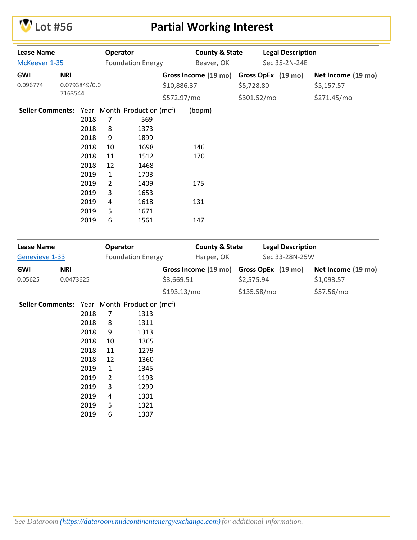

# **Lot #56 Partial Working Interest**

| <b>Lease Name</b>                            |            |               | Operator       |                          |                              | <b>County &amp; State</b>               |                    |                          | <b>Legal Description</b> |                    |
|----------------------------------------------|------------|---------------|----------------|--------------------------|------------------------------|-----------------------------------------|--------------------|--------------------------|--------------------------|--------------------|
| McKeever 1-35                                |            |               |                | <b>Foundation Energy</b> |                              | Beaver, OK                              |                    | Sec 35-2N-24E            |                          |                    |
| GWI                                          | <b>NRI</b> |               |                |                          |                              | Gross Income (19 mo)                    | Gross OpEx (19 mo) |                          |                          | Net Income (19 mo) |
| 0.096774                                     |            | 0.0793849/0.0 |                |                          | \$10,886.37                  |                                         | \$5,728.80         |                          |                          | \$5,157.57         |
|                                              | 7163544    |               |                |                          | \$572.97/mo                  |                                         | \$301.52/mo        |                          |                          | \$271.45/mo        |
|                                              |            |               |                |                          |                              |                                         |                    |                          |                          |                    |
| Seller Comments: Year Month Production (mcf) |            |               |                |                          |                              | (bopm)                                  |                    |                          |                          |                    |
|                                              |            | 2018          | $\overline{7}$ | 569                      |                              |                                         |                    |                          |                          |                    |
|                                              |            | 2018          | 8              | 1373                     |                              |                                         |                    |                          |                          |                    |
|                                              |            | 2018<br>2018  | 9<br>10        | 1899<br>1698             |                              | 146                                     |                    |                          |                          |                    |
|                                              |            | 2018          | 11             | 1512                     |                              | 170                                     |                    |                          |                          |                    |
|                                              |            | 2018          | 12             | 1468                     |                              |                                         |                    |                          |                          |                    |
|                                              |            | 2019          | $\mathbf{1}$   | 1703                     |                              |                                         |                    |                          |                          |                    |
|                                              |            | 2019          | $\overline{2}$ | 1409                     |                              | 175                                     |                    |                          |                          |                    |
|                                              |            | 2019          | 3              | 1653                     |                              |                                         |                    |                          |                          |                    |
|                                              |            | 2019          | 4              | 1618                     |                              | 131                                     |                    |                          |                          |                    |
|                                              |            | 2019          | 5              | 1671                     |                              |                                         |                    |                          |                          |                    |
|                                              |            | 2019          | 6              | 1561                     |                              | 147                                     |                    |                          |                          |                    |
|                                              |            |               |                |                          |                              |                                         |                    |                          |                          |                    |
| <b>Lease Name</b><br>Operator                |            |               |                |                          | <b>County &amp; State</b>    |                                         |                    | <b>Legal Description</b> |                          |                    |
| Genevieve 1-33                               |            |               |                | <b>Foundation Energy</b> | Harper, OK<br>Sec 33-28N-25W |                                         |                    |                          |                          |                    |
| GWI                                          | <b>NRI</b> |               |                |                          |                              | Gross Income (19 mo) Gross OpEx (19 mo) |                    |                          |                          | Net Income (19 mo) |
| 0.05625                                      | 0.0473625  |               |                |                          | \$3,669.51                   |                                         | \$2,575.94         |                          |                          | \$1,093.57         |
|                                              |            |               |                |                          | \$193.13/mo                  |                                         | \$135.58/mo        |                          |                          | \$57.56/mo         |
| Seller Comments: Year Month Production (mcf) |            |               |                |                          |                              |                                         |                    |                          |                          |                    |
|                                              |            | 2018          | $\overline{7}$ | 1313                     |                              |                                         |                    |                          |                          |                    |
|                                              |            | 2018          | 8              | 1311                     |                              |                                         |                    |                          |                          |                    |
|                                              |            | 2018          | 9              | 1313                     |                              |                                         |                    |                          |                          |                    |
|                                              |            | 2018          | 10             | 1365                     |                              |                                         |                    |                          |                          |                    |
|                                              |            | 2018          | 11             | 1279                     |                              |                                         |                    |                          |                          |                    |
|                                              |            | 2018          | 12             | 1360                     |                              |                                         |                    |                          |                          |                    |
|                                              |            | 2019          | $\mathbf{1}$   | 1345                     |                              |                                         |                    |                          |                          |                    |
|                                              |            | 2019          | $\overline{2}$ | 1193                     |                              |                                         |                    |                          |                          |                    |
|                                              |            | 2019          | 3              | 1299                     |                              |                                         |                    |                          |                          |                    |
|                                              |            | 2019          | 4              | 1301                     |                              |                                         |                    |                          |                          |                    |
|                                              |            | 2019          | 5              | 1321                     |                              |                                         |                    |                          |                          |                    |
|                                              |            | 2019          | 6              | 1307                     |                              |                                         |                    |                          |                          |                    |
|                                              |            |               |                |                          |                              |                                         |                    |                          |                          |                    |
|                                              |            |               |                |                          |                              |                                         |                    |                          |                          |                    |
|                                              |            |               |                |                          |                              |                                         |                    |                          |                          |                    |
|                                              |            |               |                |                          |                              |                                         |                    |                          |                          |                    |
|                                              |            |               |                |                          |                              |                                         |                    |                          |                          |                    |
|                                              |            |               |                |                          |                              |                                         |                    |                          |                          |                    |
|                                              |            |               |                |                          |                              |                                         |                    |                          |                          |                    |
|                                              |            |               |                |                          |                              |                                         |                    |                          |                          |                    |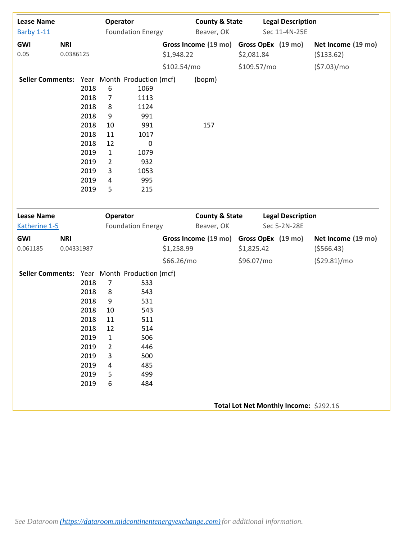| <b>Lease Name</b><br><b>Barby 1-11</b>       |                         | Operator | <b>Foundation Energy</b> |                          | <b>County &amp; State</b><br>Beaver, OK |                           | <b>Legal Description</b><br>Sec 11-4N-25E |  |                                        |                                   |
|----------------------------------------------|-------------------------|----------|--------------------------|--------------------------|-----------------------------------------|---------------------------|-------------------------------------------|--|----------------------------------------|-----------------------------------|
| GWI<br>0.05                                  | <b>NRI</b><br>0.0386125 |          |                          |                          | \$1,948.22                              | Gross Income (19 mo)      | \$2,081.84                                |  | Gross OpEx (19 mo)                     | Net Income (19 mo)<br>( \$133.62) |
|                                              |                         |          |                          |                          |                                         |                           |                                           |  |                                        |                                   |
|                                              |                         |          |                          |                          | \$102.54/mo                             |                           | \$109.57/mo                               |  |                                        | (57.03)/mo                        |
| Seller Comments: Year Month Production (mcf) |                         |          |                          |                          |                                         | (bopm)                    |                                           |  |                                        |                                   |
|                                              |                         | 2018     | 6                        | 1069                     |                                         |                           |                                           |  |                                        |                                   |
|                                              |                         | 2018     | $\overline{7}$           | 1113                     |                                         |                           |                                           |  |                                        |                                   |
|                                              |                         | 2018     | 8                        | 1124                     |                                         |                           |                                           |  |                                        |                                   |
|                                              |                         | 2018     | 9                        | 991                      |                                         |                           |                                           |  |                                        |                                   |
|                                              |                         | 2018     | 10                       | 991                      |                                         | 157                       |                                           |  |                                        |                                   |
|                                              |                         | 2018     | 11                       | 1017                     |                                         |                           |                                           |  |                                        |                                   |
|                                              |                         | 2018     | 12                       | $\mathbf 0$              |                                         |                           |                                           |  |                                        |                                   |
|                                              |                         | 2019     | $\mathbf{1}$             | 1079                     |                                         |                           |                                           |  |                                        |                                   |
|                                              |                         | 2019     | $\overline{2}$           | 932                      |                                         |                           |                                           |  |                                        |                                   |
|                                              |                         | 2019     | 3                        | 1053                     |                                         |                           |                                           |  |                                        |                                   |
|                                              |                         | 2019     | 4                        | 995                      |                                         |                           |                                           |  |                                        |                                   |
|                                              |                         | 2019     | 5                        | 215                      |                                         |                           |                                           |  |                                        |                                   |
| <b>Lease Name</b>                            |                         |          | Operator                 |                          |                                         | <b>County &amp; State</b> |                                           |  | <b>Legal Description</b>               |                                   |
| Katherine 1-5                                |                         |          |                          | <b>Foundation Energy</b> |                                         | Beaver, OK                |                                           |  | Sec 5-2N-28E                           |                                   |
| GWI                                          | <b>NRI</b>              |          |                          |                          |                                         | Gross Income (19 mo)      |                                           |  | Gross OpEx (19 mo)                     | Net Income (19 mo)                |
| 0.061185                                     | 0.04331987              |          |                          |                          | \$1,258.99                              |                           | \$1,825.42                                |  |                                        | (5566.43)                         |
|                                              |                         |          |                          |                          | \$66.26/mo                              |                           | \$96.07/mo                                |  |                                        | (529.81)/mo                       |
| Seller Comments: Year Month Production (mcf) |                         |          |                          |                          |                                         |                           |                                           |  |                                        |                                   |
|                                              |                         | 2018     | $\overline{7}$           | 533                      |                                         |                           |                                           |  |                                        |                                   |
|                                              |                         | 2018     | 8                        | 543                      |                                         |                           |                                           |  |                                        |                                   |
|                                              |                         | 2018     | 9                        | 531                      |                                         |                           |                                           |  |                                        |                                   |
|                                              |                         | 2018     | 10                       | 543                      |                                         |                           |                                           |  |                                        |                                   |
|                                              |                         | 2018     | 11                       | 511                      |                                         |                           |                                           |  |                                        |                                   |
|                                              |                         | 2018     | 12                       | 514                      |                                         |                           |                                           |  |                                        |                                   |
|                                              |                         | 2019     | $\mathbf{1}$             | 506                      |                                         |                           |                                           |  |                                        |                                   |
|                                              |                         | 2019     | 2                        | 446                      |                                         |                           |                                           |  |                                        |                                   |
|                                              |                         | 2019     | 3                        | 500                      |                                         |                           |                                           |  |                                        |                                   |
|                                              |                         | 2019     | 4                        | 485                      |                                         |                           |                                           |  |                                        |                                   |
|                                              |                         | 2019     | 5                        | 499                      |                                         |                           |                                           |  |                                        |                                   |
|                                              |                         | 2019     | 6                        | 484                      |                                         |                           |                                           |  |                                        |                                   |
|                                              |                         |          |                          |                          |                                         |                           |                                           |  | Total Lot Net Monthly Income: \$292.16 |                                   |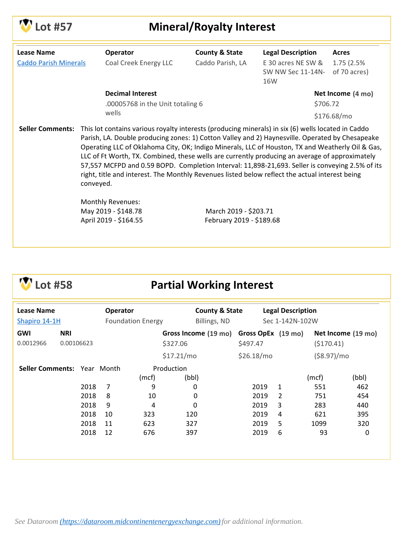

# **Lot #57 Mineral/Royalty Interest**

| <b>Lease Name</b>            | Operator                                                                                                                                                                                                                                                                                                                                                                                                             | <b>County &amp; State</b> | <b>Legal Description</b> | <b>Acres</b> |  |
|------------------------------|----------------------------------------------------------------------------------------------------------------------------------------------------------------------------------------------------------------------------------------------------------------------------------------------------------------------------------------------------------------------------------------------------------------------|---------------------------|--------------------------|--------------|--|
| <b>Caddo Parish Minerals</b> | Coal Creek Energy LLC                                                                                                                                                                                                                                                                                                                                                                                                | Caddo Parish, LA          | E 30 acres NE SW &       | 1.75 (2.5%)  |  |
|                              |                                                                                                                                                                                                                                                                                                                                                                                                                      |                           | SW NW Sec 11-14N-<br>16W | of 70 acres) |  |
|                              | <b>Decimal Interest</b>                                                                                                                                                                                                                                                                                                                                                                                              |                           | Net Income (4 mo)        |              |  |
|                              | .00005768 in the Unit totaling 6                                                                                                                                                                                                                                                                                                                                                                                     |                           | \$706.72                 |              |  |
|                              | wells                                                                                                                                                                                                                                                                                                                                                                                                                |                           |                          | \$176.68/mo  |  |
|                              | Operating LLC of Oklahoma City, OK; Indigo Minerals, LLC of Houston, TX and Weatherly Oil & Gas,<br>LLC of Ft Worth, TX. Combined, these wells are currently producing an average of approximately<br>57,557 MCFPD and 0.59 BOPD. Completion Interval: 11,898-21,693. Seller is conveying 2.5% of its<br>right, title and interest. The Monthly Revenues listed below reflect the actual interest being<br>conveyed. |                           |                          |              |  |
|                              | Monthly Revenues:                                                                                                                                                                                                                                                                                                                                                                                                    |                           |                          |              |  |
|                              | May 2019 - \$148.78                                                                                                                                                                                                                                                                                                                                                                                                  | March 2019 - \$203.71     |                          |              |  |
|                              | April 2019 - \$164.55                                                                                                                                                                                                                                                                                                                                                                                                | February 2019 - \$189.68  |                          |              |  |
|                              |                                                                                                                                                                                                                                                                                                                                                                                                                      |                           |                          |              |  |

# **Lot #58 Partial Working Interest**

| <b>Lease Name</b><br>Shapiro 14-1H |                          |      | Operator       | <b>Foundation Energy</b> |                     | <b>County &amp; State</b><br>Billings, ND |                                | <b>Legal Description</b><br>Sec 1-142N-102W |                |                    |
|------------------------------------|--------------------------|------|----------------|--------------------------|---------------------|-------------------------------------------|--------------------------------|---------------------------------------------|----------------|--------------------|
| <b>GWI</b><br>0.0012966            | <b>NRI</b><br>0.00106623 |      |                |                          | \$327.06            | Gross Income (19 mo)                      | Gross OpEx (19 mo)<br>\$497.47 |                                             | (5170.41)      | Net Income (19 mo) |
|                                    |                          |      |                |                          | \$17.21/mo          |                                           | \$26.18/mo                     |                                             | $( $8.97)/$ mo |                    |
| Seller Comments: Year Month        |                          |      |                | (mcf)                    | Production<br>(bbl) |                                           |                                |                                             | (mcf)          | (bbl)              |
|                                    |                          | 2018 | $\overline{7}$ | 9                        |                     | 0                                         | 2019                           | 1                                           | 551            | 462                |
|                                    |                          | 2018 | 8              | 10                       |                     | 0                                         | 2019                           | $\mathcal{P}$                               | 751            | 454                |
|                                    |                          | 2018 | 9              | 4                        |                     | 0                                         | 2019                           | 3                                           | 283            | 440                |
|                                    |                          | 2018 | 10             | 323                      | 120                 |                                           | 2019                           | 4                                           | 621            | 395                |
|                                    |                          | 2018 | 11             | 623                      | 327                 |                                           | 2019                           | 5                                           | 1099           | 320                |
|                                    |                          | 2018 | 12             | 676                      | 397                 |                                           | 2019                           | 6                                           | 93             | 0                  |
|                                    |                          |      |                |                          |                     |                                           |                                |                                             |                |                    |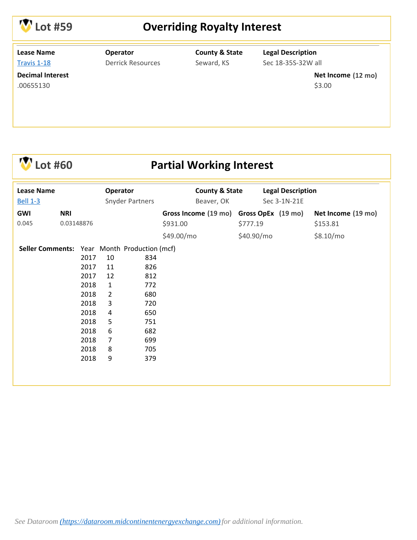

### **Lot #59 Overriding Royalty Interest**

**Lease Name** [Travis 1-18](http://info.mceeauction.com.s3.amazonaws.com/Oct 2019/Travis 1-18 MCEE Data Packet.pdf)

#### **Operator** Derrick Resources

**County & State** Seward, KS

**Legal Description** Sec 18-35S-32W all

.00655130

**Net Income Decimal Interest (12 mo)** \$3.00

## **Lot #60 Partial Working Interest**

| <b>Lease Name</b><br><b>Bell 1-3</b>         |                          |                                                                                              | Operator<br><b>Snyder Partners</b>                                                  |                                                                                  | <b>County &amp; State</b><br>Beaver, OK             |          | <b>Legal Description</b><br>Sec 3-1N-21E |                                |
|----------------------------------------------|--------------------------|----------------------------------------------------------------------------------------------|-------------------------------------------------------------------------------------|----------------------------------------------------------------------------------|-----------------------------------------------------|----------|------------------------------------------|--------------------------------|
| GWI<br>0.045                                 | <b>NRI</b><br>0.03148876 |                                                                                              |                                                                                     |                                                                                  | Gross Income (19 mo) Gross OpEx (19 mo)<br>\$931.00 | \$777.19 |                                          | Net Income (19 mo)<br>\$153.81 |
| Seller Comments: Year Month Production (mcf) |                          | 2017<br>2017<br>2017<br>2018<br>2018<br>2018<br>2018<br>2018<br>2018<br>2018<br>2018<br>2018 | 10<br>11<br>12<br>$\mathbf{1}$<br>$\overline{2}$<br>3<br>4<br>5<br>6<br>7<br>8<br>9 | 834<br>826<br>812<br>772<br>680<br>720<br>650<br>751<br>682<br>699<br>705<br>379 | \$49.00/mo                                          |          | \$40.90/mo                               | \$8.10/mo                      |
|                                              |                          |                                                                                              |                                                                                     |                                                                                  |                                                     |          |                                          |                                |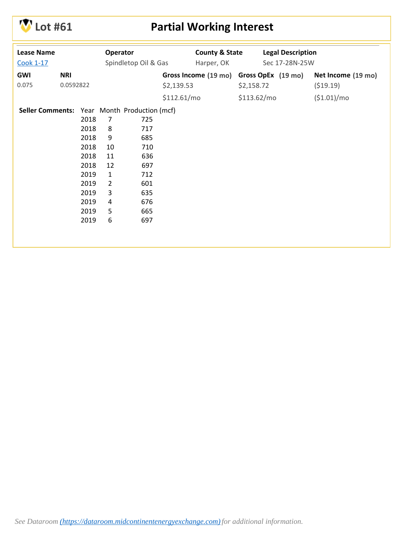

# **V** Lot #61 **Partial Working Interest**

| <b>Lease Name</b>                            |            | Operator |                | <b>County &amp; State</b> |              | <b>Legal Description</b> |             |                                         |                    |
|----------------------------------------------|------------|----------|----------------|---------------------------|--------------|--------------------------|-------------|-----------------------------------------|--------------------|
| <b>Cook 1-17</b>                             |            |          |                | Spindletop Oil & Gas      |              | Harper, OK               |             | Sec 17-28N-25W                          |                    |
| GWI                                          | <b>NRI</b> |          |                |                           |              |                          |             | Gross Income (19 mo) Gross OpEx (19 mo) | Net Income (19 mo) |
| 0.075                                        | 0.0592822  |          |                |                           | \$2,139.53   |                          | \$2,158.72  |                                         | (519.19)           |
|                                              |            |          |                |                           | \$112.61/mol |                          | \$113.62/mo |                                         | (\$1.01)/mo        |
| Seller Comments: Year Month Production (mcf) |            |          |                |                           |              |                          |             |                                         |                    |
|                                              |            | 2018     | 7              | 725                       |              |                          |             |                                         |                    |
|                                              |            | 2018     | 8              | 717                       |              |                          |             |                                         |                    |
|                                              |            | 2018     | 9              | 685                       |              |                          |             |                                         |                    |
|                                              |            | 2018     | 10             | 710                       |              |                          |             |                                         |                    |
|                                              |            | 2018     | 11             | 636                       |              |                          |             |                                         |                    |
|                                              |            | 2018     | 12             | 697                       |              |                          |             |                                         |                    |
|                                              |            | 2019     | $\mathbf{1}$   | 712                       |              |                          |             |                                         |                    |
|                                              |            | 2019     | $\overline{2}$ | 601                       |              |                          |             |                                         |                    |
|                                              |            | 2019     | 3              | 635                       |              |                          |             |                                         |                    |
|                                              |            | 2019     | 4              | 676                       |              |                          |             |                                         |                    |
|                                              |            | 2019     | 5              | 665                       |              |                          |             |                                         |                    |
|                                              |            | 2019     | 6              | 697                       |              |                          |             |                                         |                    |
|                                              |            |          |                |                           |              |                          |             |                                         |                    |
|                                              |            |          |                |                           |              |                          |             |                                         |                    |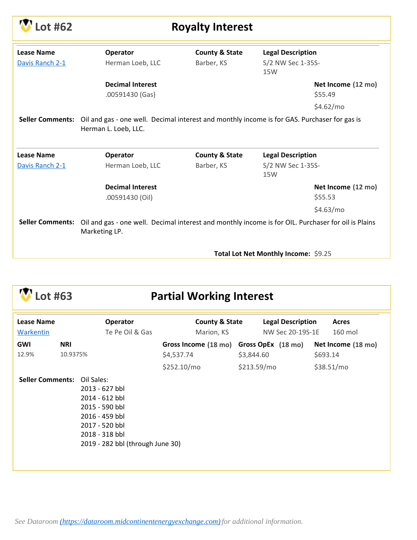| ot #62            |                                            | <b>Royalty Interest</b>   |                                                                                                                      |  |  |  |  |  |  |  |  |
|-------------------|--------------------------------------------|---------------------------|----------------------------------------------------------------------------------------------------------------------|--|--|--|--|--|--|--|--|
| <b>Lease Name</b> | Operator                                   | <b>County &amp; State</b> | <b>Legal Description</b>                                                                                             |  |  |  |  |  |  |  |  |
| Davis Ranch 2-1   | Herman Loeb, LLC                           | Barber, KS                | S/2 NW Sec 1-35S-<br>15W                                                                                             |  |  |  |  |  |  |  |  |
|                   | <b>Decimal Interest</b><br>.00591430 (Gas) |                           | Net Income (12 mo)<br>\$55.49                                                                                        |  |  |  |  |  |  |  |  |
|                   |                                            |                           | \$4.62/mo                                                                                                            |  |  |  |  |  |  |  |  |
|                   | Herman L. Loeb, LLC.                       |                           | Seller Comments: Oil and gas - one well. Decimal interest and monthly income is for GAS. Purchaser for gas is        |  |  |  |  |  |  |  |  |
| <b>Lease Name</b> | <b>Operator</b>                            | <b>County &amp; State</b> | <b>Legal Description</b>                                                                                             |  |  |  |  |  |  |  |  |
| Davis Ranch 2-1   | Herman Loeb, LLC                           | Barber, KS                | S/2 NW Sec 1-35S-<br>15W                                                                                             |  |  |  |  |  |  |  |  |
|                   | <b>Decimal Interest</b>                    |                           | Net Income (12 mo)                                                                                                   |  |  |  |  |  |  |  |  |
|                   | .00591430 (Oil)                            |                           | \$55.53                                                                                                              |  |  |  |  |  |  |  |  |
|                   |                                            |                           | \$4.63/mo                                                                                                            |  |  |  |  |  |  |  |  |
|                   | Marketing LP.                              |                           | Seller Comments: Oil and gas - one well. Decimal interest and monthly income is for OIL. Purchaser for oil is Plains |  |  |  |  |  |  |  |  |
|                   |                                            |                           | Total Lot Net Monthly Income: \$9.25                                                                                 |  |  |  |  |  |  |  |  |

# **Lot #63 Partial Working Interest**

| Lease Name<br>Warkentin |                        | <b>Operator</b><br>Te Pe Oil & Gas                                                                                                                         | <b>County &amp; State</b><br>Marion, KS               | <b>Legal Description</b><br>NW Sec 20-19S-1E | <b>Acres</b><br>160 mol        |
|-------------------------|------------------------|------------------------------------------------------------------------------------------------------------------------------------------------------------|-------------------------------------------------------|----------------------------------------------|--------------------------------|
| <b>GWI</b><br>12.9%     | <b>NRI</b><br>10.9375% |                                                                                                                                                            | Gross Income (18 mo) Gross OpEx (18 mo)<br>\$4,537.74 | \$3,844.60                                   | Net Income (18 mo)<br>\$693.14 |
|                         |                        |                                                                                                                                                            | \$252.10/mo                                           | \$213.59/mo                                  | \$38.51/mo                     |
| <b>Seller Comments:</b> |                        | Oil Sales:<br>2013 - 627 bbl<br>2014 - 612 bbl<br>2015 - 590 bbl<br>2016 - 459 bbl<br>2017 - 520 bbl<br>2018 - 318 bbl<br>2019 - 282 bbl (through June 30) |                                                       |                                              |                                |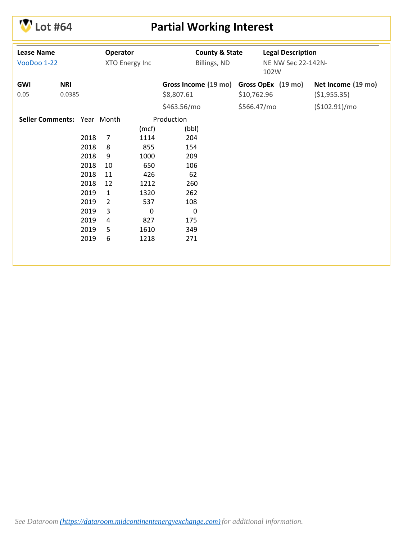

# **Lot #64 Partial Working Interest**

| <b>Lease Name</b><br><b>VooDoo 1-22</b> |                             | Operator<br>XTO Energy Inc |                | <b>County &amp; State</b><br>Billings, ND |                      | <b>Legal Description</b><br>NE NW Sec 22-142N-<br>102W |                    |                    |
|-----------------------------------------|-----------------------------|----------------------------|----------------|-------------------------------------------|----------------------|--------------------------------------------------------|--------------------|--------------------|
| GWI                                     | <b>NRI</b>                  |                            |                |                                           | Gross Income (19 mo) |                                                        | Gross OpEx (19 mo) | Net Income (19 mo) |
| 0.05                                    | 0.0385                      |                            |                |                                           | \$8,807.61           | \$10,762.96                                            |                    | (51, 955.35)       |
|                                         |                             |                            |                |                                           | \$463.56/mo          | \$566.47/mo                                            |                    | (\$102.91)/mo      |
|                                         | Seller Comments: Year Month |                            |                |                                           | Production           |                                                        |                    |                    |
|                                         |                             |                            |                | (mcf)                                     | (bbl)                |                                                        |                    |                    |
|                                         |                             | 2018                       | $\overline{7}$ | 1114                                      | 204                  |                                                        |                    |                    |
|                                         |                             | 2018                       | 8              | 855                                       | 154                  |                                                        |                    |                    |
|                                         |                             | 2018                       | 9              | 1000                                      | 209                  |                                                        |                    |                    |
|                                         |                             | 2018                       | 10             | 650                                       | 106                  |                                                        |                    |                    |
|                                         |                             | 2018                       | 11             | 426                                       | 62                   |                                                        |                    |                    |
|                                         |                             | 2018                       | 12             | 1212                                      | 260                  |                                                        |                    |                    |
|                                         |                             | 2019                       | $\mathbf{1}$   | 1320                                      | 262                  |                                                        |                    |                    |
|                                         |                             | 2019                       | $\overline{2}$ | 537                                       | 108                  |                                                        |                    |                    |
|                                         |                             | 2019                       | 3              | $\mathbf 0$                               | $\mathbf 0$          |                                                        |                    |                    |
|                                         |                             | 2019                       | 4              | 827                                       | 175                  |                                                        |                    |                    |
|                                         |                             | 2019                       | 5              | 1610                                      | 349                  |                                                        |                    |                    |
|                                         |                             | 2019                       | 6              | 1218                                      | 271                  |                                                        |                    |                    |
|                                         |                             |                            |                |                                           |                      |                                                        |                    |                    |
|                                         |                             |                            |                |                                           |                      |                                                        |                    |                    |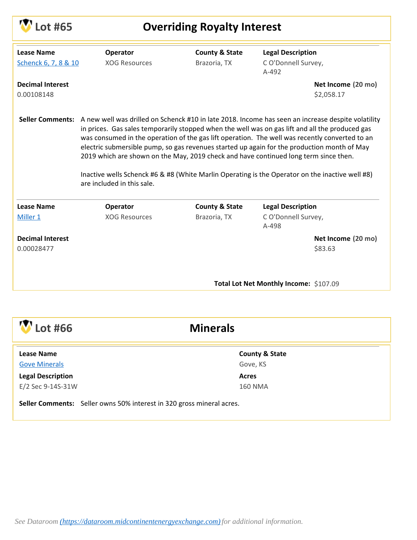| Lot #65                                   |                                  | <b>Overriding Royalty Interest</b>        |                                                                                                                                                                                                                                                                                                                                                                                                                                                                                                                                                                                                                    |
|-------------------------------------------|----------------------------------|-------------------------------------------|--------------------------------------------------------------------------------------------------------------------------------------------------------------------------------------------------------------------------------------------------------------------------------------------------------------------------------------------------------------------------------------------------------------------------------------------------------------------------------------------------------------------------------------------------------------------------------------------------------------------|
| <b>Lease Name</b><br>Schenck 6, 7, 8 & 10 | Operator<br><b>XOG Resources</b> | <b>County &amp; State</b><br>Brazoria, TX | <b>Legal Description</b><br>CO'Donnell Survey,<br>$A-492$                                                                                                                                                                                                                                                                                                                                                                                                                                                                                                                                                          |
| <b>Decimal Interest</b><br>0.00108148     |                                  |                                           | Net Income (20 mo)<br>\$2,058.17                                                                                                                                                                                                                                                                                                                                                                                                                                                                                                                                                                                   |
|                                           | are included in this sale.       |                                           | Seller Comments: A new well was drilled on Schenck #10 in late 2018. Income has seen an increase despite volatility<br>in prices. Gas sales temporarily stopped when the well was on gas lift and all the produced gas<br>was consumed in the operation of the gas lift operation. The well was recently converted to an<br>electric submersible pump, so gas revenues started up again for the production month of May<br>2019 which are shown on the May, 2019 check and have continued long term since then.<br>Inactive wells Schenck #6 & #8 (White Marlin Operating is the Operator on the inactive well #8) |
| <b>Lease Name</b>                         | Operator                         | <b>County &amp; State</b>                 | <b>Legal Description</b>                                                                                                                                                                                                                                                                                                                                                                                                                                                                                                                                                                                           |
| Miller 1                                  | <b>XOG Resources</b>             | Brazoria, TX                              | CO'Donnell Survey,<br>A-498                                                                                                                                                                                                                                                                                                                                                                                                                                                                                                                                                                                        |
| <b>Decimal Interest</b><br>0.00028477     |                                  |                                           | Net Income (20 mo)<br>\$83.63                                                                                                                                                                                                                                                                                                                                                                                                                                                                                                                                                                                      |
|                                           |                                  |                                           | Total Lot Net Monthly Income: \$107.09                                                                                                                                                                                                                                                                                                                                                                                                                                                                                                                                                                             |
|                                           |                                  |                                           |                                                                                                                                                                                                                                                                                                                                                                                                                                                                                                                                                                                                                    |
|                                           |                                  |                                           |                                                                                                                                                                                                                                                                                                                                                                                                                                                                                                                                                                                                                    |

 $\overline{\mathbf{r}}$ 

| AM L<br>Lot #66                                                       | <b>Minerals</b>           |  |
|-----------------------------------------------------------------------|---------------------------|--|
| <b>Lease Name</b>                                                     | <b>County &amp; State</b> |  |
| <b>Gove Minerals</b>                                                  | Gove, KS                  |  |
| <b>Legal Description</b>                                              | <b>Acres</b>              |  |
| E/2 Sec 9-14S-31W                                                     | <b>160 NMA</b>            |  |
| Seller Comments: Seller owns 50% interest in 320 gross mineral acres. |                           |  |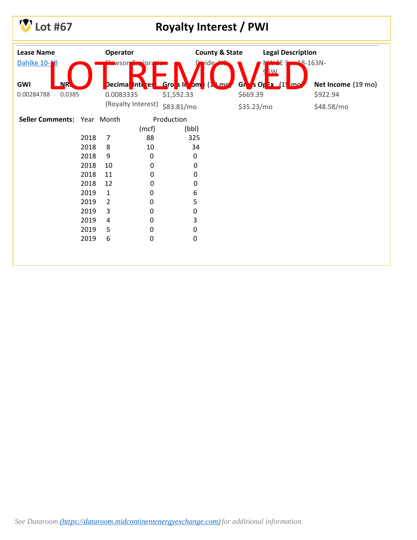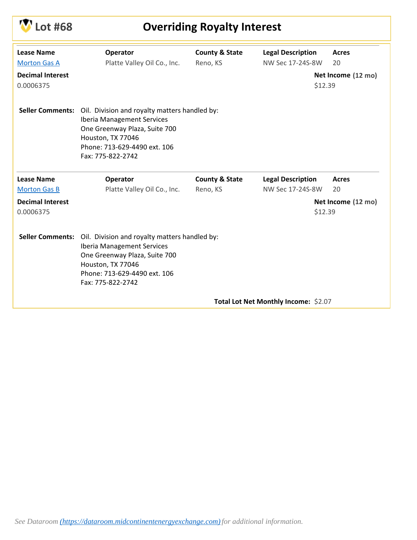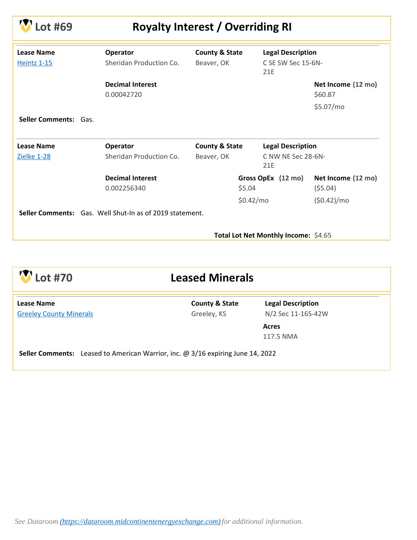| ot #69                                  |                                                          | <b>Royalty Interest / Overriding RI</b> |                                                       |                               |
|-----------------------------------------|----------------------------------------------------------|-----------------------------------------|-------------------------------------------------------|-------------------------------|
| <b>Lease Name</b><br><b>Heintz 1-15</b> | Operator<br>Sheridan Production Co.                      | <b>County &amp; State</b><br>Beaver, OK | <b>Legal Description</b><br>C SE SW Sec 15-6N-<br>21E |                               |
|                                         | <b>Decimal Interest</b><br>0.00042720                    |                                         |                                                       | Net Income (12 mo)<br>\$60.87 |
|                                         |                                                          |                                         |                                                       | \$5.07/mo                     |
| <b>Seller Comments: Gas.</b>            |                                                          |                                         |                                                       |                               |
| Lease Name                              | Operator                                                 | <b>County &amp; State</b>               | <b>Legal Description</b>                              |                               |
| Zielke 1-28                             | Sheridan Production Co.                                  | Beaver, OK                              | C NW NE Sec 28-6N-<br>21E                             |                               |
|                                         | <b>Decimal Interest</b>                                  |                                         | Gross OpEx (12 mo)                                    | Net Income (12 mo)            |
|                                         | 0.002256340                                              |                                         | \$5.04                                                | (55.04)                       |
|                                         |                                                          |                                         | \$0.42/mo                                             | (50.42)/mo                    |
|                                         | Seller Comments: Gas. Well Shut-In as of 2019 statement. |                                         |                                                       |                               |
|                                         |                                                          |                                         | Total Lot Net Monthly Income: \$4.65                  |                               |

| $\sqrt{}$ Lot #70                                                                      | <b>Leased Minerals</b>                   |                                                |  |
|----------------------------------------------------------------------------------------|------------------------------------------|------------------------------------------------|--|
| <b>Lease Name</b><br><b>Greeley County Minerals</b>                                    | <b>County &amp; State</b><br>Greeley, KS | <b>Legal Description</b><br>N/2 Sec 11-16S-42W |  |
|                                                                                        |                                          | <b>Acres</b>                                   |  |
|                                                                                        |                                          | 117.5 NMA                                      |  |
| <b>Seller Comments:</b> Leased to American Warrior, inc. @ 3/16 expiring June 14, 2022 |                                          |                                                |  |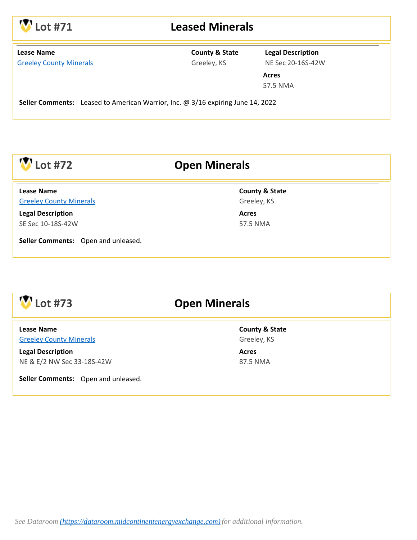

#### **Lot #71 Leased Minerals**

| <b>Lease Name</b> |                                |
|-------------------|--------------------------------|
|                   | <b>Greeley County Minerals</b> |

#### **County & State** Greeley, KS

**Legal Description** NE Sec 20-16S-42W

**Acres** 57.5 NMA

**Seller Comments:** Leased to American Warrior, Inc. @ 3/16 expiring June 14, 2022

### **Lot #72 Open Minerals**

[Greeley County Minerals](http://info.mceeauction.com.s3.amazonaws.com/Oct%202019/Greeley%20Minerals%20Sec%2010%2018S%2042W%20MCEE%20Data%20Packet.pdf) **Lease Name**

**Legal Description** SE Sec 10-18S-42W

**Seller Comments:** Open and unleased.

**County & State** Greeley, KS

**Acres** 57.5 NMA



#### **Lot #73 Open Minerals**

[Greeley County Minerals](http://info.mceeauction.com.s3.amazonaws.com/Oct%202019/Greeley%20Sec%2033%2018S%2042W%20MCEE%20Data%20Packet.pdf) **Lease Name**

**Legal Description** NE & E/2 NW Sec 33-18S-42W

**Seller Comments:** Open and unleased.

**County & State** Greeley, KS

**Acres** 87.5 NMA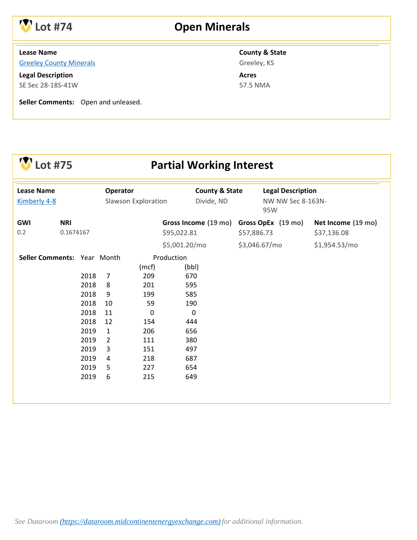

## **Lot #74 Open Minerals**

#### **Lease Name**

[Greeley County Minerals](http://info.mceeauction.com.s3.amazonaws.com/Oct%202019/Greeley%20Minerals%20Sec%2028%2018S%2041W%20MCEE%20Data%20Packet.pdf)

**Legal Description** SE Sec 28-18S-41W

**Seller Comments:** Open and unleased.

**County & State**

Greeley, KS **Acres**

57.5 NMA

| ot #75                            |            |                                                                                              |                                                                                                  |                                                                                               | <b>Partial Working Interest</b>                                                                       |                                                      |                    |                    |
|-----------------------------------|------------|----------------------------------------------------------------------------------------------|--------------------------------------------------------------------------------------------------|-----------------------------------------------------------------------------------------------|-------------------------------------------------------------------------------------------------------|------------------------------------------------------|--------------------|--------------------|
| <b>Lease Name</b><br>Kimberly 4-8 |            | Operator<br>Slawson Exploration                                                              |                                                                                                  | <b>County &amp; State</b><br>Divide, ND                                                       |                                                                                                       | <b>Legal Description</b><br>NW NW Sec 8-163N-<br>95W |                    |                    |
| <b>GWI</b>                        | <b>NRI</b> |                                                                                              |                                                                                                  |                                                                                               | Gross Income (19 mo)                                                                                  |                                                      | Gross OpEx (19 mo) | Net Income (19 mo) |
| 0.2                               | 0.1674167  |                                                                                              |                                                                                                  |                                                                                               | \$95,022.81                                                                                           | \$57,886.73                                          |                    | \$37,136.08        |
|                                   |            |                                                                                              |                                                                                                  |                                                                                               | \$5,001.20/mo                                                                                         |                                                      | \$3,046.67/mo      | \$1,954.53/mo      |
| Seller Comments: Year Month       |            | 2018<br>2018<br>2018<br>2018<br>2018<br>2018<br>2019<br>2019<br>2019<br>2019<br>2019<br>2019 | $\overline{7}$<br>8<br>9<br>10<br>11<br>12<br>$\mathbf{1}$<br>$\overline{2}$<br>3<br>4<br>5<br>6 | (mcf)<br>209<br>201<br>199<br>59<br>$\Omega$<br>154<br>206<br>111<br>151<br>218<br>227<br>215 | Production<br>(bbl)<br>670<br>595<br>585<br>190<br>0<br>444<br>656<br>380<br>497<br>687<br>654<br>649 |                                                      |                    |                    |
|                                   |            |                                                                                              |                                                                                                  |                                                                                               |                                                                                                       |                                                      |                    |                    |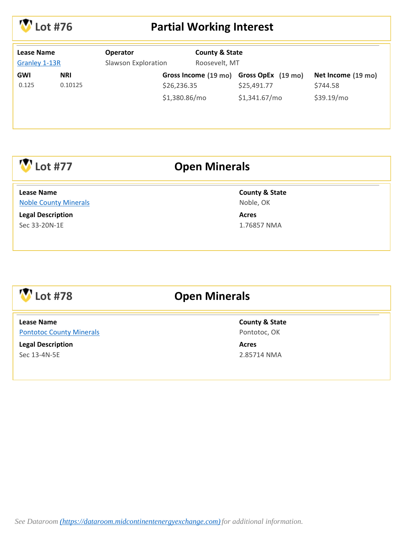

### **Lot #76 Partial Working Interest**

| <b>County &amp; State</b><br><b>Lease Name</b><br><b>Operator</b><br>Roosevelt, MT<br>Slawson Exploration<br><b>Granley 1-13R</b> |                       |               |                                                        |                                |
|-----------------------------------------------------------------------------------------------------------------------------------|-----------------------|---------------|--------------------------------------------------------|--------------------------------|
| GWI<br>0.125                                                                                                                      | <b>NRI</b><br>0.10125 | \$26,236.35   | Gross Income (19 mo) Gross OpEx (19 mo)<br>\$25,491.77 | Net Income (19 mo)<br>\$744.58 |
|                                                                                                                                   |                       | \$1,380.86/mo | \$1,341.67/mo                                          | \$39.19/mo                     |

## **Lot #77 Open Minerals**

[Noble County Minerals](http://info.mceeauction.com.s3.amazonaws.com/Oct%202019/Noble%20Minerals%20MCEE%20Data%20Packet.pdf) **Lease Name**

**Legal Description** Sec 33-20N-1E

#### **County & State**

Noble, OK

**Acres** 1.76857 NMA

# **Lot #78 Open Minerals**

[Pontotoc County Minerals](http://info.mceeauction.com.s3.amazonaws.com/Oct%202019/Pontotoc%20Minerals%20MCEE%20Data%20Packet.pdf) **Lease Name**

**Legal Description** Sec 13-4N-5E

**County & State** Pontotoc, OK

**Acres** 2.85714 NMA

*See Dataroom [\(https://dataroom.midcontinentenergyexchange.com\)](https://dataroom.midcontinentenergyexchange.com)for additional information.*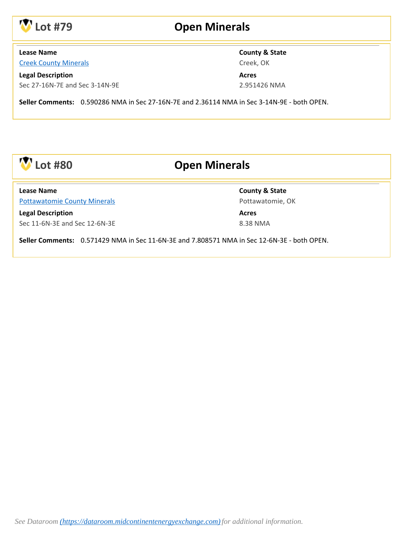

#### **Lot #79 Open Minerals**

#### **Lease Name**

[Creek County Minerals](http://info.mceeauction.com.s3.amazonaws.com/Oct%202019/Creek%20County%20Minerals%20MCEE%20Data%20Packet.pdf)

**Legal Description** Sec 27-16N-7E and Sec 3-14N-9E **County & State** Creek, OK

**Acres** 2.951426 NMA

**Seller Comments:** 0.590286 NMA in Sec 27-16N-7E and 2.36114 NMA in Sec 3-14N-9E - both OPEN.



## **Lot #80 Open Minerals**

[Pottawatomie County Minerals](http://info.mceeauction.com.s3.amazonaws.com/Oct%202019/Pottawatomie%20Minerals%20MCEE%20Data%20Packet.pdf) **Lease Name**

**Legal Description** Sec 11-6N-3E and Sec 12-6N-3E **County & State** Pottawatomie, OK

**Acres** 8.38 NMA

**Seller Comments:** 0.571429 NMA in Sec 11-6N-3E and 7.808571 NMA in Sec 12-6N-3E - both OPEN.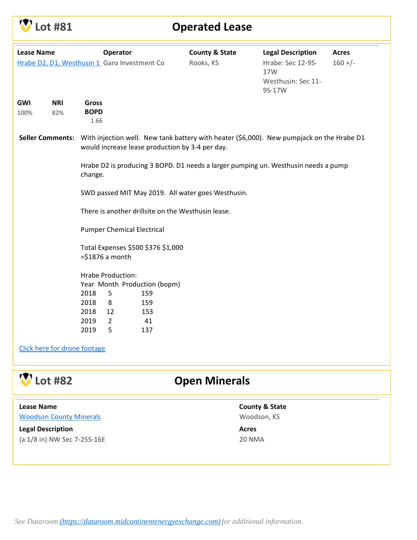| <b>V</b> Lot #81 |  |
|------------------|--|
|------------------|--|

#### **Operated Lease**

| <b>Lease Name</b>            |                |                                                                                         | Operator                                                                                      | Hrabe D2, D1, Westhusin 1 Garo Investment Co    | <b>County &amp; State</b><br>Rooks, KS                                                    | <b>Legal Description</b><br>Hrabe: Sec 12-9S-<br>17W<br>Westhusin: Sec 11-<br>9S-17W | <b>Acres</b><br>$160 +/-$ |  |  |
|------------------------------|----------------|-----------------------------------------------------------------------------------------|-----------------------------------------------------------------------------------------------|-------------------------------------------------|-------------------------------------------------------------------------------------------|--------------------------------------------------------------------------------------|---------------------------|--|--|
| GWI                          | <b>NRI</b>     | <b>Gross</b>                                                                            |                                                                                               |                                                 |                                                                                           |                                                                                      |                           |  |  |
| 100%                         | 82%            | <b>BOPD</b>                                                                             |                                                                                               |                                                 |                                                                                           |                                                                                      |                           |  |  |
|                              |                | 1.66                                                                                    |                                                                                               |                                                 |                                                                                           |                                                                                      |                           |  |  |
| <b>Seller Comments:</b>      |                |                                                                                         |                                                                                               | would increase lease production by 3-4 per day. | With injection well. New tank battery with heater (\$6,000). New pumpjack on the Hrabe D1 |                                                                                      |                           |  |  |
|                              |                |                                                                                         | Hrabe D2 is producing 3 BOPD. D1 needs a larger pumping un. Westhusin needs a pump<br>change. |                                                 |                                                                                           |                                                                                      |                           |  |  |
|                              |                | SWD passed MIT May 2019. All water goes Westhusin.                                      |                                                                                               |                                                 |                                                                                           |                                                                                      |                           |  |  |
|                              |                | There is another drillsite on the Westhusin lease.<br><b>Pumper Chemical Electrical</b> |                                                                                               |                                                 |                                                                                           |                                                                                      |                           |  |  |
|                              |                |                                                                                         |                                                                                               |                                                 |                                                                                           |                                                                                      |                           |  |  |
|                              |                |                                                                                         | Total Expenses \$500 \$376 \$1,000                                                            |                                                 |                                                                                           |                                                                                      |                           |  |  |
|                              |                | $= $1876$ a month                                                                       |                                                                                               |                                                 |                                                                                           |                                                                                      |                           |  |  |
|                              |                | Hrabe Production:                                                                       |                                                                                               |                                                 |                                                                                           |                                                                                      |                           |  |  |
|                              |                |                                                                                         |                                                                                               | Year Month Production (bopm)                    |                                                                                           |                                                                                      |                           |  |  |
|                              |                | 2018                                                                                    | 5                                                                                             | 159                                             |                                                                                           |                                                                                      |                           |  |  |
|                              |                | 2018                                                                                    | 8                                                                                             | 159                                             |                                                                                           |                                                                                      |                           |  |  |
|                              |                | 2018                                                                                    | 12                                                                                            | 153                                             |                                                                                           |                                                                                      |                           |  |  |
|                              |                | 2019                                                                                    | $\overline{2}$                                                                                | 41                                              |                                                                                           |                                                                                      |                           |  |  |
|                              |                | 2019                                                                                    | 5                                                                                             | 137                                             |                                                                                           |                                                                                      |                           |  |  |
| Click here for drone footage |                |                                                                                         |                                                                                               |                                                 |                                                                                           |                                                                                      |                           |  |  |
|                              | <b>Lot #82</b> |                                                                                         |                                                                                               |                                                 | <b>Open Minerals</b>                                                                      |                                                                                      |                           |  |  |

| <b>Lease Name</b>              |  |
|--------------------------------|--|
| <b>Woodson County Minerals</b> |  |

**Legal Description** (a 1/8 in) NW Sec 7-25S-16E **County & State** Woodson, KS

**Acres**

20 NMA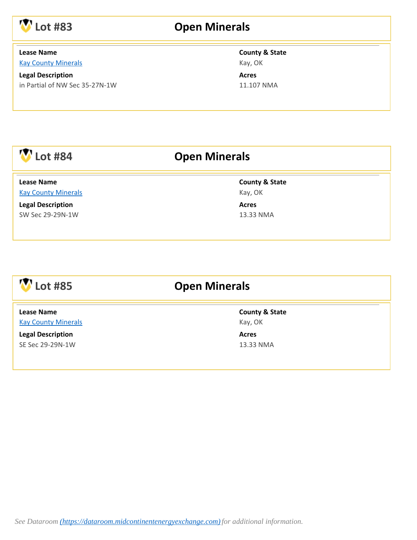

## **Lot #83 Open Minerals**

#### **Lease Name**

[Kay County Minerals](http://info.mceeauction.com.s3.amazonaws.com/Oct%202019/Lot%2083%20MCEE%20Data%20Packet.pdf)

**Legal Description** in Partial of NW Sec 35-27N-1W

#### **County & State** Kay, OK

**Acres** 11.107 NMA

| <b>Lot #84</b>                                  | <b>Open Minerals</b>                 |  |
|-------------------------------------------------|--------------------------------------|--|
| <b>Lease Name</b><br><b>Kay County Minerals</b> | <b>County &amp; State</b><br>Kay, OK |  |
| <b>Legal Description</b><br>SW Sec 29-29N-1W    | <b>Acres</b><br>13.33 NMA            |  |
|                                                 |                                      |  |

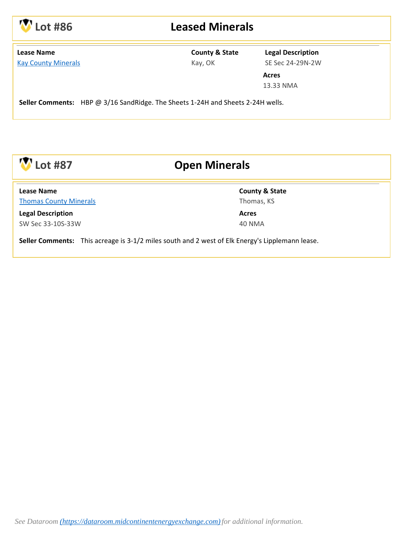

### **Lot #86 Leased Minerals**

| <b>Lease Name</b> |  |  |  |                            |  |  |  |
|-------------------|--|--|--|----------------------------|--|--|--|
|                   |  |  |  | <b>Kay County Minerals</b> |  |  |  |

#### **County & State** Kay, OK

**Legal Description** SE Sec 24-29N-2W

**Acres** 13.33 NMA

**Seller Comments:** HBP @ 3/16 SandRidge. The Sheets 1-24H and Sheets 2-24H wells.



## **Lot #87 Open Minerals**

[Thomas County Minerals](https://dataroom.midcontinentenergyexchange.com/thomas-county-minerals-minerals/) **Lease Name**

**Legal Description** SW Sec 33-10S-33W **County & State** Thomas, KS

**Acres** 40 NMA

**Seller Comments:** This acreage is 3-1/2 miles south and 2 west of Elk Energy's Lipplemann lease.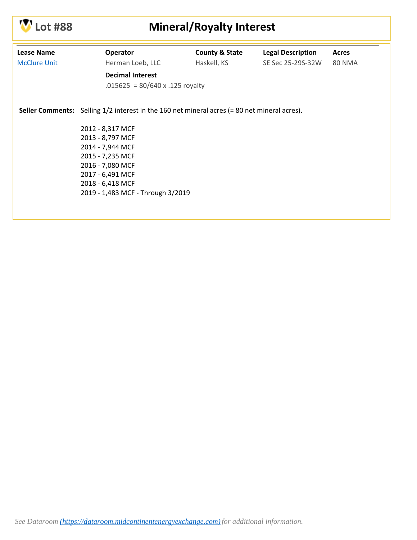

# **Lot #88 Mineral/Royalty Interest**

| <b>Lease Name</b><br><b>McClure Unit</b> | Operator<br>Herman Loeb, LLC                                                                        | <b>County &amp; State</b><br>Haskell, KS | <b>Legal Description</b><br>SE Sec 25-29S-32W | Acres<br><b>80 NMA</b> |  |  |  |
|------------------------------------------|-----------------------------------------------------------------------------------------------------|------------------------------------------|-----------------------------------------------|------------------------|--|--|--|
|                                          | <b>Decimal Interest</b><br>.015625 = $80/640 x$ .125 royalty                                        |                                          |                                               |                        |  |  |  |
|                                          | <b>Seller Comments:</b> Selling 1/2 interest in the 160 net mineral acres (= 80 net mineral acres). |                                          |                                               |                        |  |  |  |
|                                          | 2012 - 8,317 MCF                                                                                    |                                          |                                               |                        |  |  |  |
|                                          | 2013 - 8,797 MCF                                                                                    |                                          |                                               |                        |  |  |  |
|                                          | 2014 - 7,944 MCF                                                                                    |                                          |                                               |                        |  |  |  |
|                                          | 2015 - 7,235 MCF                                                                                    |                                          |                                               |                        |  |  |  |
|                                          | 2016 - 7,080 MCF                                                                                    |                                          |                                               |                        |  |  |  |
|                                          | 2017 - 6,491 MCF                                                                                    |                                          |                                               |                        |  |  |  |
|                                          | 2018 - 6,418 MCF                                                                                    |                                          |                                               |                        |  |  |  |
|                                          | 2019 - 1,483 MCF - Through 3/2019                                                                   |                                          |                                               |                        |  |  |  |
|                                          |                                                                                                     |                                          |                                               |                        |  |  |  |
|                                          |                                                                                                     |                                          |                                               |                        |  |  |  |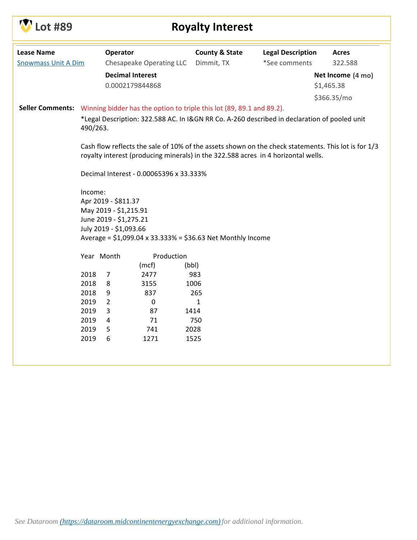

# **Lot #89 Royalty Interest**

| <b>Lease Name</b>          |                                                                                                                                                                                          | Operator               |                          | <b>County &amp; State</b>                                                              | <b>Legal Description</b> | <b>Acres</b>      |
|----------------------------|------------------------------------------------------------------------------------------------------------------------------------------------------------------------------------------|------------------------|--------------------------|----------------------------------------------------------------------------------------|--------------------------|-------------------|
| <b>Snowmass Unit A Dim</b> |                                                                                                                                                                                          |                        | Chesapeake Operating LLC | Dimmit, TX                                                                             | *See comments            | 322.588           |
|                            |                                                                                                                                                                                          |                        | <b>Decimal Interest</b>  |                                                                                        |                          | Net Income (4 mo) |
|                            |                                                                                                                                                                                          |                        | 0.0002179844868          |                                                                                        |                          | \$1,465.38        |
|                            |                                                                                                                                                                                          |                        |                          |                                                                                        |                          | \$366.35/mo       |
|                            |                                                                                                                                                                                          |                        |                          | Seller Comments: Winning bidder has the option to triple this lot (89, 89.1 and 89.2). |                          |                   |
|                            | *Legal Description: 322.588 AC. In I&GN RR Co. A-260 described in declaration of pooled unit<br>490/263.                                                                                 |                        |                          |                                                                                        |                          |                   |
|                            | Cash flow reflects the sale of 10% of the assets shown on the check statements. This lot is for 1/3<br>royalty interest (producing minerals) in the 322.588 acres in 4 horizontal wells. |                        |                          |                                                                                        |                          |                   |
|                            | Decimal Interest - 0.00065396 x 33.333%                                                                                                                                                  |                        |                          |                                                                                        |                          |                   |
|                            | Income:                                                                                                                                                                                  |                        |                          |                                                                                        |                          |                   |
|                            | Apr 2019 - \$811.37                                                                                                                                                                      |                        |                          |                                                                                        |                          |                   |
|                            | May 2019 - \$1,215.91<br>June 2019 - \$1,275.21                                                                                                                                          |                        |                          |                                                                                        |                          |                   |
|                            |                                                                                                                                                                                          | July 2019 - \$1,093.66 |                          |                                                                                        |                          |                   |
|                            | Average = \$1,099.04 x 33.333% = \$36.63 Net Monthly Income                                                                                                                              |                        |                          |                                                                                        |                          |                   |
|                            | Year Month                                                                                                                                                                               |                        | Production               |                                                                                        |                          |                   |
|                            |                                                                                                                                                                                          |                        | (mcf)                    | (bbl)                                                                                  |                          |                   |
|                            | 2018                                                                                                                                                                                     | 7                      | 2477                     | 983                                                                                    |                          |                   |
|                            | 2018                                                                                                                                                                                     | 8                      | 3155                     | 1006                                                                                   |                          |                   |
|                            | 2018                                                                                                                                                                                     | 9                      | 837                      | 265                                                                                    |                          |                   |
|                            | 2019                                                                                                                                                                                     | $\overline{2}$         | $\pmb{0}$                | $\mathbf{1}$                                                                           |                          |                   |
|                            | 2019                                                                                                                                                                                     | 3                      | 87                       | 1414                                                                                   |                          |                   |
|                            | 2019                                                                                                                                                                                     | 4                      | 71                       | 750                                                                                    |                          |                   |
|                            | 2019                                                                                                                                                                                     | 5                      | 741                      | 2028                                                                                   |                          |                   |
|                            | 2019                                                                                                                                                                                     | 6                      | 1271                     | 1525                                                                                   |                          |                   |
|                            |                                                                                                                                                                                          |                        |                          |                                                                                        |                          |                   |
|                            |                                                                                                                                                                                          |                        |                          |                                                                                        |                          |                   |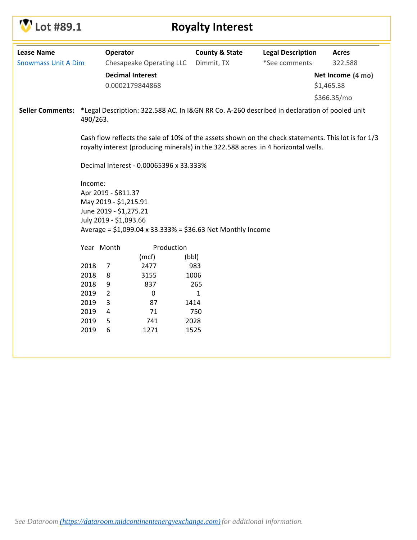

| <b>Lease Name</b>          |                                                                                                                                                                                          | Operator       |                          | <b>County &amp; State</b> | <b>Legal Description</b>                                                                     | <b>Acres</b>      |
|----------------------------|------------------------------------------------------------------------------------------------------------------------------------------------------------------------------------------|----------------|--------------------------|---------------------------|----------------------------------------------------------------------------------------------|-------------------|
| <b>Snowmass Unit A Dim</b> |                                                                                                                                                                                          |                | Chesapeake Operating LLC | Dimmit, TX                | *See comments                                                                                | 322.588           |
|                            |                                                                                                                                                                                          |                | <b>Decimal Interest</b>  |                           |                                                                                              | Net Income (4 mo) |
|                            |                                                                                                                                                                                          |                | 0.0002179844868          |                           |                                                                                              | \$1,465.38        |
|                            |                                                                                                                                                                                          |                |                          |                           |                                                                                              | \$366.35/mo       |
| <b>Seller Comments:</b>    | 490/263.                                                                                                                                                                                 |                |                          |                           | *Legal Description: 322.588 AC. In I&GN RR Co. A-260 described in declaration of pooled unit |                   |
|                            | Cash flow reflects the sale of 10% of the assets shown on the check statements. This lot is for 1/3<br>royalty interest (producing minerals) in the 322.588 acres in 4 horizontal wells. |                |                          |                           |                                                                                              |                   |
|                            | Decimal Interest - 0.00065396 x 33.333%                                                                                                                                                  |                |                          |                           |                                                                                              |                   |
|                            | Income:<br>Apr 2019 - \$811.37<br>May 2019 - \$1,215.91<br>June 2019 - \$1,275.21<br>July 2019 - \$1,093.66<br>Average = \$1,099.04 x 33.333% = \$36.63 Net Monthly Income               |                |                          |                           |                                                                                              |                   |
|                            | Year Month                                                                                                                                                                               |                | Production               |                           |                                                                                              |                   |
|                            |                                                                                                                                                                                          |                | (mcf)                    | (bbl)                     |                                                                                              |                   |
|                            | 2018                                                                                                                                                                                     | $\overline{7}$ | 2477                     | 983                       |                                                                                              |                   |
|                            | 2018                                                                                                                                                                                     | 8              | 3155                     | 1006                      |                                                                                              |                   |
|                            | 2018                                                                                                                                                                                     | 9              | 837                      | 265                       |                                                                                              |                   |
|                            | 2019                                                                                                                                                                                     | $\overline{2}$ | 0                        | $\mathbf{1}$              |                                                                                              |                   |
|                            | 2019                                                                                                                                                                                     | 3              | 87                       | 1414                      |                                                                                              |                   |
|                            | 2019                                                                                                                                                                                     | 4              | 71                       | 750                       |                                                                                              |                   |
|                            | 2019<br>2019                                                                                                                                                                             | 5<br>6         | 741<br>1271              | 2028<br>1525              |                                                                                              |                   |
|                            |                                                                                                                                                                                          |                |                          |                           |                                                                                              |                   |
|                            |                                                                                                                                                                                          |                |                          |                           |                                                                                              |                   |
|                            |                                                                                                                                                                                          |                |                          |                           |                                                                                              |                   |